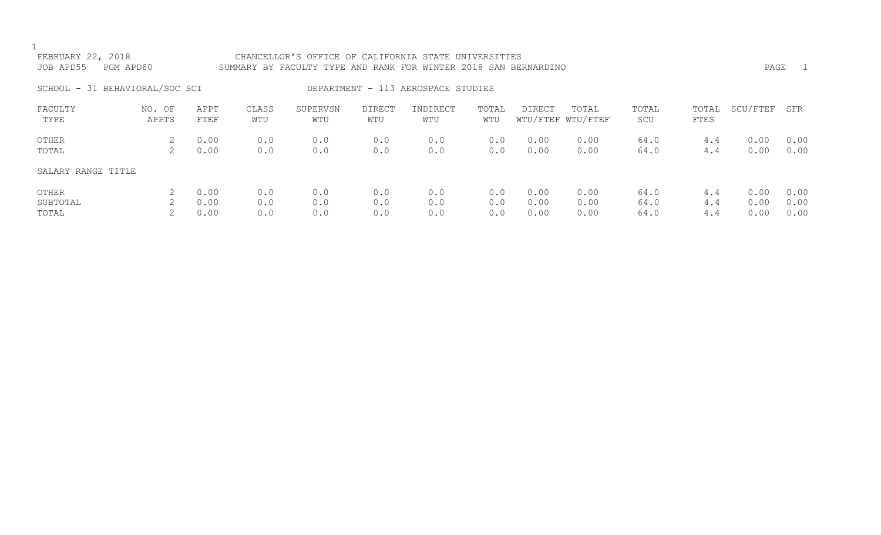| FEBRUARY 22, 2018              |           |             |       | CHANCELLOR'S OFFICE OF CALIFORNIA STATE UNIVERSITIES            |                                    |          |       |               |                   |       |       |          |      |
|--------------------------------|-----------|-------------|-------|-----------------------------------------------------------------|------------------------------------|----------|-------|---------------|-------------------|-------|-------|----------|------|
| JOB APD55                      | PGM APD60 |             |       | SUMMARY BY FACULTY TYPE AND RANK FOR WINTER 2018 SAN BERNARDINO |                                    |          |       |               |                   |       |       | PAGE     | $-1$ |
| SCHOOL - 31 BEHAVIORAL/SOC SCI |           |             |       |                                                                 | DEPARTMENT - 113 AEROSPACE STUDIES |          |       |               |                   |       |       |          |      |
| FACULTY                        | NO. OF    | APPT        | CLASS | SUPERVSN                                                        | <b>DIRECT</b>                      | INDIRECT | TOTAL | <b>DIRECT</b> | TOTAL             | TOTAL | TOTAL | SCU/FTEF | SFR  |
| TYPE                           | APPTS     | <b>FTEF</b> | WTU   | WTU                                                             | WTU                                | WTU      | WTU   |               | WTU/FTEF WTU/FTEF | SCU   | FTES  |          |      |
| OTHER                          | 2         | 0.00        | 0.0   | 0.0                                                             | 0.0                                | 0.0      | 0.0   | 0.00          | 0.00              | 64.0  | 4.4   | 0.00     | 0.00 |
| TOTAL                          | 2         | 0.00        | 0.0   | 0.0                                                             | 0.0                                | 0.0      | 0.0   | 0.00          | 0.00              | 64.0  | 4.4   | 0.00     | 0.00 |
| SALARY RANGE TITLE             |           |             |       |                                                                 |                                    |          |       |               |                   |       |       |          |      |
| OTHER                          | 2         | 0.00        | 0.0   | 0.0                                                             | 0.0                                | 0.0      | 0.0   | 0.00          | 0.00              | 64.0  | 4.4   | 0.00     | 0.00 |
| SUBTOTAL                       | 2         | 0.00        | 0.0   | 0.0                                                             | 0.0                                | 0.0      | 0.0   | 0.00          | 0.00              | 64.0  | 4.4   | 0.00     | 0.00 |
| TOTAL                          |           | 0.00        | 0.0   | 0.0                                                             | 0.0                                | 0.0      | 0.0   | 0.00          | 0.00              | 64.0  | 4.4   | 0.00     | 0.00 |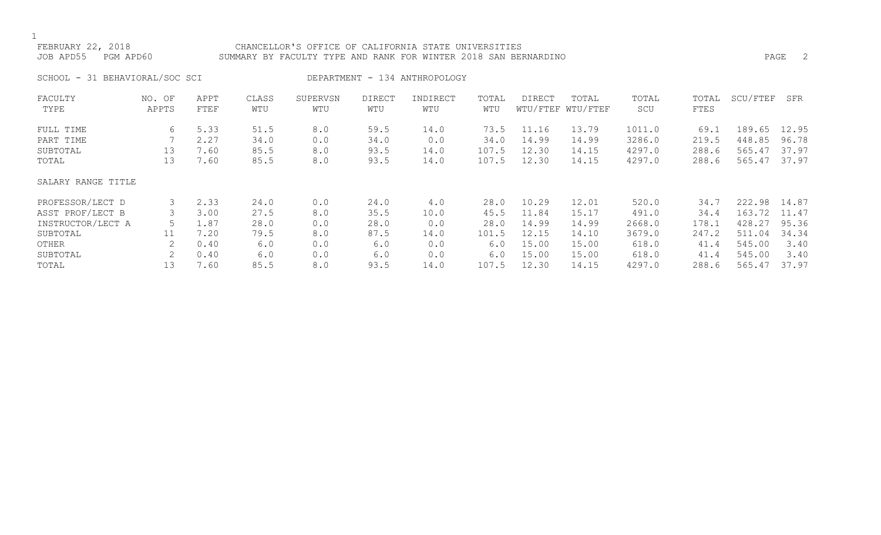### FEBRUARY 22, 2018 CHANCELLOR'S OFFICE OF CALIFORNIA STATE UNIVERSITIES JOB APD55 PGM APD60 SUMMARY BY FACULTY TYPE AND RANK FOR WINTER 2018 SAN BERNARDINO PAGE 2

SCHOOL - 31 BEHAVIORAL/SOC SCI DEPARTMENT - 134 ANTHROPOLOGY

| FACULTY            | NO. OF | APPT | CLASS | SUPERVSN | <b>DIRECT</b> | INDIRECT | TOTAL | DIRECT | TOTAL             | TOTAL  | TOTAL | SCU/FTEF | SFR   |
|--------------------|--------|------|-------|----------|---------------|----------|-------|--------|-------------------|--------|-------|----------|-------|
| TYPE               | APPTS  | FTEF | WTU   | WTU      | WTU           | WTU      | WTU   |        | WTU/FTEF WTU/FTEF | SCU    | FTES  |          |       |
| FULL TIME          | 6      | 5.33 | 51.5  | 8.0      | 59.5          | 14.0     | 73.5  | 11.16  | 13.79             | 1011.0 | 69.1  | 189.65   | 12.95 |
| PART TIME          |        | 2.27 | 34.0  | 0.0      | 34.0          | 0.0      | 34.0  | 14.99  | 14.99             | 3286.0 | 219.5 | 448.85   | 96.78 |
| SUBTOTAL           | 13     | 7.60 | 85.5  | 8.0      | 93.5          | 14.0     | 107.5 | 12.30  | 14.15             | 4297.0 | 288.6 | 565.47   | 37.97 |
| TOTAL              | 13     | 7.60 | 85.5  | 8.0      | 93.5          | 14.0     | 107.5 | 12.30  | 14.15             | 4297.0 | 288.6 | 565.47   | 37.97 |
| SALARY RANGE TITLE |        |      |       |          |               |          |       |        |                   |        |       |          |       |
| PROFESSOR/LECT D   | 3      | 2.33 | 24.0  | 0.0      | 24.0          | 4.0      | 28.0  | 10.29  | 12.01             | 520.0  | 34.7  | 222.98   | 14.87 |
| ASST PROF/LECT B   |        | 3.00 | 27.5  | 8.0      | 35.5          | 10.0     | 45.5  | 11.84  | 15.17             | 491.0  | 34.4  | 163.72   | 11.47 |
| INSTRUCTOR/LECT A  |        | 1.87 | 28.0  | 0.0      | 28.0          | 0.0      | 28.0  | 14.99  | 14.99             | 2668.0 | 178.1 | 428.27   | 95.36 |
| SUBTOTAL           | 11     | 7.20 | 79.5  | 8.0      | 87.5          | 14.0     | 101.5 | 12.15  | 14.10             | 3679.0 | 247.2 | 511.04   | 34.34 |
| OTHER              |        | 0.40 | 6.0   | 0.0      | 6.0           | 0.0      | 6.0   | 15.00  | 15.00             | 618.0  | 41.4  | 545.00   | 3.40  |
| SUBTOTAL           | 2      | 0.40 | 6.0   | 0.0      | 6.0           | 0.0      | 6.0   | 15.00  | 15.00             | 618.0  | 41.4  | 545.00   | 3.40  |
| TOTAL              | 13     | 7.60 | 85.5  | 8.0      | 93.5          | 14.0     | 107.5 | 12.30  | 14.15             | 4297.0 | 288.6 | 565.47   | 37.97 |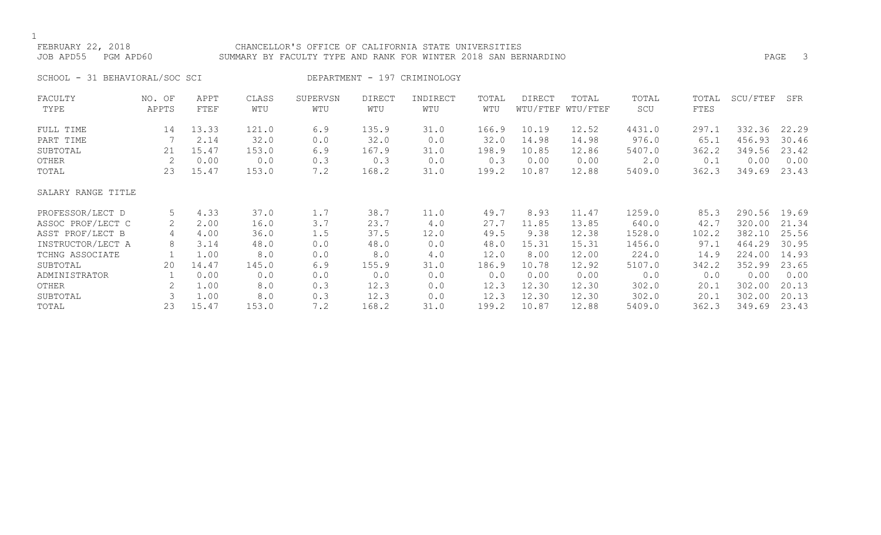### FEBRUARY 22, 2018 CHANCELLOR'S OFFICE OF CALIFORNIA STATE UNIVERSITIES JOB APD55 PGM APD60 SUMMARY BY FACULTY TYPE AND RANK FOR WINTER 2018 SAN BERNARDINO PAGE 3

SCHOOL - 31 BEHAVIORAL/SOC SCI DEPARTMENT - 197 CRIMINOLOGY

| FACULTY            | NO. OF | APPT  | CLASS | SUPERVSN | <b>DIRECT</b> | INDIRECT | TOTAL | DIRECT | TOTAL             | TOTAL  | TOTAL | SCU/FTEF | SFR   |
|--------------------|--------|-------|-------|----------|---------------|----------|-------|--------|-------------------|--------|-------|----------|-------|
| TYPE               | APPTS  | FTEF  | WTU   | WTU      | WTU           | WTU      | WTU   |        | WTU/FTEF WTU/FTEF | SCU    | FTES  |          |       |
| FULL TIME          | 14     | 13.33 | 121.0 | 6.9      | 135.9         | 31.0     | 166.9 | 10.19  | 12.52             | 4431.0 | 297.1 | 332.36   | 22.29 |
| PART TIME          |        | 2.14  | 32.0  | 0.0      | 32.0          | 0.0      | 32.0  | 14.98  | 14.98             | 976.0  | 65.1  | 456.93   | 30.46 |
| SUBTOTAL           | 21     | 15.47 | 153.0 | 6.9      | 167.9         | 31.0     | 198.9 | 10.85  | 12.86             | 5407.0 | 362.2 | 349.56   | 23.42 |
| OTHER              | 2      | 0.00  | 0.0   | 0.3      | 0.3           | 0.0      | 0.3   | 0.00   | 0.00              | 2.0    | 0.1   | 0.00     | 0.00  |
| TOTAL              | 23     | 15.47 | 153.0 | 7.2      | 168.2         | 31.0     | 199.2 | 10.87  | 12.88             | 5409.0 | 362.3 | 349.69   | 23.43 |
| SALARY RANGE TITLE |        |       |       |          |               |          |       |        |                   |        |       |          |       |
| PROFESSOR/LECT D   | 5      | 4.33  | 37.0  | 1.7      | 38.7          | 11.0     | 49.7  | 8.93   | 11.47             | 1259.0 | 85.3  | 290.56   | 19.69 |
| ASSOC PROF/LECT C  | 2      | 2.00  | 16.0  | 3.7      | 23.7          | 4.0      | 27.7  | 11.85  | 13.85             | 640.0  | 42.7  | 320.00   | 21.34 |
| ASST PROF/LECT B   | 4      | 4.00  | 36.0  | 1.5      | 37.5          | 12.0     | 49.5  | 9.38   | 12.38             | 1528.0 | 102.2 | 382.10   | 25.56 |
| INSTRUCTOR/LECT A  | 8      | 3.14  | 48.0  | 0.0      | 48.0          | 0.0      | 48.0  | 15.31  | 15.31             | 1456.0 | 97.1  | 464.29   | 30.95 |
| TCHNG ASSOCIATE    |        | 1.00  | 8.0   | 0.0      | 8.0           | 4.0      | 12.0  | 8.00   | 12.00             | 224.0  | 14.9  | 224.00   | 14.93 |
| SUBTOTAL           | 20     | 14.47 | 145.0 | 6.9      | 155.9         | 31.0     | 186.9 | 10.78  | 12.92             | 5107.0 | 342.2 | 352.99   | 23.65 |
| ADMINISTRATOR      |        | 0.00  | 0.0   | 0.0      | 0.0           | 0.0      | 0.0   | 0.00   | 0.00              | 0.0    | 0.0   | 0.00     | 0.00  |
| OTHER              |        | 1.00  | 8.0   | 0.3      | 12.3          | 0.0      | 12.3  | 12.30  | 12.30             | 302.0  | 20.1  | 302.00   | 20.13 |
| SUBTOTAL           | 3      | 1.00  | 8.0   | 0.3      | 12.3          | 0.0      | 12.3  | 12.30  | 12.30             | 302.0  | 20.1  | 302.00   | 20.13 |
| TOTAL              | 23     | 15.47 | 153.0 | 7.2      | 168.2         | 31.0     | 199.2 | 10.87  | 12.88             | 5409.0 | 362.3 | 349.69   | 23.43 |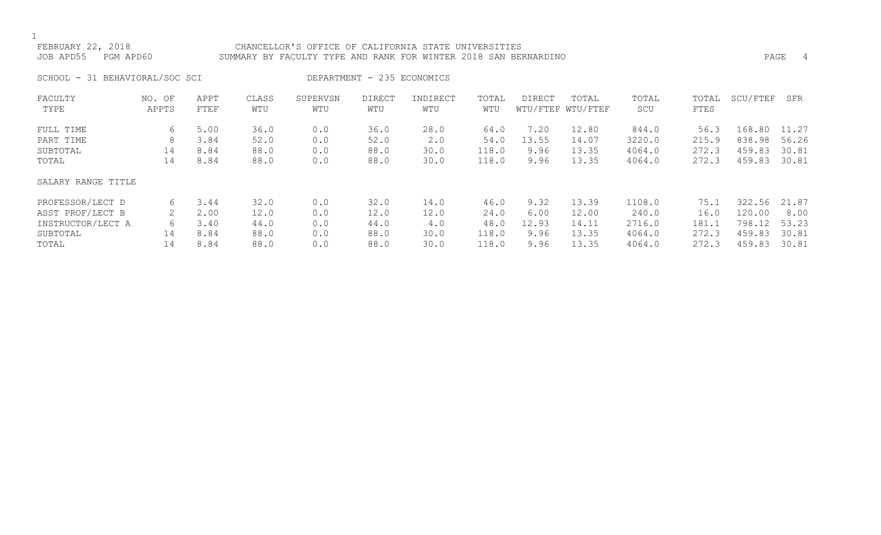### FEBRUARY 22, 2018 CHANCELLOR'S OFFICE OF CALIFORNIA STATE UNIVERSITIES JOB APD55 PGM APD60 SUMMARY BY FACULTY TYPE AND RANK FOR WINTER 2018 SAN BERNARDINO PAGE 4

SCHOOL - 31 BEHAVIORAL/SOC SCI DEPARTMENT - 235 ECONOMICS

| FACULTY            | NO. OF | APPT | CLASS | SUPERVSN | <b>DIRECT</b> | INDIRECT | TOTAL | <b>DIRECT</b> | TOTAL             | TOTAL  | TOTAL | SCU/FTEF | SFR   |
|--------------------|--------|------|-------|----------|---------------|----------|-------|---------------|-------------------|--------|-------|----------|-------|
| TYPE               | APPTS  | FTEF | WTU   | WTU      | WTU           | WTU      | WTU   |               | WTU/FTEF WTU/FTEF | SCU    | FTES  |          |       |
| FULL TIME          | 6      | 5.00 | 36.0  | 0.0      | 36.0          | 28.0     | 64.0  | 7.20          | 12.80             | 844.0  | 56.3  | 168.80   | 11.27 |
| PART TIME          | 8      | 3.84 | 52.0  | 0.0      | 52.0          | 2.0      | 54.0  | 13.55         | 14.07             | 3220.0 | 215.9 | 838.98   | 56.26 |
| SUBTOTAL           | 14     | 8.84 | 88.0  | 0.0      | 88.0          | 30.0     | 118.0 | 9.96          | 13.35             | 4064.0 | 272.3 | 459.83   | 30.81 |
| TOTAL              | 14     | 8.84 | 88.0  | 0.0      | 88.0          | 30.0     | 118.0 | 9.96          | 13.35             | 4064.0 | 272.3 | 459.83   | 30.81 |
| SALARY RANGE TITLE |        |      |       |          |               |          |       |               |                   |        |       |          |       |
| PROFESSOR/LECT D   | 6      | 3.44 | 32.0  | 0.0      | 32.0          | 14.0     | 46.0  | 9.32          | 13.39             | 1108.0 | 75.1  | 322.56   | 21.87 |
| ASST PROF/LECT B   |        | 2.00 | 12.0  | 0.0      | 12.0          | 12.0     | 24.0  | 6.00          | 12.00             | 240.0  | 16.0  | 120.00   | 8.00  |
| INSTRUCTOR/LECT A  | 6      | 3.40 | 44.0  | 0.0      | 44.0          | 4.0      | 48.0  | 12.93         | 14.11             | 2716.0 | 181.1 | 798.12   | 53.23 |
| SUBTOTAL           | 14     | 8.84 | 88.0  | 0.0      | 88.0          | 30.0     | 118.0 | 9.96          | 13.35             | 4064.0 | 272.3 | 459.83   | 30.81 |
| TOTAL              | 14     | 8.84 | 88.0  | 0.0      | 88.0          | 30.0     | 118.0 | 9.96          | 13.35             | 4064.0 | 272.3 | 459.83   | 30.81 |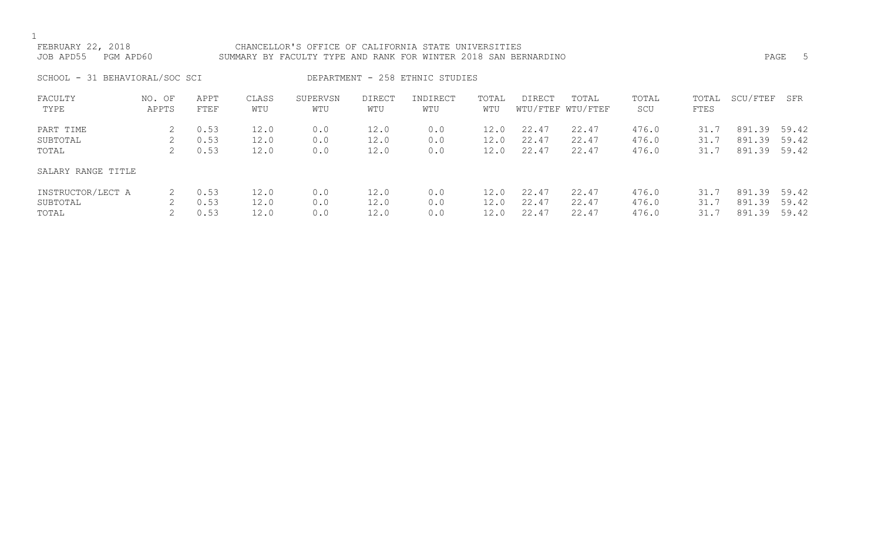# FEBRUARY 22, 2018 CHANCELLOR'S OFFICE OF CALIFORNIA STATE UNIVERSITIES JOB APD55 PGM APD60 SUMMARY BY FACULTY TYPE AND RANK FOR WINTER 2018 SAN BERNARDINO PAGE 5

SCHOOL - 31 BEHAVIORAL/SOC SCI DEPARTMENT - 258 ETHNIC STUDIES

| FACULTY            | NO. OF | APPT | CLASS | SUPERVSN | DIRECT | INDIRECT | TOTAL | <b>DIRECT</b> | TOTAL             | TOTAL | TOTAL | SCU/FTEF | SFR   |
|--------------------|--------|------|-------|----------|--------|----------|-------|---------------|-------------------|-------|-------|----------|-------|
| TYPE               | APPTS  | FTEF | WTU   | WTU      | WTU    | WTU      | WTU   |               | WTU/FTEF WTU/FTEF | SCU   | FTES  |          |       |
| PART TIME          |        | 0.53 | 12.0  | 0.0      | 12.0   | 0.0      | 12.0  | 22.47         | 22.47             | 476.0 | 31.7  | 891.39   | 59.42 |
| SUBTOTAL           |        | 0.53 | 12.0  | 0.0      | 12.0   | 0.0      | 12.0  | 22.47         | 22.47             | 476.0 | 31.7  | 891.39   | 59.42 |
| TOTAL              |        | 0.53 | 12.0  | 0.0      | 12.0   | 0.0      | 12.0  | 22.47         | 22.47             | 476.0 | 31.7  | 891.39   | 59.42 |
| SALARY RANGE TITLE |        |      |       |          |        |          |       |               |                   |       |       |          |       |
| INSTRUCTOR/LECT A  |        | 0.53 | 12.0  | 0.0      | 12.0   | 0.0      | 12.0  | 22.47         | 22.47             | 476.0 | 31.7  | 891.39   | 59.42 |
| SUBTOTAL           |        | 0.53 | 12.0  | 0.0      | 12.0   | 0.0      | 12.0  | 22.47         | 22.47             | 476.0 | 31.7  | 891.39   | 59.42 |
| TOTAL              |        | 0.53 | 12.0  | 0.0      | 12.0   | 0.0      | 12.0  | 22.47         | 22.47             | 476.0 | 31.7  | 891.39   | 59.42 |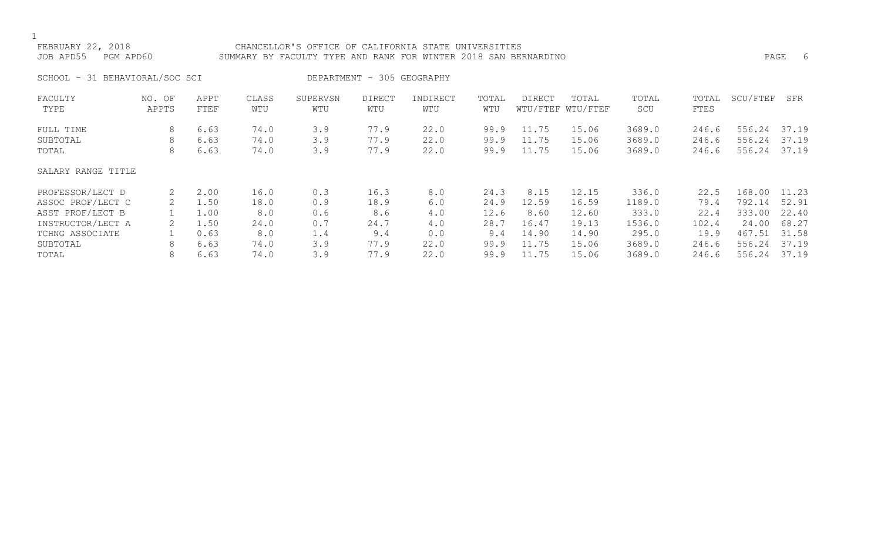### FEBRUARY 22, 2018 CHANCELLOR'S OFFICE OF CALIFORNIA STATE UNIVERSITIES JOB APD55 PGM APD60 SUMMARY BY FACULTY TYPE AND RANK FOR WINTER 2018 SAN BERNARDINO PAGE 6

SCHOOL - 31 BEHAVIORAL/SOC SCI DEPARTMENT - 305 GEOGRAPHY

| FACULTY            | NO. OF | APPT | CLASS | SUPERVSN | <b>DIRECT</b> | INDIRECT | TOTAL | DIRECT | TOTAL             | TOTAL  | TOTAL | SCU/FTEF | SFR   |
|--------------------|--------|------|-------|----------|---------------|----------|-------|--------|-------------------|--------|-------|----------|-------|
| TYPE               | APPTS  | FTEF | WTU   | WTU      | WTU           | WTU      | WTU   |        | WTU/FTEF WTU/FTEF | SCU    | FTES  |          |       |
| FULL TIME          | 8      | 6.63 | 74.0  | 3.9      | 77.9          | 22.0     | 99.9  | 11.75  | 15.06             | 3689.0 | 246.6 | 556.24   | 37.19 |
| SUBTOTAL           | 8      | 6.63 | 74.0  | 3.9      | 77.9          | 22.0     | 99.9  | 11.75  | 15.06             | 3689.0 | 246.6 | 556.24   | 37.19 |
| TOTAL              | 8      | 6.63 | 74.0  | 3.9      | 77.9          | 22.0     | 99.9  | 11.75  | 15.06             | 3689.0 | 246.6 | 556.24   | 37.19 |
| SALARY RANGE TITLE |        |      |       |          |               |          |       |        |                   |        |       |          |       |
| PROFESSOR/LECT D   | 2      | 2.00 | 16.0  | 0.3      | 16.3          | 8.0      | 24.3  | 8.15   | 12.15             | 336.0  | 22.5  | 168.00   | 11.23 |
| ASSOC PROF/LECT C  | 2      | 1.50 | 18.0  | 0.9      | 18.9          | 6.0      | 24.9  | 12.59  | 16.59             | 1189.0 | 79.4  | 792.14   | 52.91 |
| ASST PROF/LECT B   |        | 1.00 | 8.0   | 0.6      | 8.6           | 4.0      | 12.6  | 8.60   | 12.60             | 333.0  | 22.4  | 333.00   | 22.40 |
| INSTRUCTOR/LECT A  |        | 1.50 | 24.0  | 0.7      | 24.7          | 4.0      | 28.7  | 16.47  | 19.13             | 1536.0 | 102.4 | 24.00    | 68.27 |
| TCHNG ASSOCIATE    |        | 0.63 | 8.0   | 1.4      | 9.4           | 0.0      | 9.4   | 14.90  | 14.90             | 295.0  | 19.9  | 467.51   | 31.58 |
| SUBTOTAL           | 8      | 6.63 | 74.0  | 3.9      | 77.9          | 22.0     | 99.9  | 11.75  | 15.06             | 3689.0 | 246.6 | 556.24   | 37.19 |
| TOTAL              | 8      | 6.63 | 74.0  | 3.9      | 77.9          | 22.0     | 99.9  | 11.75  | 15.06             | 3689.0 | 246.6 | 556.24   | 37.19 |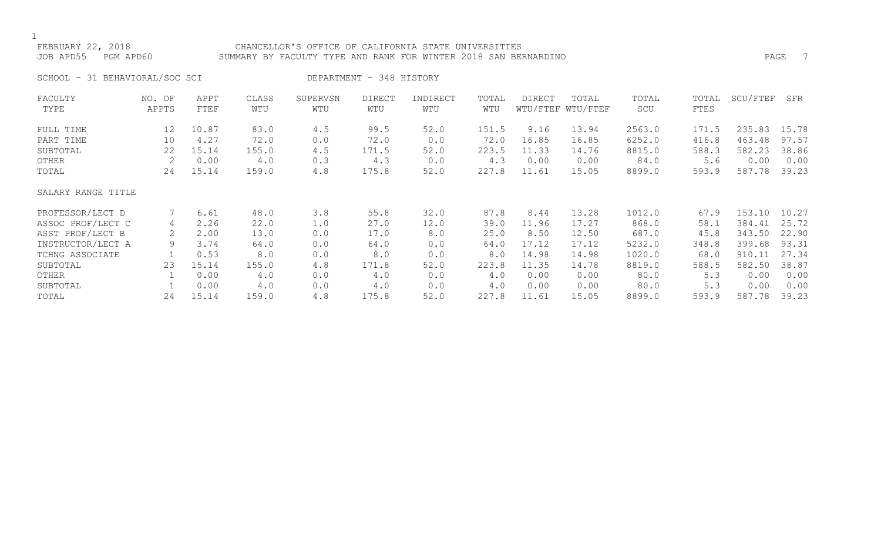### FEBRUARY 22, 2018 CHANCELLOR'S OFFICE OF CALIFORNIA STATE UNIVERSITIES JOB APD55 PGM APD60 SUMMARY BY FACULTY TYPE AND RANK FOR WINTER 2018 SAN BERNARDINO

SCHOOL - 31 BEHAVIORAL/SOC SCI DEPARTMENT - 348 HISTORY

| FACULTY            | NO. OF | APPT  | CLASS | SUPERVSN | <b>DIRECT</b> | INDIRECT | TOTAL | <b>DIRECT</b> | TOTAL             | TOTAL  | TOTAL | SCU/FTEF | SFR   |
|--------------------|--------|-------|-------|----------|---------------|----------|-------|---------------|-------------------|--------|-------|----------|-------|
| TYPE               | APPTS  | FTEF  | WTU   | WTU      | WTU           | WTU      | WTU   |               | WTU/FTEF WTU/FTEF | SCU    | FTES  |          |       |
| FULL TIME          | 12     | 10.87 | 83.0  | 4.5      | 99.5          | 52.0     | 151.5 | 9.16          | 13.94             | 2563.0 | 171.5 | 235.83   | 15.78 |
| PART TIME          | 10     | 4.27  | 72.0  | 0.0      | 72.0          | 0.0      | 72.0  | 16.85         | 16.85             | 6252.0 | 416.8 | 463.48   | 97.57 |
| SUBTOTAL           | 22     | 15.14 | 155.0 | 4.5      | 171.5         | 52.0     | 223.5 | 11.33         | 14.76             | 8815.0 | 588.3 | 582.23   | 38.86 |
| OTHER              |        | 0.00  | 4.0   | 0.3      | 4.3           | 0.0      | 4.3   | 0.00          | 0.00              | 84.0   | 5.6   | 0.00     | 0.00  |
| TOTAL              | 24     | 15.14 | 159.0 | 4.8      | 175.8         | 52.0     | 227.8 | 11.61         | 15.05             | 8899.0 | 593.9 | 587.78   | 39.23 |
| SALARY RANGE TITLE |        |       |       |          |               |          |       |               |                   |        |       |          |       |
| PROFESSOR/LECT D   |        | 6.61  | 48.0  | 3.8      | 55.8          | 32.0     | 87.8  | 8.44          | 13.28             | 1012.0 | 67.9  | 153.10   | 10.27 |
| ASSOC PROF/LECT C  | 4      | 2.26  | 22.0  | 1.0      | 27.0          | 12.0     | 39.0  | 11.96         | 17.27             | 868.0  | 58.1  | 384.41   | 25.72 |
| ASST PROF/LECT B   |        | 2.00  | 13.0  | 0.0      | 17.0          | 8.0      | 25.0  | 8.50          | 12.50             | 687.0  | 45.8  | 343.50   | 22.90 |
| INSTRUCTOR/LECT A  | 9      | 3.74  | 64.0  | 0.0      | 64.0          | 0.0      | 64.0  | 17.12         | 17.12             | 5232.0 | 348.8 | 399.68   | 93.31 |
| TCHNG ASSOCIATE    |        | 0.53  | 8.0   | 0.0      | 8.0           | 0.0      | 8.0   | 14.98         | 14.98             | 1020.0 | 68.0  | 910.11   | 27.34 |
| SUBTOTAL           | 23     | 15.14 | 155.0 | 4.8      | 171.8         | 52.0     | 223.8 | 11.35         | 14.78             | 8819.0 | 588.5 | 582.50   | 38.87 |
| OTHER              |        | 0.00  | 4.0   | 0.0      | 4.0           | 0.0      | 4.0   | 0.00          | 0.00              | 80.0   | 5.3   | 0.00     | 0.00  |
| SUBTOTAL           |        | 0.00  | 4.0   | 0.0      | 4.0           | 0.0      | 4.0   | 0.00          | 0.00              | 80.0   | 5.3   | 0.00     | 0.00  |
| TOTAL              | 24     | 15.14 | 159.0 | 4.8      | 175.8         | 52.0     | 227.8 | 11.61         | 15.05             | 8899.0 | 593.9 | 587.78   | 39.23 |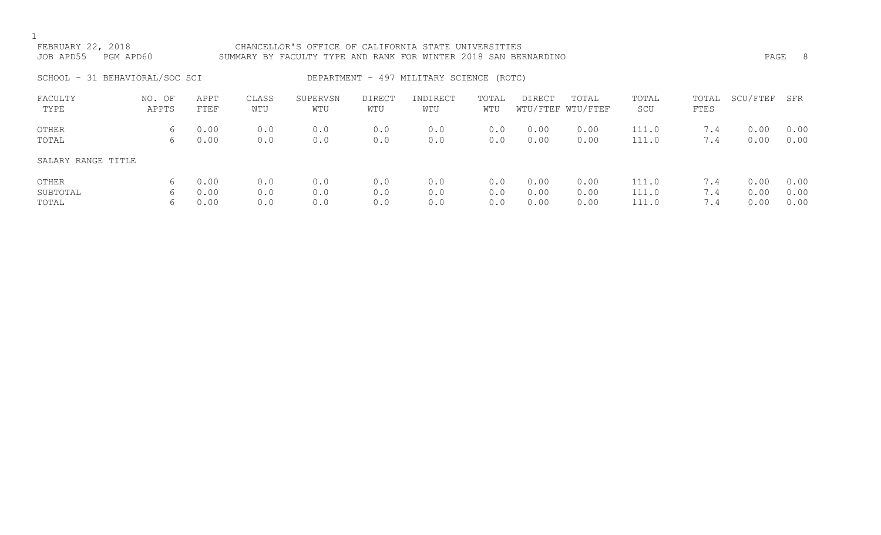| FEBRUARY 22, 2018<br>JOB APD55 | PGM APD60       |              |              | CHANCELLOR'S OFFICE OF CALIFORNIA STATE UNIVERSITIES<br>SUMMARY BY FACULTY TYPE AND RANK FOR WINTER 2018 SAN BERNARDINO |               |                                          |              |              |                            |                |                      | PAGE         | - 8          |
|--------------------------------|-----------------|--------------|--------------|-------------------------------------------------------------------------------------------------------------------------|---------------|------------------------------------------|--------------|--------------|----------------------------|----------------|----------------------|--------------|--------------|
| SCHOOL - 31 BEHAVIORAL/SOC SCI |                 |              |              |                                                                                                                         |               | DEPARTMENT - 497 MILITARY SCIENCE (ROTC) |              |              |                            |                |                      |              |              |
| FACULTY<br>TYPE                | NO. OF<br>APPTS | APPT<br>FTEF | CLASS<br>WTU | SUPERVSN<br>WTU                                                                                                         | DIRECT<br>WTU | INDIRECT<br>WTU                          | TOTAL<br>WTU | DIRECT       | TOTAL<br>WTU/FTEF WTU/FTEF | TOTAL<br>SCU   | TOTAL<br><b>FTES</b> | SCU/FTEF     | SFR          |
| OTHER<br>TOTAL                 | 6<br>6          | 0.00<br>0.00 | 0.0<br>0.0   | 0.0<br>0.0                                                                                                              | 0.0<br>0.0    | 0.0<br>0.0                               | 0.0<br>0.0   | 0.00<br>0.00 | 0.00<br>0.00               | 111.0<br>111.0 | 7.4<br>7.4           | 0.00<br>0.00 | 0.00<br>0.00 |
| SALARY RANGE TITLE             |                 |              |              |                                                                                                                         |               |                                          |              |              |                            |                |                      |              |              |
| OTHER                          | 6               | 0.00         | 0.0          | 0.0                                                                                                                     | 0.0           | 0.0                                      | 0.0          | 0.00         | 0.00                       | 111.0          | 7.4                  | 0.00         | 0.00         |

SUBTOTAL 6 0.00 0.0 0.0 0.0 0.0 0.0 0.00 0.00 111.0 7.4 0.00 0.00 TOTAL 6 0.00 0.0 0.0 0.0 0.0 0.0 0.00 0.00 111.0 7.4 0.00 0.00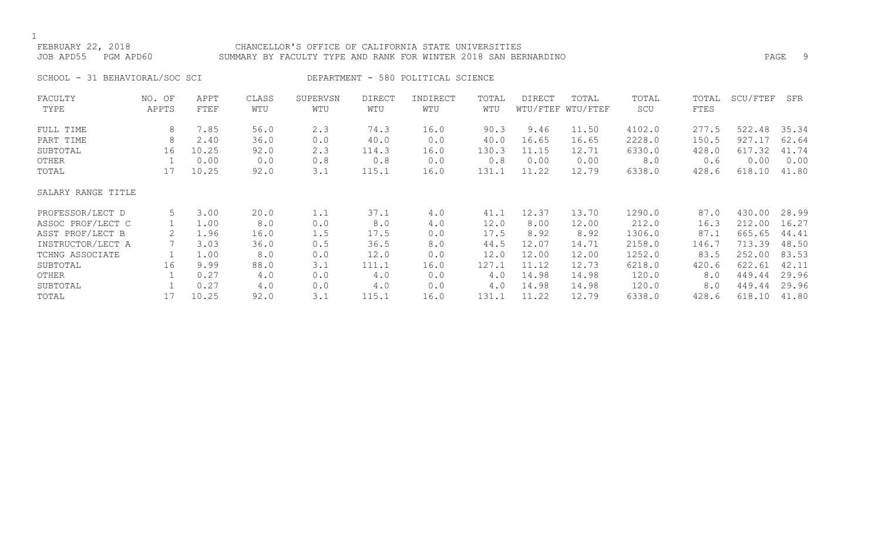## FEBRUARY 22, 2018 CHANCELLOR'S OFFICE OF CALIFORNIA STATE UNIVERSITIES JOB APD55 PGM APD60 SUMMARY BY FACULTY TYPE AND RANK FOR WINTER 2018 SAN BERNARDINO PAGE 9

SCHOOL - 31 BEHAVIORAL/SOC SCI DEPARTMENT - 580 POLITICAL SCIENCE

| FACULTY            | NO. OF | APPT  | CLASS | SUPERVSN | <b>DIRECT</b> | INDIRECT | TOTAL | DIRECT | TOTAL             | TOTAL  | TOTAL | SCU/FTEF | SFR   |
|--------------------|--------|-------|-------|----------|---------------|----------|-------|--------|-------------------|--------|-------|----------|-------|
| TYPE               | APPTS  | FTEF  | WTU   | WTU      | WTU           | WTU      | WTU   |        | WTU/FTEF WTU/FTEF | SCU    | FTES  |          |       |
| FULL TIME          | 8      | 7.85  | 56.0  | 2.3      | 74.3          | 16.0     | 90.3  | 9.46   | 11.50             | 4102.0 | 277.5 | 522.48   | 35.34 |
| PART TIME          | 8      | 2.40  | 36.0  | 0.0      | 40.0          | 0.0      | 40.0  | 16.65  | 16.65             | 2228.0 | 150.5 | 927.17   | 62.64 |
| SUBTOTAL           | 16     | 10.25 | 92.0  | 2.3      | 114.3         | 16.0     | 130.3 | 11.15  | 12.71             | 6330.0 | 428.0 | 617.32   | 41.74 |
| OTHER              |        | 0.00  | 0.0   | 0.8      | 0.8           | 0.0      | 0.8   | 0.00   | 0.00              | 8.0    | 0.6   | 0.00     | 0.00  |
| TOTAL              | 17     | 10.25 | 92.0  | 3.1      | 115.1         | 16.0     | 131.1 | 11.22  | 12.79             | 6338.0 | 428.6 | 618.10   | 41.80 |
| SALARY RANGE TITLE |        |       |       |          |               |          |       |        |                   |        |       |          |       |
| PROFESSOR/LECT D   | 5      | 3.00  | 20.0  | 1.1      | 37.1          | 4.0      | 41.1  | 12.37  | 13.70             | 1290.0 | 87.0  | 430.00   | 28.99 |
| ASSOC PROF/LECT C  |        | 1.00  | 8.0   | 0.0      | 8.0           | 4.0      | 12.0  | 8.00   | 12.00             | 212.0  | 16.3  | 212.00   | 16.27 |
| ASST PROF/LECT B   | 2      | 1.96  | 16.0  | 1.5      | 17.5          | 0.0      | 17.5  | 8.92   | 8.92              | 1306.0 | 87.1  | 665.65   | 44.41 |
| INSTRUCTOR/LECT A  |        | 3.03  | 36.0  | 0.5      | 36.5          | 8.0      | 44.5  | 12.07  | 14.71             | 2158.0 | 146.7 | 713.39   | 48.50 |
| TCHNG ASSOCIATE    |        | 1.00  | 8.0   | 0.0      | 12.0          | 0.0      | 12.0  | 12.00  | 12.00             | 1252.0 | 83.5  | 252.00   | 83.53 |
| SUBTOTAL           | 16     | 9.99  | 88.0  | 3.1      | 111.1         | 16.0     | 127.1 | 11.12  | 12.73             | 6218.0 | 420.6 | 622.61   | 42.11 |
| OTHER              |        | 0.27  | 4.0   | 0.0      | 4.0           | 0.0      | 4.0   | 14.98  | 14.98             | 120.0  | 8.0   | 449.44   | 29.96 |
| SUBTOTAL           |        | 0.27  | 4.0   | 0.0      | 4.0           | 0.0      | 4.0   | 14.98  | 14.98             | 120.0  | 8.0   | 449.44   | 29.96 |
| TOTAL              | 17     | 10.25 | 92.0  | 3.1      | 115.1         | 16.0     | 131.1 | 11.22  | 12.79             | 6338.0 | 428.6 | 618.10   | 41.80 |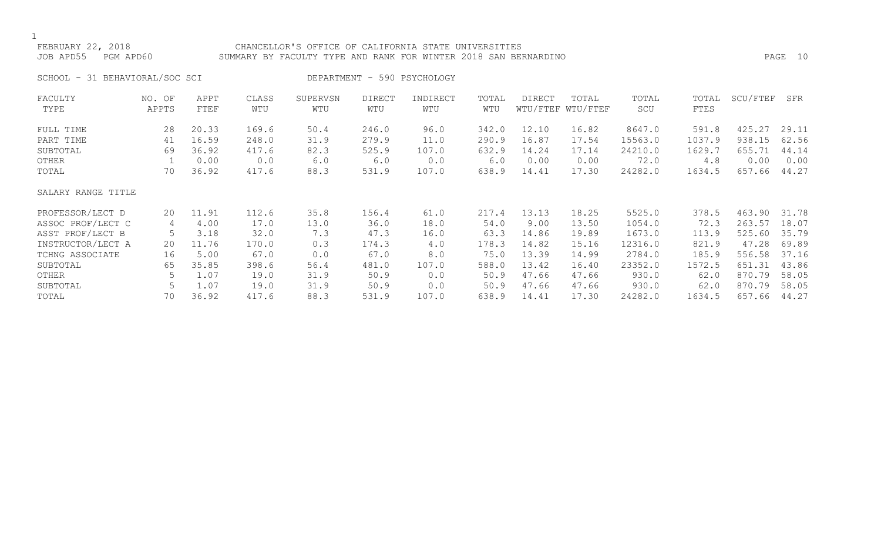### FEBRUARY 22, 2018 CHANCELLOR'S OFFICE OF CALIFORNIA STATE UNIVERSITIES JOB APD55 PGM APD60 SUMMARY BY FACULTY TYPE AND RANK FOR WINTER 2018 SAN BERNARDINO PAGE 10

SCHOOL - 31 BEHAVIORAL/SOC SCI DEPARTMENT - 590 PSYCHOLOGY

| FACULTY            | NO. OF | APPT  | CLASS | SUPERVSN | <b>DIRECT</b> | INDIRECT | TOTAL | DIRECT | TOTAL             | TOTAL   | TOTAL  | SCU/FTEF | SFR   |
|--------------------|--------|-------|-------|----------|---------------|----------|-------|--------|-------------------|---------|--------|----------|-------|
| TYPE               | APPTS  | FTEF  | WTU   | WTU      | WTU           | WTU      | WTU   |        | WTU/FTEF WTU/FTEF | SCU     | FTES   |          |       |
| FULL TIME          | 28     | 20.33 | 169.6 | 50.4     | 246.0         | 96.0     | 342.0 | 12.10  | 16.82             | 8647.0  | 591.8  | 425.27   | 29.11 |
| PART TIME          | 41     | 16.59 | 248.0 | 31.9     | 279.9         | 11.0     | 290.9 | 16.87  | 17.54             | 15563.0 | 1037.9 | 938.15   | 62.56 |
| SUBTOTAL           | 69     | 36.92 | 417.6 | 82.3     | 525.9         | 107.0    | 632.9 | 14.24  | 17.14             | 24210.0 | 1629.7 | 655.71   | 44.14 |
| OTHER              |        | 0.00  | 0.0   | 6.0      | 6.0           | 0.0      | 6.0   | 0.00   | 0.00              | 72.0    | 4.8    | 0.00     | 0.00  |
| TOTAL              | 70     | 36.92 | 417.6 | 88.3     | 531.9         | 107.0    | 638.9 | 14.41  | 17.30             | 24282.0 | 1634.5 | 657.66   | 44.27 |
| SALARY RANGE TITLE |        |       |       |          |               |          |       |        |                   |         |        |          |       |
| PROFESSOR/LECT D   | 20     | 11.91 | 112.6 | 35.8     | 156.4         | 61.0     | 217.4 | 13.13  | 18.25             | 5525.0  | 378.5  | 463.90   | 31.78 |
| ASSOC PROF/LECT C  | 4      | 4.00  | 17.0  | 13.0     | 36.0          | 18.0     | 54.0  | 9.00   | 13.50             | 1054.0  | 72.3   | 263.57   | 18.07 |
| ASST PROF/LECT B   | 5      | 3.18  | 32.0  | 7.3      | 47.3          | 16.0     | 63.3  | 14.86  | 19.89             | 1673.0  | 113.9  | 525.60   | 35.79 |
| INSTRUCTOR/LECT A  | 20     | 11.76 | 170.0 | 0.3      | 174.3         | 4.0      | 178.3 | 14.82  | 15.16             | 12316.0 | 821.9  | 47.28    | 69.89 |
| TCHNG ASSOCIATE    | 16     | 5.00  | 67.0  | 0.0      | 67.0          | 8.0      | 75.0  | 13.39  | 14.99             | 2784.0  | 185.9  | 556.58   | 37.16 |
| SUBTOTAL           | 65     | 35.85 | 398.6 | 56.4     | 481.0         | 107.0    | 588.0 | 13.42  | 16.40             | 23352.0 | 1572.5 | 651.31   | 43.86 |
| OTHER              | 5      | 1.07  | 19.0  | 31.9     | 50.9          | 0.0      | 50.9  | 47.66  | 47.66             | 930.0   | 62.0   | 870.79   | 58.05 |
| SUBTOTAL           |        | 1.07  | 19.0  | 31.9     | 50.9          | 0.0      | 50.9  | 47.66  | 47.66             | 930.0   | 62.0   | 870.79   | 58.05 |
| TOTAL              | 70     | 36.92 | 417.6 | 88.3     | 531.9         | 107.0    | 638.9 | 14.41  | 17.30             | 24282.0 | 1634.5 | 657.66   | 44.27 |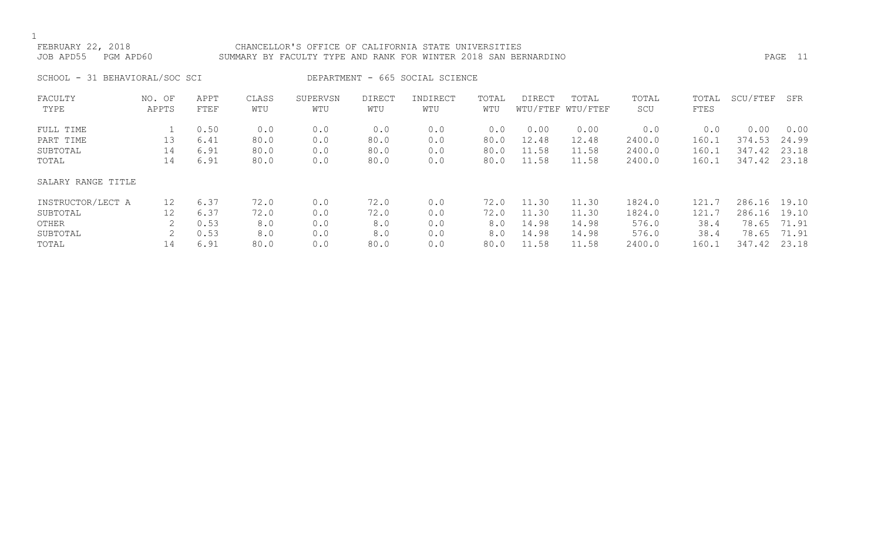# FEBRUARY 22, 2018 CHANCELLOR'S OFFICE OF CALIFORNIA STATE UNIVERSITIES JOB APD55 PGM APD60 SUMMARY BY FACULTY TYPE AND RANK FOR WINTER 2018 SAN BERNARDINO PAGE 11

SCHOOL - 31 BEHAVIORAL/SOC SCI DEPARTMENT - 665 SOCIAL SCIENCE

| FACULTY            | NO. OF | APPT | CLASS | SUPERVSN | <b>DIRECT</b> | INDIRECT | TOTAL | DIRECT | TOTAL             | TOTAL  | TOTAL | SCU/FTEF | SFR   |
|--------------------|--------|------|-------|----------|---------------|----------|-------|--------|-------------------|--------|-------|----------|-------|
| TYPE               | APPTS  | FTEF | WTU   | WTU      | WTU           | WTU      | WTU   |        | WTU/FTEF WTU/FTEF | SCU    | FTES  |          |       |
| FULL TIME          |        | 0.50 | 0.0   | 0.0      | 0.0           | 0.0      | 0.0   | 0.00   | 0.00              | 0.0    | 0.0   | 0.00     | 0.00  |
| PART TIME          | 13     | 6.41 | 80.0  | 0.0      | 80.0          | 0.0      | 80.0  | 12.48  | 12.48             | 2400.0 | 160.1 | 374.53   | 24.99 |
| SUBTOTAL           | 14     | 6.91 | 80.0  | 0.0      | 80.0          | 0.0      | 80.0  | 11.58  | 11.58             | 2400.0 | 160.1 | 347.42   | 23.18 |
| TOTAL              | 14     | 6.91 | 80.0  | 0.0      | 80.0          | 0.0      | 80.0  | 11.58  | 11.58             | 2400.0 | 160.1 | 347.42   | 23.18 |
| SALARY RANGE TITLE |        |      |       |          |               |          |       |        |                   |        |       |          |       |
| INSTRUCTOR/LECT A  | 12     | 6.37 | 72.0  | 0.0      | 72.0          | 0.0      | 72.0  | 11.30  | 11.30             | 1824.0 | 121.7 | 286.16   | 19.10 |
| SUBTOTAL           | 12     | 6.37 | 72.0  | 0.0      | 72.0          | 0.0      | 72.0  | 11.30  | 11.30             | 1824.0 | 121.7 | 286.16   | 19.10 |
| OTHER              |        | 0.53 | 8.0   | 0.0      | 8.0           | 0.0      | 8.0   | 14.98  | 14.98             | 576.0  | 38.4  | 78.65    | 71.91 |
| SUBTOTAL           |        | 0.53 | 8.0   | 0.0      | 8.0           | 0.0      | 8.0   | 14.98  | 14.98             | 576.0  | 38.4  | 78.65    | 71.91 |
| TOTAL              | 14     | 6.91 | 80.0  | 0.0      | 80.0          | 0.0      | 80.0  | 11.58  | 11.58             | 2400.0 | 160.1 | 347.42   | 23.18 |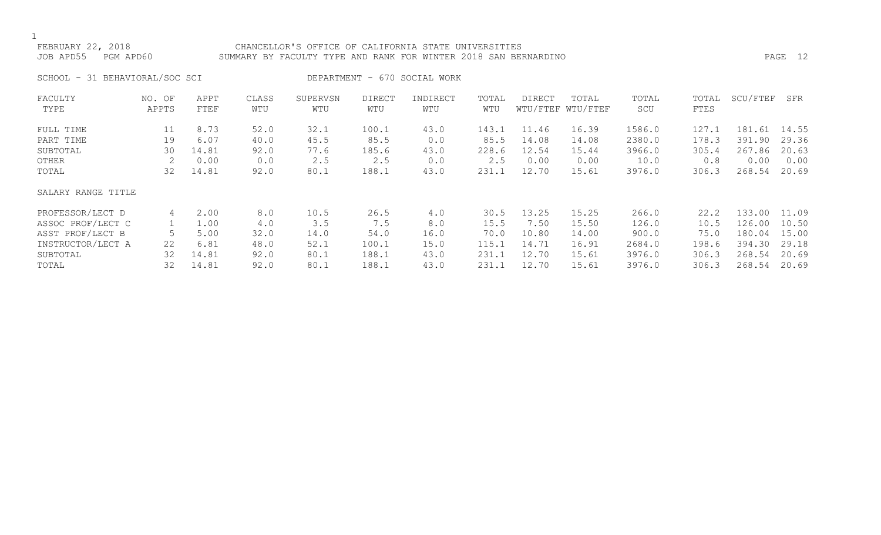# FEBRUARY 22, 2018 CHANCELLOR'S OFFICE OF CALIFORNIA STATE UNIVERSITIES JOB APD55 PGM APD60 SUMMARY BY FACULTY TYPE AND RANK FOR WINTER 2018 SAN BERNARDINO PAGE 12

SCHOOL - 31 BEHAVIORAL/SOC SCI DEPARTMENT - 670 SOCIAL WORK

| FACULTY            | NO. OF | APPT  | CLASS | SUPERVSN | <b>DIRECT</b> | INDIRECT | TOTAL | DIRECT | TOTAL             | TOTAL  | TOTAL | SCU/FTEF | SFR   |
|--------------------|--------|-------|-------|----------|---------------|----------|-------|--------|-------------------|--------|-------|----------|-------|
| TYPE               | APPTS  | FTEF  | WTU   | WTU      | WTU           | WTU      | WTU   |        | WTU/FTEF WTU/FTEF | SCU    | FTES  |          |       |
| FULL TIME          | 11     | 8.73  | 52.0  | 32.1     | 100.1         | 43.0     | 143.1 | 11.46  | 16.39             | 1586.0 | 127.1 | 181.61   | 14.55 |
| PART TIME          | 19     | 6.07  | 40.0  | 45.5     | 85.5          | 0.0      | 85.5  | 14.08  | 14.08             | 2380.0 | 178.3 | 391.90   | 29.36 |
| SUBTOTAL           | 30     | 14.81 | 92.0  | 77.6     | 185.6         | 43.0     | 228.6 | 12.54  | 15.44             | 3966.0 | 305.4 | 267.86   | 20.63 |
| OTHER              |        | 0.00  | 0.0   | 2.5      | 2.5           | 0.0      | 2.5   | 0.00   | 0.00              | 10.0   | 0.8   | 0.00     | 0.00  |
| TOTAL              | 32     | 14.81 | 92.0  | 80.1     | 188.1         | 43.0     | 231.1 | 12.70  | 15.61             | 3976.0 | 306.3 | 268.54   | 20.69 |
| SALARY RANGE TITLE |        |       |       |          |               |          |       |        |                   |        |       |          |       |
| PROFESSOR/LECT D   | 4      | 2.00  | 8.0   | 10.5     | 26.5          | 4.0      | 30.5  | 13.25  | 15.25             | 266.0  | 22.2  | 133.00   | 11.09 |
| ASSOC PROF/LECT C  |        | 1.00  | 4.0   | 3.5      | 7.5           | 8.0      | 15.5  | 7.50   | 15.50             | 126.0  | 10.5  | 126.00   | 10.50 |
| ASST PROF/LECT B   |        | 5.00  | 32.0  | 14.0     | 54.0          | 16.0     | 70.0  | 10.80  | 14.00             | 900.0  | 75.0  | 180.04   | 15.00 |
| INSTRUCTOR/LECT A  | 22     | 6.81  | 48.0  | 52.1     | 100.1         | 15.0     | 115.1 | 14.71  | 16.91             | 2684.0 | 198.6 | 394.30   | 29.18 |
| SUBTOTAL           | 32     | 14.81 | 92.0  | 80.1     | 188.1         | 43.0     | 231.1 | 12.70  | 15.61             | 3976.0 | 306.3 | 268.54   | 20.69 |
| TOTAL              | 32     | 14.81 | 92.0  | 80.1     | 188.1         | 43.0     | 231.1 | 12.70  | 15.61             | 3976.0 | 306.3 | 268.54   | 20.69 |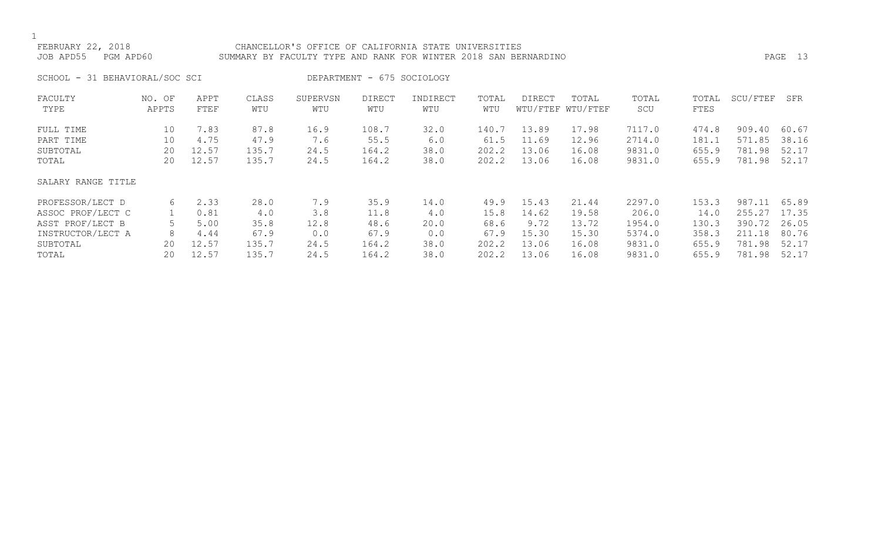### FEBRUARY 22, 2018 CHANCELLOR'S OFFICE OF CALIFORNIA STATE UNIVERSITIES JOB APD55 PGM APD60 SUMMARY BY FACULTY TYPE AND RANK FOR WINTER 2018 SAN BERNARDINO PAGE 13

SCHOOL - 31 BEHAVIORAL/SOC SCI DEPARTMENT - 675 SOCIOLOGY

| FACULTY            | NO. OF | APPT  | CLASS | SUPERVSN | <b>DIRECT</b> | INDIRECT | TOTAL | DIRECT | TOTAL             | TOTAL  | TOTAL | SCU/FTEF | SFR   |
|--------------------|--------|-------|-------|----------|---------------|----------|-------|--------|-------------------|--------|-------|----------|-------|
| TYPE               | APPTS  | FTEF  | WTU   | WTU      | WTU           | WTU      | WTU   |        | WTU/FTEF WTU/FTEF | SCU    | FTES  |          |       |
| FULL TIME          | 10     | 7.83  | 87.8  | 16.9     | 108.7         | 32.0     | 140.7 | 13.89  | 17.98             | 7117.0 | 474.8 | 909.40   | 60.67 |
| PART TIME          | 10     | 4.75  | 47.9  | 7.6      | 55.5          | 6.0      | 61.5  | 11.69  | 12.96             | 2714.0 | 181.1 | 571.85   | 38.16 |
| SUBTOTAL           | 20     | 12.57 | 135.7 | 24.5     | 164.2         | 38.0     | 202.2 | 13.06  | 16.08             | 9831.0 | 655.9 | 781.98   | 52.17 |
| TOTAL              | 20     | 12.57 | 135.7 | 24.5     | 164.2         | 38.0     | 202.2 | 13.06  | 16.08             | 9831.0 | 655.9 | 781.98   | 52.17 |
| SALARY RANGE TITLE |        |       |       |          |               |          |       |        |                   |        |       |          |       |
| PROFESSOR/LECT D   | 6      | 2.33  | 28.0  | 7.9      | 35.9          | 14.0     | 49.9  | 15.43  | 21.44             | 2297.0 | 153.3 | 987.11   | 65.89 |
| ASSOC PROF/LECT C  |        | 0.81  | 4.0   | 3.8      | 11.8          | 4.0      | 15.8  | 14.62  | 19.58             | 206.0  | 14.0  | 255.27   | 17.35 |
| ASST PROF/LECT B   |        | 5.00  | 35.8  | 12.8     | 48.6          | 20.0     | 68.6  | 9.72   | 13.72             | 1954.0 | 130.3 | 390.72   | 26.05 |
| INSTRUCTOR/LECT A  | 8      | 4.44  | 67.9  | 0.0      | 67.9          | 0.0      | 67.9  | 15.30  | 15.30             | 5374.0 | 358.3 | 211.18   | 80.76 |
| SUBTOTAL           | 20     | 12.57 | 135.7 | 24.5     | 164.2         | 38.0     | 202.2 | 13.06  | 16.08             | 9831.0 | 655.9 | 781.98   | 52.17 |
| TOTAL              | 20     | 12.57 | 135.7 | 24.5     | 164.2         | 38.0     | 202.2 | 13.06  | 16.08             | 9831.0 | 655.9 | 781.98   | 52.17 |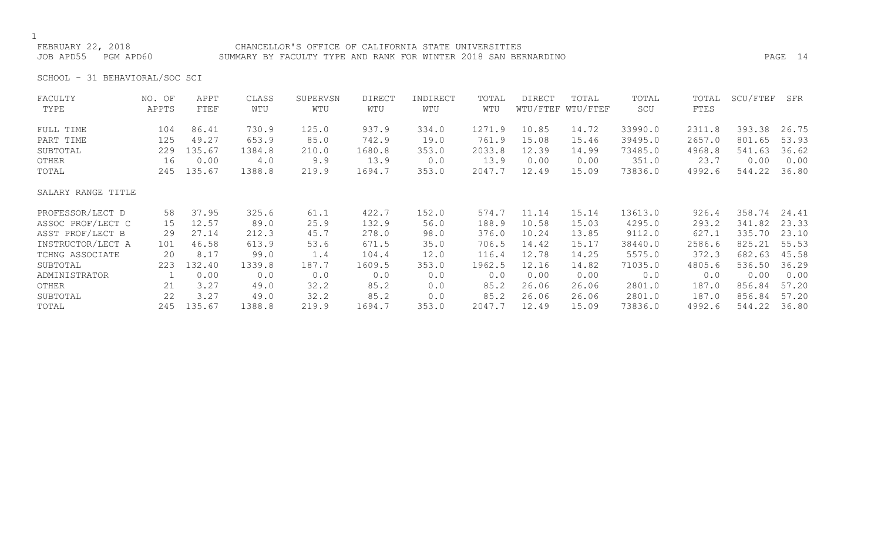### FEBRUARY 22, 2018 CHANCELLOR'S OFFICE OF CALIFORNIA STATE UNIVERSITIES JOB APD55 PGM APD60 SUMMARY BY FACULTY TYPE AND RANK FOR WINTER 2018 SAN BERNARDINO PAGE 14

SCHOOL - 31 BEHAVIORAL/SOC SCI

| FACULTY            | NO. OF | APPT   | CLASS  | SUPERVSN | DIRECT | INDIRECT | TOTAL  | DIRECT | TOTAL             | TOTAL   | TOTAL  | SCU/FTEF | SFR   |
|--------------------|--------|--------|--------|----------|--------|----------|--------|--------|-------------------|---------|--------|----------|-------|
| TYPE               | APPTS  | FTEF   | WTU    | WTU      | WTU    | WTU      | WTU    |        | WTU/FTEF WTU/FTEF | SCU     | FTES   |          |       |
| FULL TIME          | 104    | 86.41  | 730.9  | 125.0    | 937.9  | 334.0    | 1271.9 | 10.85  | 14.72             | 33990.0 | 2311.8 | 393.38   | 26.75 |
| PART TIME          | 125    | 49.27  | 653.9  | 85.0     | 742.9  | 19.0     | 761.9  | 15.08  | 15.46             | 39495.0 | 2657.0 | 801.65   | 53.93 |
| SUBTOTAL           | 229    | 135.67 | 1384.8 | 210.0    | 1680.8 | 353.0    | 2033.8 | 12.39  | 14.99             | 73485.0 | 4968.8 | 541.63   | 36.62 |
| OTHER              | 16     | 0.00   | 4.0    | 9.9      | 13.9   | 0.0      | 13.9   | 0.00   | 0.00              | 351.0   | 23.7   | 0.00     | 0.00  |
| TOTAL              | 245    | 135.67 | 1388.8 | 219.9    | 1694.7 | 353.0    | 2047.7 | 12.49  | 15.09             | 73836.0 | 4992.6 | 544.22   | 36.80 |
| SALARY RANGE TITLE |        |        |        |          |        |          |        |        |                   |         |        |          |       |
| PROFESSOR/LECT D   | 58     | 37.95  | 325.6  | 61.1     | 422.7  | 152.0    | 574.7  | 11.14  | 15.14             | 13613.0 | 926.4  | 358.74   | 24.41 |
| ASSOC PROF/LECT C  | 15     | 12.57  | 89.0   | 25.9     | 132.9  | 56.0     | 188.9  | 10.58  | 15.03             | 4295.0  | 293.2  | 341.82   | 23.33 |
| ASST PROF/LECT B   | 29     | 27.14  | 212.3  | 45.7     | 278.0  | 98.0     | 376.0  | 10.24  | 13.85             | 9112.0  | 627.1  | 335.70   | 23.10 |
| INSTRUCTOR/LECT A  | 101    | 46.58  | 613.9  | 53.6     | 671.5  | 35.0     | 706.5  | 14.42  | 15.17             | 38440.0 | 2586.6 | 825.21   | 55.53 |
| TCHNG ASSOCIATE    | 20     | 8.17   | 99.0   | 1.4      | 104.4  | 12.0     | 116.4  | 12.78  | 14.25             | 5575.0  | 372.3  | 682.63   | 45.58 |
| SUBTOTAL           | 223    | 132.40 | 1339.8 | 187.7    | 1609.5 | 353.0    | 1962.5 | 12.16  | 14.82             | 71035.0 | 4805.6 | 536.50   | 36.29 |
| ADMINISTRATOR      |        | 0.00   | 0.0    | 0.0      | 0.0    | 0.0      | 0.0    | 0.00   | 0.00              | 0.0     | 0.0    | 0.00     | 0.00  |
| OTHER              | 21     | 3.27   | 49.0   | 32.2     | 85.2   | 0.0      | 85.2   | 26.06  | 26.06             | 2801.0  | 187.0  | 856.84   | 57.20 |
| SUBTOTAL           | 22     | 3.27   | 49.0   | 32.2     | 85.2   | 0.0      | 85.2   | 26.06  | 26.06             | 2801.0  | 187.0  | 856.84   | 57.20 |
| TOTAL              | 245    | 135.67 | 1388.8 | 219.9    | 1694.7 | 353.0    | 2047.7 | 12.49  | 15.09             | 73836.0 | 4992.6 | 544.22   | 36.80 |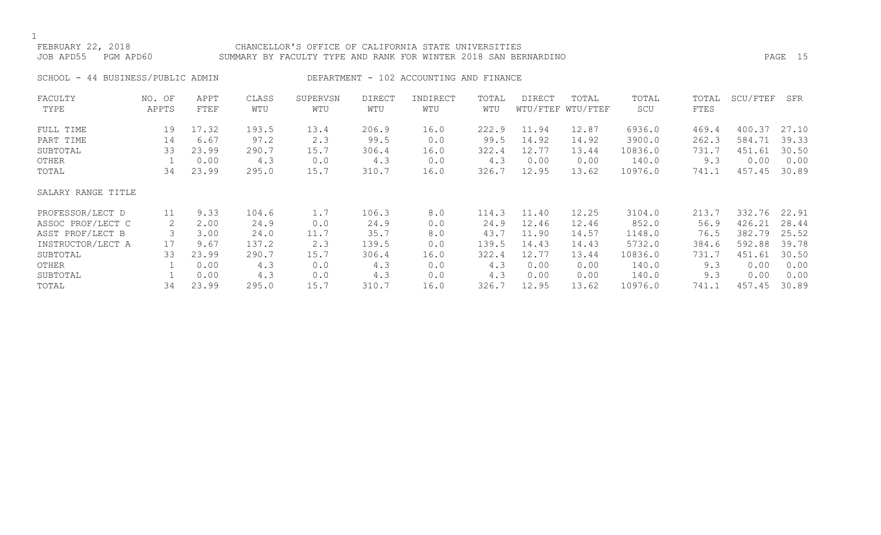# FEBRUARY 22, 2018 CHANCELLOR'S OFFICE OF CALIFORNIA STATE UNIVERSITIES JOB APD55 PGM APD60 SUMMARY BY FACULTY TYPE AND RANK FOR WINTER 2018 SAN BERNARDINO PAGE 15

SCHOOL - 44 BUSINESS/PUBLIC ADMIN DEPARTMENT - 102 ACCOUNTING AND FINANCE

| FACULTY            | NO. OF | APPT  | CLASS | SUPERVSN | <b>DIRECT</b> | INDIRECT | TOTAL | DIRECT | TOTAL             | TOTAL   | TOTAL | SCU/FTEF | SFR   |
|--------------------|--------|-------|-------|----------|---------------|----------|-------|--------|-------------------|---------|-------|----------|-------|
| TYPE               | APPTS  | FTEF  | WTU   | WTU      | WTU           | WTU      | WTU   |        | WTU/FTEF WTU/FTEF | SCU     | FTES  |          |       |
| FULL TIME          | 19     | 17.32 | 193.5 | 13.4     | 206.9         | 16.0     | 222.9 | 11.94  | 12.87             | 6936.0  | 469.4 | 400.37   | 27.10 |
| PART TIME          | 14     | 6.67  | 97.2  | 2.3      | 99.5          | 0.0      | 99.5  | 14.92  | 14.92             | 3900.0  | 262.3 | 584.71   | 39.33 |
| SUBTOTAL           | 33     | 23.99 | 290.7 | 15.7     | 306.4         | 16.0     | 322.4 | 12.77  | 13.44             | 10836.0 | 731.7 | 451.61   | 30.50 |
| OTHER              |        | 0.00  | 4.3   | 0.0      | 4.3           | 0.0      | 4.3   | 0.00   | 0.00              | 140.0   | 9.3   | 0.00     | 0.00  |
| TOTAL              | 34     | 23.99 | 295.0 | 15.7     | 310.7         | 16.0     | 326.7 | 12.95  | 13.62             | 10976.0 | 741.1 | 457.45   | 30.89 |
| SALARY RANGE TITLE |        |       |       |          |               |          |       |        |                   |         |       |          |       |
| PROFESSOR/LECT D   | 11     | 9.33  | 104.6 | 1.7      | 106.3         | 8.0      | 114.3 | 11.40  | 12.25             | 3104.0  | 213.7 | 332.76   | 22.91 |
| ASSOC PROF/LECT C  | 2      | 2.00  | 24.9  | 0.0      | 24.9          | 0.0      | 24.9  | 12.46  | 12.46             | 852.0   | 56.9  | 426.21   | 28.44 |
| ASST PROF/LECT B   |        | 3.00  | 24.0  | 11.7     | 35.7          | 8.0      | 43.7  | 11.90  | 14.57             | 1148.0  | 76.5  | 382.79   | 25.52 |
| INSTRUCTOR/LECT A  | 17     | 9.67  | 137.2 | 2.3      | 139.5         | 0.0      | 139.5 | 14.43  | 14.43             | 5732.0  | 384.6 | 592.88   | 39.78 |
| SUBTOTAL           | 33     | 23.99 | 290.7 | 15.7     | 306.4         | 16.0     | 322.4 | 12.77  | 13.44             | 10836.0 | 731.7 | 451.61   | 30.50 |
| OTHER              |        | 0.00  | 4.3   | 0.0      | 4.3           | 0.0      | 4.3   | 0.00   | 0.00              | 140.0   | 9.3   | 0.00     | 0.00  |
| SUBTOTAL           |        | 0.00  | 4.3   | 0.0      | 4.3           | 0.0      | 4.3   | 0.00   | 0.00              | 140.0   | 9.3   | 0.00     | 0.00  |
| TOTAL              | 34     | 23.99 | 295.0 | 15.7     | 310.7         | 16.0     | 326.7 | 12.95  | 13.62             | 10976.0 | 741.1 | 457.45   | 30.89 |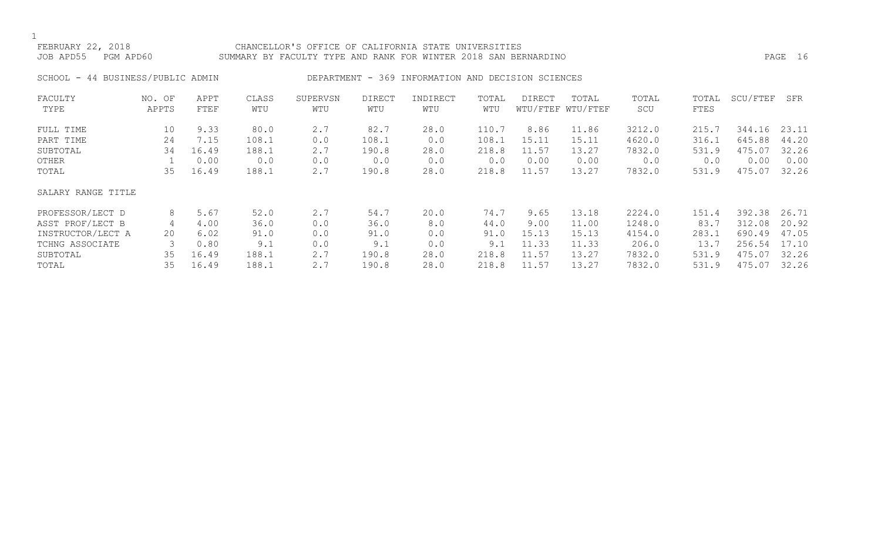## FEBRUARY 22, 2018 CHANCELLOR'S OFFICE OF CALIFORNIA STATE UNIVERSITIES JOB APD55 PGM APD60 SUMMARY BY FACULTY TYPE AND RANK FOR WINTER 2018 SAN BERNARDINO PAGE 16

# SCHOOL - 44 BUSINESS/PUBLIC ADMIN DEPARTMENT - 369 INFORMATION AND DECISION SCIENCES

| FACULTY            | NO. OF | APPT  | CLASS | SUPERVSN | <b>DIRECT</b> | INDIRECT | TOTAL | DIRECT | TOTAL             | TOTAL  | TOTAL | SCU/FTEF | SFR   |
|--------------------|--------|-------|-------|----------|---------------|----------|-------|--------|-------------------|--------|-------|----------|-------|
| TYPE               | APPTS  | FTEF  | WTU   | WTU      | WTU           | WTU      | WTU   |        | WTU/FTEF WTU/FTEF | SCU    | FTES  |          |       |
| FULL TIME          | 10     | 9.33  | 80.0  | 2.7      | 82.7          | 28.0     | 110.7 | 8.86   | 11.86             | 3212.0 | 215.7 | 344.16   | 23.11 |
| PART TIME          | 24     | 7.15  | 108.1 | 0.0      | 108.1         | 0.0      | 108.1 | 15.11  | 15.11             | 4620.0 | 316.1 | 645.88   | 44.20 |
| SUBTOTAL           | 34     | 16.49 | 188.1 | 2.7      | 190.8         | 28.0     | 218.8 | 11.57  | 13.27             | 7832.0 | 531.9 | 475.07   | 32.26 |
| OTHER              |        | 0.00  | 0.0   | 0.0      | 0.0           | 0.0      | 0.0   | 0.00   | 0.00              | 0.0    | 0.0   | 0.00     | 0.00  |
| TOTAL              | 35     | 16.49 | 188.1 | 2.7      | 190.8         | 28.0     | 218.8 | 11.57  | 13.27             | 7832.0 | 531.9 | 475.07   | 32.26 |
| SALARY RANGE TITLE |        |       |       |          |               |          |       |        |                   |        |       |          |       |
| PROFESSOR/LECT D   | 8      | 5.67  | 52.0  | 2.7      | 54.7          | 20.0     | 74.7  | 9.65   | 13.18             | 2224.0 | 151.4 | 392.38   | 26.71 |
| ASST PROF/LECT B   | 4      | 4.00  | 36.0  | 0.0      | 36.0          | 8.0      | 44.0  | 9.00   | 11.00             | 1248.0 | 83.7  | 312.08   | 20.92 |
| INSTRUCTOR/LECT A  | 20     | 6.02  | 91.0  | 0.0      | 91.0          | 0.0      | 91.0  | 15.13  | 15.13             | 4154.0 | 283.1 | 690.49   | 47.05 |
| TCHNG ASSOCIATE    |        | 0.80  | 9.1   | 0.0      | 9.1           | 0.0      | 9.1   | 11.33  | 11.33             | 206.0  | 13.7  | 256.54   | 17.10 |
| SUBTOTAL           | 35     | 16.49 | 188.1 | 2.7      | 190.8         | 28.0     | 218.8 | 11.57  | 13.27             | 7832.0 | 531.9 | 475.07   | 32.26 |
| TOTAL              | 35     | 16.49 | 188.1 | 2.7      | 190.8         | 28.0     | 218.8 | 11.57  | 13.27             | 7832.0 | 531.9 | 475.07   | 32.26 |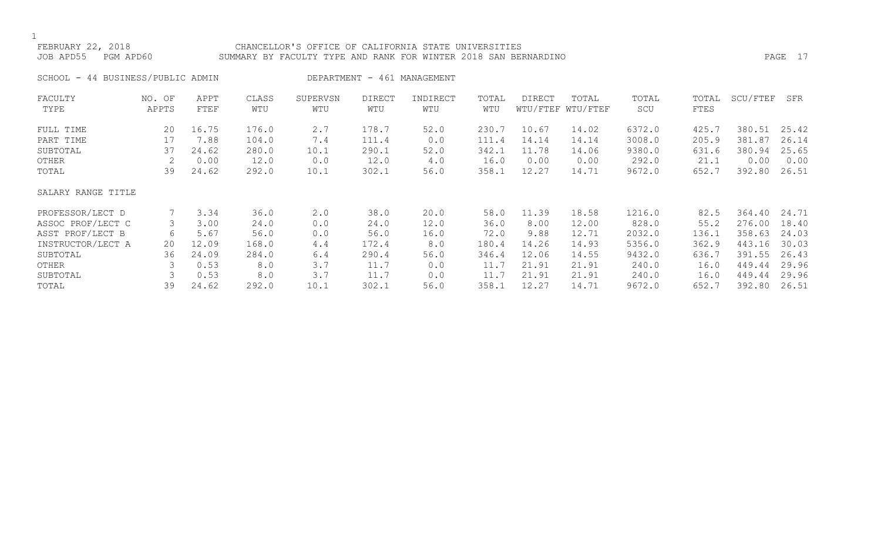### FEBRUARY 22, 2018 CHANCELLOR'S OFFICE OF CALIFORNIA STATE UNIVERSITIES JOB APD55 PGM APD60 SUMMARY BY FACULTY TYPE AND RANK FOR WINTER 2018 SAN BERNARDINO PAGE 17

SCHOOL - 44 BUSINESS/PUBLIC ADMIN DEPARTMENT - 461 MANAGEMENT

| FACULTY            | NO. OF | APPT  | CLASS | SUPERVSN | <b>DIRECT</b> | INDIRECT | TOTAL | DIRECT | TOTAL             | TOTAL  | TOTAL | SCU/FTEF | SFR   |
|--------------------|--------|-------|-------|----------|---------------|----------|-------|--------|-------------------|--------|-------|----------|-------|
| TYPE               | APPTS  | FTEF  | WTU   | WTU      | WTU           | WTU      | WTU   |        | WTU/FTEF WTU/FTEF | SCU    | FTES  |          |       |
| FULL TIME          | 20     | 16.75 | 176.0 | 2.7      | 178.7         | 52.0     | 230.7 | 10.67  | 14.02             | 6372.0 | 425.7 | 380.51   | 25.42 |
| PART TIME          | 17     | 7.88  | 104.0 | 7.4      | 111.4         | 0.0      | 111.4 | 14.14  | 14.14             | 3008.0 | 205.9 | 381.87   | 26.14 |
| SUBTOTAL           | 37     | 24.62 | 280.0 | 10.1     | 290.1         | 52.0     | 342.1 | 11.78  | 14.06             | 9380.0 | 631.6 | 380.94   | 25.65 |
| OTHER              |        | 0.00  | 12.0  | 0.0      | 12.0          | 4.0      | 16.0  | 0.00   | 0.00              | 292.0  | 21.1  | 0.00     | 0.00  |
| TOTAL              | 39     | 24.62 | 292.0 | 10.1     | 302.1         | 56.0     | 358.1 | 12.27  | 14.71             | 9672.0 | 652.7 | 392.80   | 26.51 |
| SALARY RANGE TITLE |        |       |       |          |               |          |       |        |                   |        |       |          |       |
| PROFESSOR/LECT D   |        | 3.34  | 36.0  | 2.0      | 38.0          | 20.0     | 58.0  | 11.39  | 18.58             | 1216.0 | 82.5  | 364.40   | 24.71 |
| ASSOC PROF/LECT C  | 3      | 3.00  | 24.0  | 0.0      | 24.0          | 12.0     | 36.0  | 8.00   | 12.00             | 828.0  | 55.2  | 276.00   | 18.40 |
| ASST PROF/LECT B   | 6      | 5.67  | 56.0  | 0.0      | 56.0          | 16.0     | 72.0  | 9.88   | 12.71             | 2032.0 | 136.1 | 358.63   | 24.03 |
| INSTRUCTOR/LECT A  | 20     | 12.09 | 168.0 | 4.4      | 172.4         | 8.0      | 180.4 | 14.26  | 14.93             | 5356.0 | 362.9 | 443.16   | 30.03 |
| SUBTOTAL           | 36     | 24.09 | 284.0 | 6.4      | 290.4         | 56.0     | 346.4 | 12.06  | 14.55             | 9432.0 | 636.7 | 391.55   | 26.43 |
| OTHER              |        | 0.53  | 8.0   | 3.7      | 11.7          | 0.0      | 11.7  | 21.91  | 21.91             | 240.0  | 16.0  | 449.44   | 29.96 |
| SUBTOTAL           |        | 0.53  | 8.0   | 3.7      | 11.7          | 0.0      | 11.7  | 21.91  | 21.91             | 240.0  | 16.0  | 449.44   | 29.96 |
| TOTAL              | 39     | 24.62 | 292.0 | 10.1     | 302.1         | 56.0     | 358.1 | 12.27  | 14.71             | 9672.0 | 652.7 | 392.80   | 26.51 |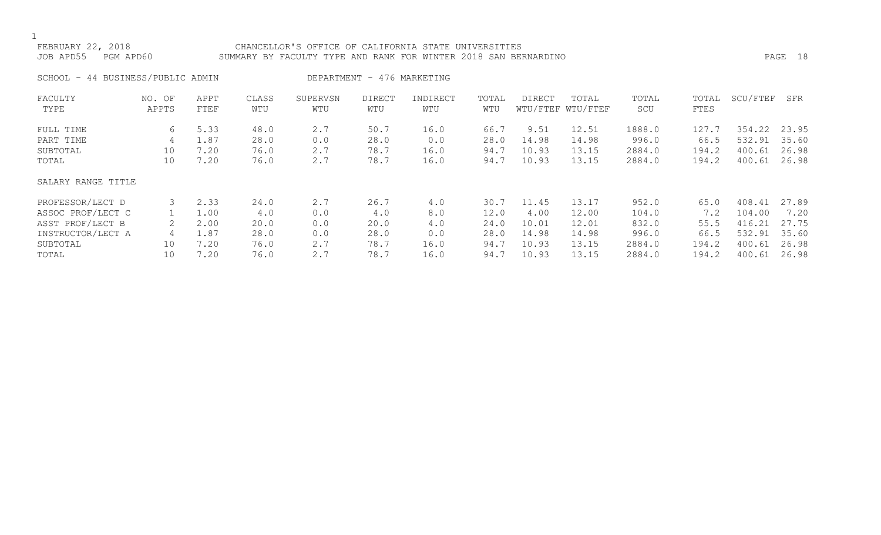### FEBRUARY 22, 2018 CHANCELLOR'S OFFICE OF CALIFORNIA STATE UNIVERSITIES JOB APD55 PGM APD60 SUMMARY BY FACULTY TYPE AND RANK FOR WINTER 2018 SAN BERNARDINO PAGE 18

# SCHOOL - 44 BUSINESS/PUBLIC ADMIN DEPARTMENT - 476 MARKETING

| FACULTY<br>TYPE    | NO. OF<br>APPTS | APPT<br>FTEF | CLASS<br>WTU | SUPERVSN<br>WTU | <b>DIRECT</b><br>WTU | INDIRECT<br>WTU | TOTAL<br>WTU | DIRECT | TOTAL<br>WTU/FTEF WTU/FTEF | TOTAL<br>SCU | TOTAL<br>FTES | SCU/FTEF | SFR   |
|--------------------|-----------------|--------------|--------------|-----------------|----------------------|-----------------|--------------|--------|----------------------------|--------------|---------------|----------|-------|
| FULL TIME          | 6               | 5.33         | 48.0         | 2.7             | 50.7                 | 16.0            | 66.7         | 9.51   | 12.51                      | 1888.0       | 127.7         | 354.22   | 23.95 |
| PART TIME          | 4               | 1.87         | 28.0         | 0.0             | 28.0                 | 0.0             | 28.0         | 14.98  | 14.98                      | 996.0        | 66.5          | 532.91   | 35.60 |
| SUBTOTAL           | 10              | 7.20         | 76.0         | 2.7             | 78.7                 | 16.0            | 94.7         | 10.93  | 13.15                      | 2884.0       | 194.2         | 400.61   | 26.98 |
| TOTAL              | 10              | 7.20         | 76.0         | 2.7             | 78.7                 | 16.0            | 94.7         | 10.93  | 13.15                      | 2884.0       | 194.2         | 400.61   | 26.98 |
| SALARY RANGE TITLE |                 |              |              |                 |                      |                 |              |        |                            |              |               |          |       |
| PROFESSOR/LECT D   |                 | 2.33         | 24.0         | 2.7             | 26.7                 | 4.0             | 30.7         | 11.45  | 13.17                      | 952.0        | 65.0          | 408.41   | 27.89 |
| ASSOC PROF/LECT C  |                 | 1.00         | 4.0          | 0.0             | 4.0                  | 8.0             | 12.0         | 4.00   | 12.00                      | 104.0        | 7.2           | 104.00   | 7.20  |
| ASST PROF/LECT B   | 2               | 2.00         | 20.0         | 0.0             | 20.0                 | 4.0             | 24.0         | 10.01  | 12.01                      | 832.0        | 55.5          | 416.21   | 27.75 |
| INSTRUCTOR/LECT A  | 4               | 1.87         | 28.0         | 0.0             | 28.0                 | 0.0             | 28.0         | 14.98  | 14.98                      | 996.0        | 66.5          | 532.91   | 35.60 |
| SUBTOTAL           | 10              | 7.20         | 76.0         | 2.7             | 78.7                 | 16.0            | 94.7         | 10.93  | 13.15                      | 2884.0       | 194.2         | 400.61   | 26.98 |
| TOTAL              | 10              | 7.20         | 76.0         | 2.7             | 78.7                 | 16.0            | 94.7         | 10.93  | 13.15                      | 2884.0       | 194.2         | 400.61   | 26.98 |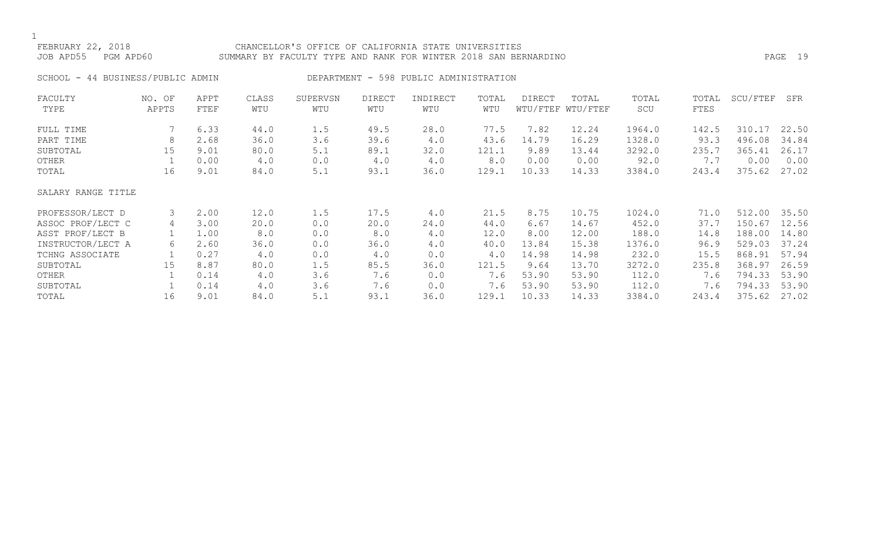# FEBRUARY 22, 2018 CHANCELLOR'S OFFICE OF CALIFORNIA STATE UNIVERSITIES JOB APD55 PGM APD60 SUMMARY BY FACULTY TYPE AND RANK FOR WINTER 2018 SAN BERNARDINO PAGE 19

SCHOOL - 44 BUSINESS/PUBLIC ADMIN DEPARTMENT - 598 PUBLIC ADMINISTRATION

| FACULTY            | NO. OF | APPT | CLASS | SUPERVSN | <b>DIRECT</b> | INDIRECT | TOTAL | <b>DIRECT</b> | TOTAL             | TOTAL  | TOTAL | SCU/FTEF | SFR   |
|--------------------|--------|------|-------|----------|---------------|----------|-------|---------------|-------------------|--------|-------|----------|-------|
| TYPE               | APPTS  | FTEF | WTU   | WTU      | WTU           | WTU      | WTU   |               | WTU/FTEF WTU/FTEF | SCU    | FTES  |          |       |
| FULL TIME          |        | 6.33 | 44.0  | 1.5      | 49.5          | 28.0     | 77.5  | 7.82          | 12.24             | 1964.0 | 142.5 | 310.17   | 22.50 |
| PART TIME          | 8      | 2.68 | 36.0  | 3.6      | 39.6          | 4.0      | 43.6  | 14.79         | 16.29             | 1328.0 | 93.3  | 496.08   | 34.84 |
| SUBTOTAL           | 15     | 9.01 | 80.0  | 5.1      | 89.1          | 32.0     | 121.1 | 9.89          | 13.44             | 3292.0 | 235.7 | 365.41   | 26.17 |
| OTHER              |        | 0.00 | 4.0   | 0.0      | 4.0           | 4.0      | 8.0   | 0.00          | 0.00              | 92.0   | 7.7   | 0.00     | 0.00  |
| TOTAL              | 16     | 9.01 | 84.0  | 5.1      | 93.1          | 36.0     | 129.1 | 10.33         | 14.33             | 3384.0 | 243.4 | 375.62   | 27.02 |
| SALARY RANGE TITLE |        |      |       |          |               |          |       |               |                   |        |       |          |       |
| PROFESSOR/LECT D   | 3      | 2.00 | 12.0  | 1.5      | 17.5          | 4.0      | 21.5  | 8.75          | 10.75             | 1024.0 | 71.0  | 512.00   | 35.50 |
| ASSOC PROF/LECT C  | 4      | 3.00 | 20.0  | 0.0      | 20.0          | 24.0     | 44.0  | 6.67          | 14.67             | 452.0  | 37.7  | 150.67   | 12.56 |
| ASST PROF/LECT B   |        | 1.00 | 8.0   | 0.0      | 8.0           | 4.0      | 12.0  | 8.00          | 12.00             | 188.0  | 14.8  | 188.00   | 14.80 |
| INSTRUCTOR/LECT A  | 6      | 2.60 | 36.0  | 0.0      | 36.0          | 4.0      | 40.0  | 13.84         | 15.38             | 1376.0 | 96.9  | 529.03   | 37.24 |
| TCHNG ASSOCIATE    |        | 0.27 | 4.0   | 0.0      | 4.0           | 0.0      | 4.0   | 14.98         | 14.98             | 232.0  | 15.5  | 868.91   | 57.94 |
| SUBTOTAL           | 15     | 8.87 | 80.0  | 1.5      | 85.5          | 36.0     | 121.5 | 9.64          | 13.70             | 3272.0 | 235.8 | 368.97   | 26.59 |
| OTHER              |        | 0.14 | 4.0   | 3.6      | 7.6           | 0.0      | 7.6   | 53.90         | 53.90             | 112.0  | 7.6   | 794.33   | 53.90 |
| SUBTOTAL           |        | 0.14 | 4.0   | 3.6      | 7.6           | 0.0      | 7.6   | 53.90         | 53.90             | 112.0  | 7.6   | 794.33   | 53.90 |
| TOTAL              | 16     | 9.01 | 84.0  | 5.1      | 93.1          | 36.0     | 129.1 | 10.33         | 14.33             | 3384.0 | 243.4 | 375.62   | 27.02 |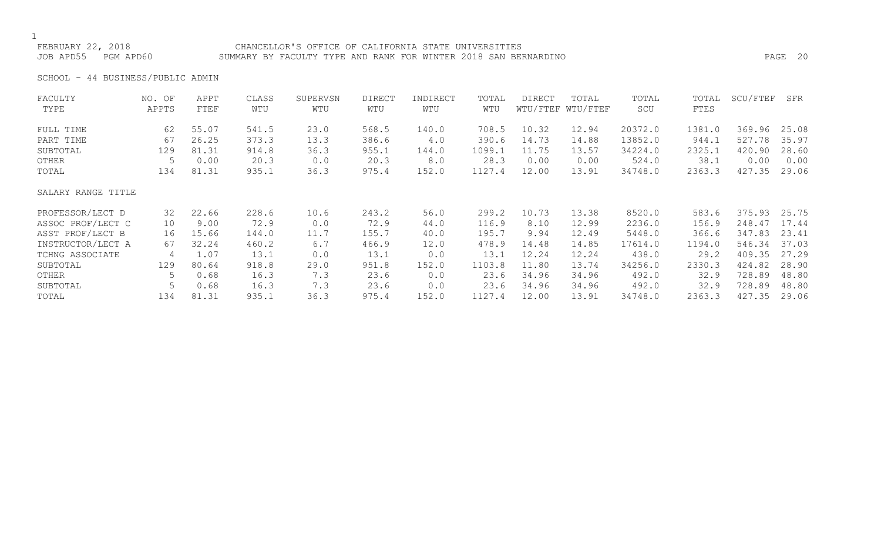FEBRUARY 22, 2018 CHANCELLOR'S OFFICE OF CALIFORNIA STATE UNIVERSITIES JOB APD55 PGM APD60 SUMMARY BY FACULTY TYPE AND RANK FOR WINTER 2018 SAN BERNARDINO PAGE 20

SCHOOL - 44 BUSINESS/PUBLIC ADMIN

| FACULTY            | NO. OF | APPT  | CLASS | SUPERVSN | <b>DIRECT</b> | INDIRECT | TOTAL  | DIRECT | TOTAL             | TOTAL   | TOTAL  | SCU/FTEF | SFR   |
|--------------------|--------|-------|-------|----------|---------------|----------|--------|--------|-------------------|---------|--------|----------|-------|
| TYPE               | APPTS  | FTEF  | WTU   | WTU      | WTU           | WTU      | WTU    |        | WTU/FTEF WTU/FTEF | SCU     | FTES   |          |       |
| FULL TIME          | 62     | 55.07 | 541.5 | 23.0     | 568.5         | 140.0    | 708.5  | 10.32  | 12.94             | 20372.0 | 1381.0 | 369.96   | 25.08 |
| PART TIME          | 67     | 26.25 | 373.3 | 13.3     | 386.6         | 4.0      | 390.6  | 14.73  | 14.88             | 13852.0 | 944.1  | 527.78   | 35.97 |
| SUBTOTAL           | 129    | 81.31 | 914.8 | 36.3     | 955.1         | 144.0    | 1099.1 | 11.75  | 13.57             | 34224.0 | 2325.1 | 420.90   | 28.60 |
| OTHER              | 5      | 0.00  | 20.3  | 0.0      | 20.3          | 8.0      | 28.3   | 0.00   | 0.00              | 524.0   | 38.1   | 0.00     | 0.00  |
| TOTAL              | 134    | 81.31 | 935.1 | 36.3     | 975.4         | 152.0    | 1127.4 | 12.00  | 13.91             | 34748.0 | 2363.3 | 427.35   | 29.06 |
| SALARY RANGE TITLE |        |       |       |          |               |          |        |        |                   |         |        |          |       |
| PROFESSOR/LECT D   | 32     | 22.66 | 228.6 | 10.6     | 243.2         | 56.0     | 299.2  | 10.73  | 13.38             | 8520.0  | 583.6  | 375.93   | 25.75 |
| ASSOC PROF/LECT C  | 10     | 9.00  | 72.9  | 0.0      | 72.9          | 44.0     | 116.9  | 8.10   | 12.99             | 2236.0  | 156.9  | 248.47   | 17.44 |
| ASST PROF/LECT B   | 16     | 15.66 | 144.0 | 11.7     | 155.7         | 40.0     | 195.7  | 9.94   | 12.49             | 5448.0  | 366.6  | 347.83   | 23.41 |
| INSTRUCTOR/LECT A  | 67     | 32.24 | 460.2 | 6.7      | 466.9         | 12.0     | 478.9  | 14.48  | 14.85             | 17614.0 | 1194.0 | 546.34   | 37.03 |
| TCHNG ASSOCIATE    | 4      | 1.07  | 13.1  | 0.0      | 13.1          | 0.0      | 13.1   | 12.24  | 12.24             | 438.0   | 29.2   | 409.35   | 27.29 |
| SUBTOTAL           | 129    | 80.64 | 918.8 | 29.0     | 951.8         | 152.0    | 1103.8 | 11.80  | 13.74             | 34256.0 | 2330.3 | 424.82   | 28.90 |
| OTHER              | 5      | 0.68  | 16.3  | 7.3      | 23.6          | 0.0      | 23.6   | 34.96  | 34.96             | 492.0   | 32.9   | 728.89   | 48.80 |
| SUBTOTAL           |        | 0.68  | 16.3  | 7.3      | 23.6          | 0.0      | 23.6   | 34.96  | 34.96             | 492.0   | 32.9   | 728.89   | 48.80 |
| TOTAL              | 134    | 81.31 | 935.1 | 36.3     | 975.4         | 152.0    | 1127.4 | 12.00  | 13.91             | 34748.0 | 2363.3 | 427.35   | 29.06 |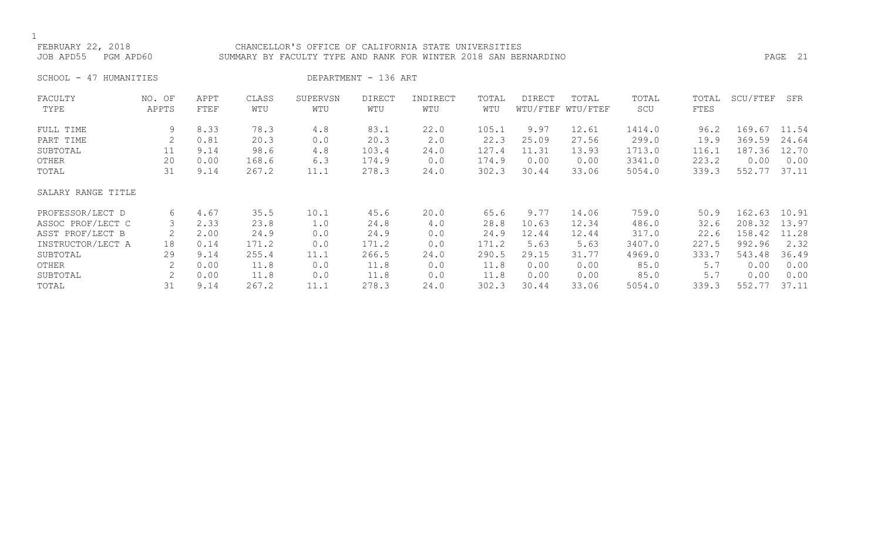### FEBRUARY 22, 2018 CHANCELLOR'S OFFICE OF CALIFORNIA STATE UNIVERSITIES JOB APD55 PGM APD60 SUMMARY BY FACULTY TYPE AND RANK FOR WINTER 2018 SAN BERNARDINO PAGE 21

SCHOOL - 47 HUMANITIES DEPARTMENT - 136 ART

| FACULTY            | NO. OF | APPT | CLASS | SUPERVSN | <b>DIRECT</b> | INDIRECT | TOTAL | <b>DIRECT</b> | TOTAL             | TOTAL  | TOTAL | SCU/FTEF | SFR   |
|--------------------|--------|------|-------|----------|---------------|----------|-------|---------------|-------------------|--------|-------|----------|-------|
| TYPE               | APPTS  | FTEF | WTU   | WTU      | WTU           | WTU      | WTU   |               | WTU/FTEF WTU/FTEF | SCU    | FTES  |          |       |
| FULL TIME          | 9      | 8.33 | 78.3  | 4.8      | 83.1          | 22.0     | 105.1 | 9.97          | 12.61             | 1414.0 | 96.2  | 169.67   | 11.54 |
| PART TIME          |        | 0.81 | 20.3  | 0.0      | 20.3          | 2.0      | 22.3  | 25.09         | 27.56             | 299.0  | 19.9  | 369.59   | 24.64 |
| SUBTOTAL           | 11     | 9.14 | 98.6  | 4.8      | 103.4         | 24.0     | 127.4 | 11.31         | 13.93             | 1713.0 | 116.1 | 187.36   | 12.70 |
| OTHER              | 20     | 0.00 | 168.6 | 6.3      | 174.9         | 0.0      | 174.9 | 0.00          | 0.00              | 3341.0 | 223.2 | 0.00     | 0.00  |
| TOTAL              | 31     | 9.14 | 267.2 | 11.1     | 278.3         | 24.0     | 302.3 | 30.44         | 33.06             | 5054.0 | 339.3 | 552.77   | 37.11 |
| SALARY RANGE TITLE |        |      |       |          |               |          |       |               |                   |        |       |          |       |
| PROFESSOR/LECT D   | 6      | 4.67 | 35.5  | 10.1     | 45.6          | 20.0     | 65.6  | 9.77          | 14.06             | 759.0  | 50.9  | 162.63   | 10.91 |
| ASSOC PROF/LECT C  |        | 2.33 | 23.8  | 1.0      | 24.8          | 4.0      | 28.8  | 10.63         | 12.34             | 486.0  | 32.6  | 208.32   | 13.97 |
| ASST PROF/LECT B   |        | 2.00 | 24.9  | 0.0      | 24.9          | 0.0      | 24.9  | 12.44         | 12.44             | 317.0  | 22.6  | 158.42   | 11.28 |
| INSTRUCTOR/LECT A  | 18     | 0.14 | 171.2 | 0.0      | 171.2         | 0.0      | 171.2 | 5.63          | 5.63              | 3407.0 | 227.5 | 992.96   | 2.32  |
| SUBTOTAL           | 29     | 9.14 | 255.4 | 11.1     | 266.5         | 24.0     | 290.5 | 29.15         | 31.77             | 4969.0 | 333.7 | 543.48   | 36.49 |
| OTHER              | 2      | 0.00 | 11.8  | 0.0      | 11.8          | 0.0      | 11.8  | 0.00          | 0.00              | 85.0   | 5.7   | 0.00     | 0.00  |
| SUBTOTAL           | 2      | 0.00 | 11.8  | 0.0      | 11.8          | 0.0      | 11.8  | 0.00          | 0.00              | 85.0   | 5.7   | 0.00     | 0.00  |
| TOTAL              | 31     | 9.14 | 267.2 | 11.1     | 278.3         | 24.0     | 302.3 | 30.44         | 33.06             | 5054.0 | 339.3 | 552.77   | 37.11 |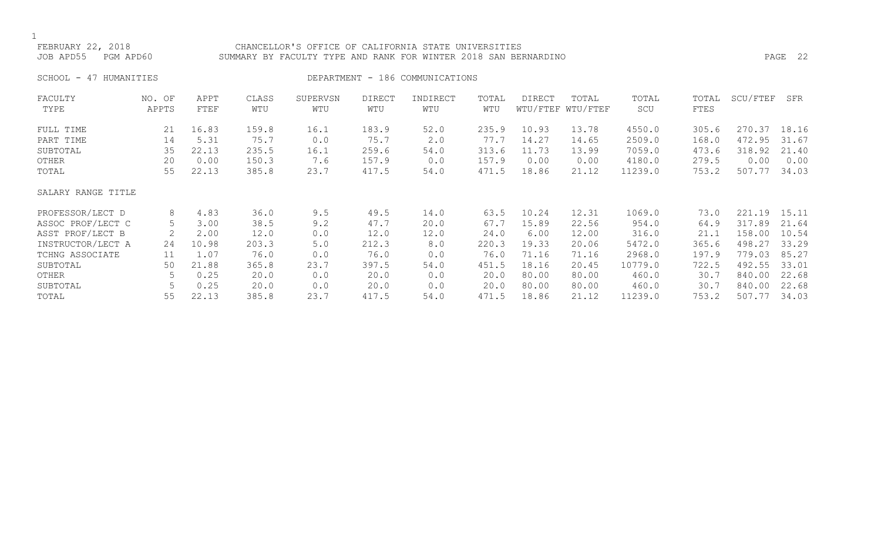### FEBRUARY 22, 2018 CHANCELLOR'S OFFICE OF CALIFORNIA STATE UNIVERSITIES JOB APD55 PGM APD60 SUMMARY BY FACULTY TYPE AND RANK FOR WINTER 2018 SAN BERNARDINO PAGE 22

SCHOOL - 47 HUMANITIES SERVICES DEPARTMENT - 186 COMMUNICATIONS

| FACULTY            | NO. OF | APPT  | CLASS | SUPERVSN | <b>DIRECT</b> | INDIRECT | TOTAL | <b>DIRECT</b> | TOTAL             | TOTAL   | TOTAL | SCU/FTEF | SFR   |
|--------------------|--------|-------|-------|----------|---------------|----------|-------|---------------|-------------------|---------|-------|----------|-------|
| TYPE               | APPTS  | FTEF  | WTU   | WTU      | WTU           | WTU      | WTU   |               | WTU/FTEF WTU/FTEF | SCU     | FTES  |          |       |
| FULL TIME          | 21     | 16.83 | 159.8 | 16.1     | 183.9         | 52.0     | 235.9 | 10.93         | 13.78             | 4550.0  | 305.6 | 270.37   | 18.16 |
| PART TIME          | 14     | 5.31  | 75.7  | 0.0      | 75.7          | 2.0      | 77.7  | 14.27         | 14.65             | 2509.0  | 168.0 | 472.95   | 31.67 |
| SUBTOTAL           | 35     | 22.13 | 235.5 | 16.1     | 259.6         | 54.0     | 313.6 | 11.73         | 13.99             | 7059.0  | 473.6 | 318.92   | 21.40 |
| OTHER              | 20     | 0.00  | 150.3 | 7.6      | 157.9         | 0.0      | 157.9 | 0.00          | 0.00              | 4180.0  | 279.5 | 0.00     | 0.00  |
| TOTAL              | 55     | 22.13 | 385.8 | 23.7     | 417.5         | 54.0     | 471.5 | 18.86         | 21.12             | 11239.0 | 753.2 | 507.77   | 34.03 |
| SALARY RANGE TITLE |        |       |       |          |               |          |       |               |                   |         |       |          |       |
| PROFESSOR/LECT D   | 8      | 4.83  | 36.0  | 9.5      | 49.5          | 14.0     | 63.5  | 10.24         | 12.31             | 1069.0  | 73.0  | 221.19   | 15.11 |
| ASSOC PROF/LECT C  | 5      | 3.00  | 38.5  | 9.2      | 47.7          | 20.0     | 67.7  | 15.89         | 22.56             | 954.0   | 64.9  | 317.89   | 21.64 |
| ASST PROF/LECT B   | 2      | 2.00  | 12.0  | 0.0      | 12.0          | 12.0     | 24.0  | 6.00          | 12.00             | 316.0   | 21.1  | 158.00   | 10.54 |
| INSTRUCTOR/LECT A  | 24     | 10.98 | 203.3 | $5.0$    | 212.3         | 8.0      | 220.3 | 19.33         | 20.06             | 5472.0  | 365.6 | 498.27   | 33.29 |
| TCHNG ASSOCIATE    | 11     | 1.07  | 76.0  | 0.0      | 76.0          | 0.0      | 76.0  | 71.16         | 71.16             | 2968.0  | 197.9 | 779.03   | 85.27 |
| SUBTOTAL           | 50     | 21.88 | 365.8 | 23.7     | 397.5         | 54.0     | 451.5 | 18.16         | 20.45             | 10779.0 | 722.5 | 492.55   | 33.01 |
| OTHER              | 5      | 0.25  | 20.0  | 0.0      | 20.0          | 0.0      | 20.0  | 80.00         | 80.00             | 460.0   | 30.7  | 840.00   | 22.68 |
| SUBTOTAL           | 5      | 0.25  | 20.0  | 0.0      | 20.0          | 0.0      | 20.0  | 80.00         | 80.00             | 460.0   | 30.7  | 840.00   | 22.68 |
| TOTAL              | 55     | 22.13 | 385.8 | 23.7     | 417.5         | 54.0     | 471.5 | 18.86         | 21.12             | 11239.0 | 753.2 | 507.77   | 34.03 |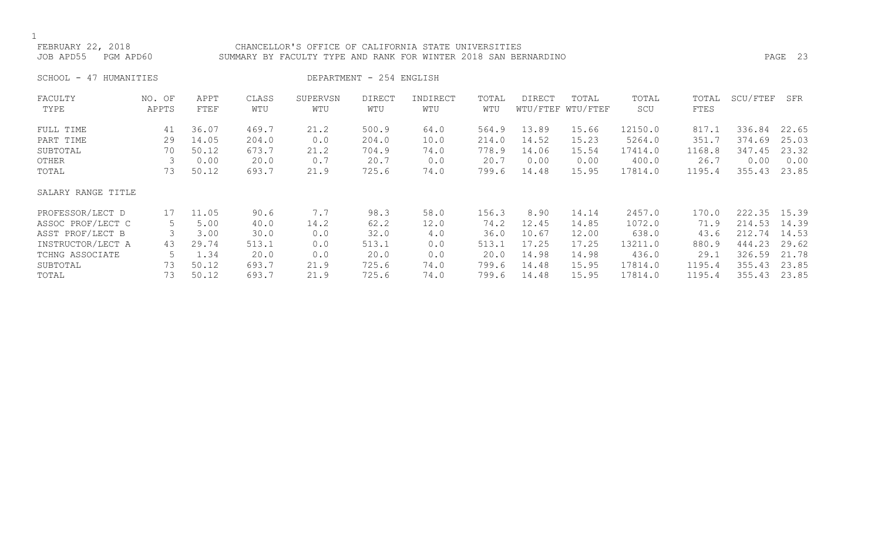### FEBRUARY 22, 2018 CHANCELLOR'S OFFICE OF CALIFORNIA STATE UNIVERSITIES JOB APD55 PGM APD60 SUMMARY BY FACULTY TYPE AND RANK FOR WINTER 2018 SAN BERNARDINO PAGE 23

SCHOOL - 47 HUMANITIES DEPARTMENT - 254 ENGLISH

| FACULTY            | NO. OF | APPT  | CLASS | SUPERVSN | DIRECT | INDIRECT | TOTAL | <b>DIRECT</b> | TOTAL             | TOTAL   | TOTAL  | SCU/FTEF | SFR   |
|--------------------|--------|-------|-------|----------|--------|----------|-------|---------------|-------------------|---------|--------|----------|-------|
| TYPE               | APPTS  | FTEF  | WTU   | WTU      | WTU    | WTU      | WTU   |               | WTU/FTEF WTU/FTEF | SCU     | FTES   |          |       |
| FULL TIME          | 41     | 36.07 | 469.7 | 21.2     | 500.9  | 64.0     | 564.9 | 13.89         | 15.66             | 12150.0 | 817.1  | 336.84   | 22.65 |
| PART TIME          | 29     | 14.05 | 204.0 | 0.0      | 204.0  | 10.0     | 214.0 | 14.52         | 15.23             | 5264.0  | 351.7  | 374.69   | 25.03 |
| SUBTOTAL           | 70     | 50.12 | 673.7 | 21.2     | 704.9  | 74.0     | 778.9 | 14.06         | 15.54             | 17414.0 | 1168.8 | 347.45   | 23.32 |
| OTHER              |        | 0.00  | 20.0  | 0.7      | 20.7   | 0.0      | 20.7  | 0.00          | 0.00              | 400.0   | 26.7   | 0.00     | 0.00  |
| TOTAL              | 73     | 50.12 | 693.7 | 21.9     | 725.6  | 74.0     | 799.6 | 14.48         | 15.95             | 17814.0 | 1195.4 | 355.43   | 23.85 |
| SALARY RANGE TITLE |        |       |       |          |        |          |       |               |                   |         |        |          |       |
| PROFESSOR/LECT D   | 17     | 11.05 | 90.6  | 7.7      | 98.3   | 58.0     | 156.3 | 8.90          | 14.14             | 2457.0  | 170.0  | 222.35   | 15.39 |
| ASSOC PROF/LECT C  | 5      | 5.00  | 40.0  | 14.2     | 62.2   | 12.0     | 74.2  | 12.45         | 14.85             | 1072.0  | 71.9   | 214.53   | 14.39 |
| ASST PROF/LECT B   |        | 3.00  | 30.0  | 0.0      | 32.0   | 4.0      | 36.0  | 10.67         | 12.00             | 638.0   | 43.6   | 212.74   | 14.53 |
| INSTRUCTOR/LECT A  | 43     | 29.74 | 513.1 | 0.0      | 513.1  | 0.0      | 513.1 | 17.25         | 17.25             | 13211.0 | 880.9  | 444.23   | 29.62 |
| TCHNG ASSOCIATE    |        | 1.34  | 20.0  | 0.0      | 20.0   | 0.0      | 20.0  | 14.98         | 14.98             | 436.0   | 29.1   | 326.59   | 21.78 |
| SUBTOTAL           | 73     | 50.12 | 693.7 | 21.9     | 725.6  | 74.0     | 799.6 | 14.48         | 15.95             | 17814.0 | 1195.4 | 355.43   | 23.85 |
| TOTAL              | 73     | 50.12 | 693.7 | 21.9     | 725.6  | 74.0     | 799.6 | 14.48         | 15.95             | 17814.0 | 1195.4 | 355.43   | 23.85 |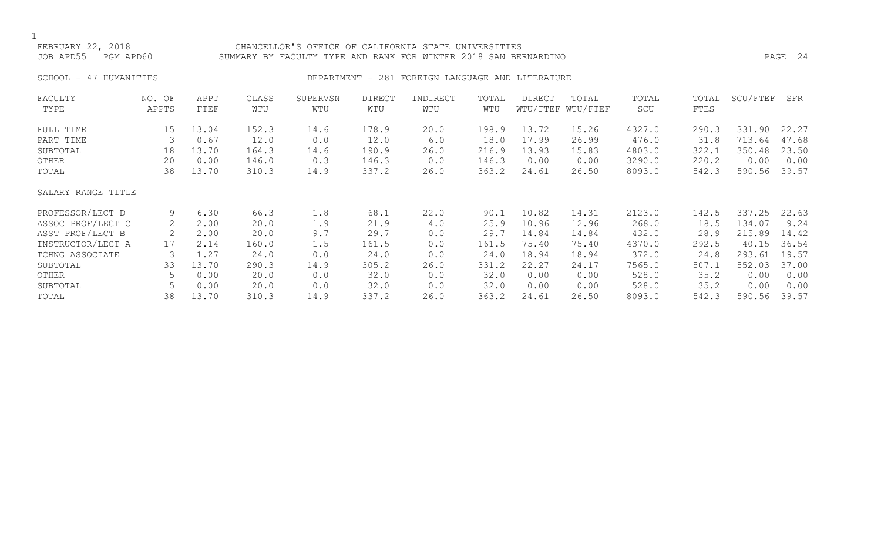## FEBRUARY 22, 2018 CHANCELLOR'S OFFICE OF CALIFORNIA STATE UNIVERSITIES JOB APD55 PGM APD60 SUMMARY BY FACULTY TYPE AND RANK FOR WINTER 2018 SAN BERNARDINO PAGE 24

# SCHOOL - 47 HUMANITIES SERIES DEPARTMENT - 281 FOREIGN LANGUAGE AND LITERATURE

| FACULTY            | NO. OF | APPT  | CLASS | SUPERVSN | <b>DIRECT</b> | INDIRECT | TOTAL | DIRECT | TOTAL             | TOTAL  | TOTAL | SCU/FTEF | SFR   |
|--------------------|--------|-------|-------|----------|---------------|----------|-------|--------|-------------------|--------|-------|----------|-------|
| TYPE               | APPTS  | FTEF  | WTU   | WTU      | WTU           | WTU      | WTU   |        | WTU/FTEF WTU/FTEF | SCU    | FTES  |          |       |
| FULL TIME          | 15     | 13.04 | 152.3 | 14.6     | 178.9         | 20.0     | 198.9 | 13.72  | 15.26             | 4327.0 | 290.3 | 331.90   | 22.27 |
| PART TIME          | 3      | 0.67  | 12.0  | 0.0      | 12.0          | 6.0      | 18.0  | 17.99  | 26.99             | 476.0  | 31.8  | 713.64   | 47.68 |
| SUBTOTAL           | 18     | 13.70 | 164.3 | 14.6     | 190.9         | 26.0     | 216.9 | 13.93  | 15.83             | 4803.0 | 322.1 | 350.48   | 23.50 |
| OTHER              | 20     | 0.00  | 146.0 | 0.3      | 146.3         | 0.0      | 146.3 | 0.00   | 0.00              | 3290.0 | 220.2 | 0.00     | 0.00  |
| TOTAL              | 38     | 13.70 | 310.3 | 14.9     | 337.2         | 26.0     | 363.2 | 24.61  | 26.50             | 8093.0 | 542.3 | 590.56   | 39.57 |
| SALARY RANGE TITLE |        |       |       |          |               |          |       |        |                   |        |       |          |       |
| PROFESSOR/LECT D   | 9      | 6.30  | 66.3  | 1.8      | 68.1          | 22.0     | 90.1  | 10.82  | 14.31             | 2123.0 | 142.5 | 337.25   | 22.63 |
| ASSOC PROF/LECT C  | 2      | 2.00  | 20.0  | 1.9      | 21.9          | 4.0      | 25.9  | 10.96  | 12.96             | 268.0  | 18.5  | 134.07   | 9.24  |
| ASST PROF/LECT B   |        | 2.00  | 20.0  | 9.7      | 29.7          | 0.0      | 29.7  | 14.84  | 14.84             | 432.0  | 28.9  | 215.89   | 14.42 |
| INSTRUCTOR/LECT A  | 17     | 2.14  | 160.0 | 1.5      | 161.5         | 0.0      | 161.5 | 75.40  | 75.40             | 4370.0 | 292.5 | 40.15    | 36.54 |
| TCHNG ASSOCIATE    | 3      | 1.27  | 24.0  | 0.0      | 24.0          | 0.0      | 24.0  | 18.94  | 18.94             | 372.0  | 24.8  | 293.61   | 19.57 |
| SUBTOTAL           | 33     | 13.70 | 290.3 | 14.9     | 305.2         | 26.0     | 331.2 | 22.27  | 24.17             | 7565.0 | 507.1 | 552.03   | 37.00 |
| OTHER              |        | 0.00  | 20.0  | 0.0      | 32.0          | 0.0      | 32.0  | 0.00   | 0.00              | 528.0  | 35.2  | 0.00     | 0.00  |
| SUBTOTAL           |        | 0.00  | 20.0  | 0.0      | 32.0          | 0.0      | 32.0  | 0.00   | 0.00              | 528.0  | 35.2  | 0.00     | 0.00  |
| TOTAL              | 38     | 13.70 | 310.3 | 14.9     | 337.2         | 26.0     | 363.2 | 24.61  | 26.50             | 8093.0 | 542.3 | 590.56   | 39.57 |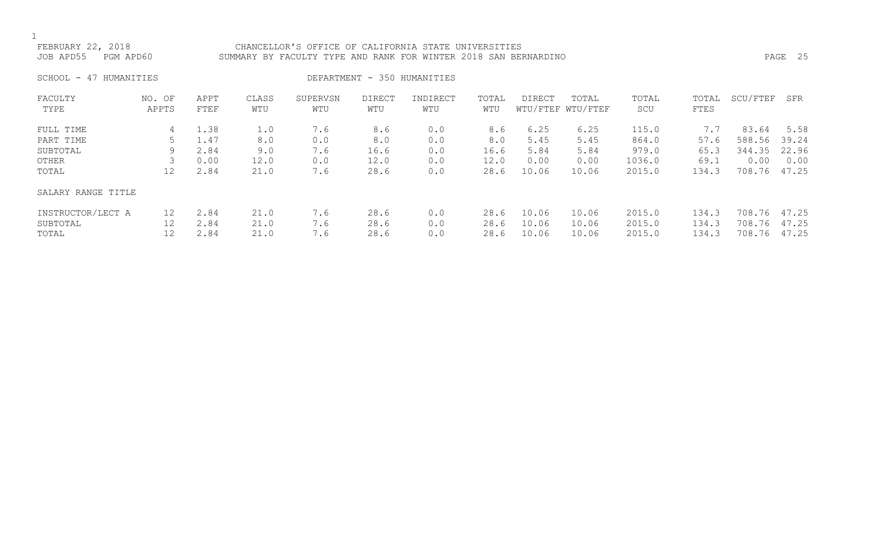### FEBRUARY 22, 2018 CHANCELLOR'S OFFICE OF CALIFORNIA STATE UNIVERSITIES JOB APD55 PGM APD60 SUMMARY BY FACULTY TYPE AND RANK FOR WINTER 2018 SAN BERNARDINO PAGE 25

SCHOOL - 47 HUMANITIES DEPARTMENT - 350 HUMANITIES

| FACULTY<br>TYPE                        | NO. OF<br>APPTS | APPT<br>FTEF         | CLASS<br>WTU         | SUPERVSN<br>WTU   | <b>DIRECT</b><br>WTU | INDIRECT<br>WTU   | TOTAL<br>WTU         | <b>DIRECT</b>           | TOTAL<br>WTU/FTEF WTU/FTEF | TOTAL<br>SCU               | TOTAL<br>FTES           | SCU/FTEF                         | SFR            |
|----------------------------------------|-----------------|----------------------|----------------------|-------------------|----------------------|-------------------|----------------------|-------------------------|----------------------------|----------------------------|-------------------------|----------------------------------|----------------|
| FULL TIME<br>PART TIME                 | 4               | 1.38<br>1.47         | 1.0<br>8.0           | 7.6<br>0.0        | 8.6<br>8.0           | 0.0<br>0.0        | 8.6<br>8.0           | 6.25<br>5.45            | 6.25<br>5.45               | 115.0<br>864.0             | 7.7<br>57.6             | 83.64<br>588.56                  | 5.58<br>39.24  |
| SUBTOTAL                               | 9               | 2.84                 | 9.0                  | 7.6               | 16.6                 | 0.0               | 16.6                 | 5.84                    | 5.84                       | 979.0                      | 65.3                    | 344.35                           | 22.96          |
| OTHER<br>TOTAL                         | 12              | 0.00<br>2.84         | 12.0<br>21.0         | 0.0<br>7.6        | 12.0<br>28.6         | 0.0<br>0.0        | 12.0<br>28.6         | 0.00<br>10.06           | 0.00<br>10.06              | 1036.0<br>2015.0           | 69.1<br>134.3           | 0.00<br>708.76                   | 0.00<br>47.25  |
|                                        |                 |                      |                      |                   |                      |                   |                      |                         |                            |                            |                         |                                  |                |
| SALARY RANGE TITLE                     |                 |                      |                      |                   |                      |                   |                      |                         |                            |                            |                         |                                  |                |
| INSTRUCTOR/LECT A<br>SUBTOTAL<br>TOTAL | 12<br>12        | 2.84<br>2.84<br>2.84 | 21.0<br>21.0<br>21.0 | 7.6<br>7.6<br>7.6 | 28.6<br>28.6<br>28.6 | 0.0<br>0.0<br>0.0 | 28.6<br>28.6<br>28.6 | 10.06<br>10.06<br>10.06 | 10.06<br>10.06<br>10.06    | 2015.0<br>2015.0<br>2015.0 | 134.3<br>134.3<br>134.3 | 708.76 47.25<br>708.76<br>708.76 | 47.25<br>47.25 |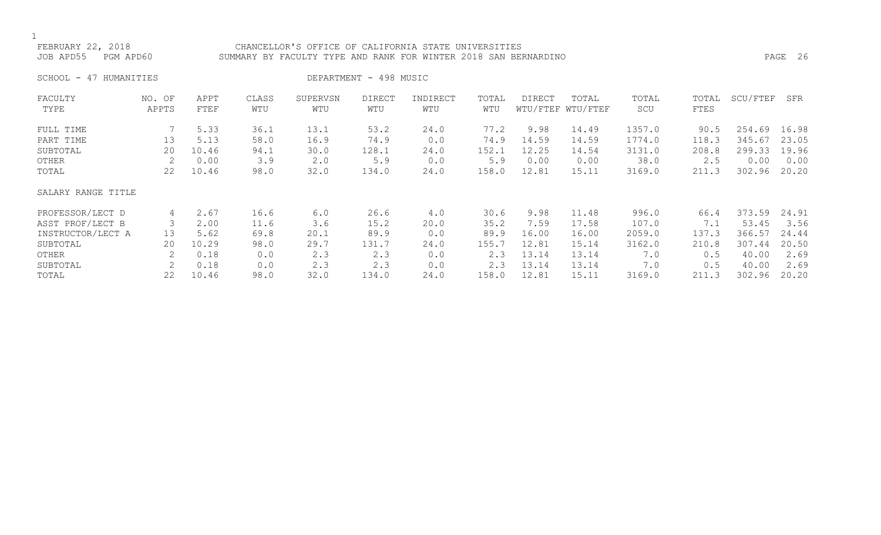### FEBRUARY 22, 2018 CHANCELLOR'S OFFICE OF CALIFORNIA STATE UNIVERSITIES JOB APD55 PGM APD60 SUMMARY BY FACULTY TYPE AND RANK FOR WINTER 2018 SAN BERNARDINO PAGE 26

SCHOOL - 47 HUMANITIES DEPARTMENT - 498 MUSIC

| FACULTY            | NO. OF | APPT  | CLASS | SUPERVSN | DIRECT | INDIRECT | TOTAL | <b>DIRECT</b> | TOTAL             | TOTAL  | TOTAL | SCU/FTEF | SFR   |
|--------------------|--------|-------|-------|----------|--------|----------|-------|---------------|-------------------|--------|-------|----------|-------|
| TYPE               | APPTS  | FTEF  | WTU   | WTU      | WTU    | WTU      | WTU   |               | WTU/FTEF WTU/FTEF | SCU    | FTES  |          |       |
| FULL TIME          |        | 5.33  | 36.1  | 13.1     | 53.2   | 24.0     | 77.2  | 9.98          | 14.49             | 1357.0 | 90.5  | 254.69   | 16.98 |
| PART TIME          | 13     | 5.13  | 58.0  | 16.9     | 74.9   | 0.0      | 74.9  | 14.59         | 14.59             | 1774.0 | 118.3 | 345.67   | 23.05 |
| SUBTOTAL           | 20     | 10.46 | 94.1  | 30.0     | 128.1  | 24.0     | 152.1 | 12.25         | 14.54             | 3131.0 | 208.8 | 299.33   | 19.96 |
| OTHER              |        | 0.00  | 3.9   | 2.0      | 5.9    | 0.0      | 5.9   | 0.00          | 0.00              | 38.0   | 2.5   | 0.00     | 0.00  |
| TOTAL              | 22     | 10.46 | 98.0  | 32.0     | 134.0  | 24.0     | 158.0 | 12.81         | 15.11             | 3169.0 | 211.3 | 302.96   | 20.20 |
| SALARY RANGE TITLE |        |       |       |          |        |          |       |               |                   |        |       |          |       |
| PROFESSOR/LECT D   | 4      | 2.67  | 16.6  | 6.0      | 26.6   | 4.0      | 30.6  | 9.98          | 11.48             | 996.0  | 66.4  | 373.59   | 24.91 |
| ASST PROF/LECT B   |        | 2.00  | 11.6  | 3.6      | 15.2   | 20.0     | 35.2  | 7.59          | 17.58             | 107.0  | 7.1   | 53.45    | 3.56  |
| INSTRUCTOR/LECT A  | 13     | 5.62  | 69.8  | 20.1     | 89.9   | 0.0      | 89.9  | 16.00         | 16.00             | 2059.0 | 137.3 | 366.57   | 24.44 |
| SUBTOTAL           | 20     | 10.29 | 98.0  | 29.7     | 131.7  | 24.0     | 155.7 | 12.81         | 15.14             | 3162.0 | 210.8 | 307.44   | 20.50 |
| OTHER              |        | 0.18  | 0.0   | 2.3      | 2.3    | 0.0      | 2.3   | 13.14         | 13.14             | 7.0    | 0.5   | 40.00    | 2.69  |
| SUBTOTAL           |        | 0.18  | 0.0   | 2.3      | 2.3    | 0.0      | 2.3   | 13.14         | 13.14             | 7.0    | 0.5   | 40.00    | 2.69  |
| TOTAL              | 22     | 10.46 | 98.0  | 32.0     | 134.0  | 24.0     | 158.0 | 12.81         | 15.11             | 3169.0 | 211.3 | 302.96   | 20.20 |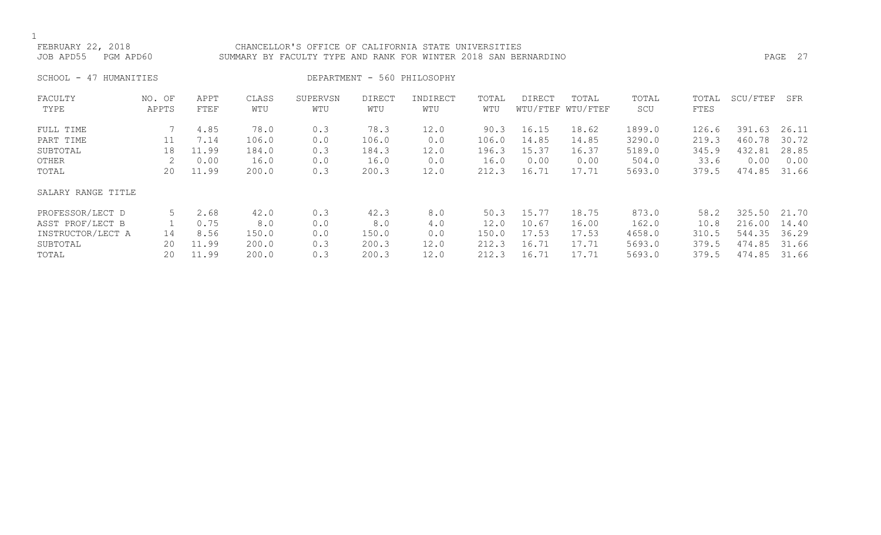### FEBRUARY 22, 2018 CHANCELLOR'S OFFICE OF CALIFORNIA STATE UNIVERSITIES JOB APD55 PGM APD60 SUMMARY BY FACULTY TYPE AND RANK FOR WINTER 2018 SAN BERNARDINO PAGE 27

SCHOOL - 47 HUMANITIES DEPARTMENT - 560 PHILOSOPHY

| FACULTY            | NO. OF | APPT  | CLASS | SUPERVSN | <b>DIRECT</b> | INDIRECT | TOTAL | DIRECT | TOTAL             | TOTAL  | TOTAL | SCU/FTEF | SFR   |
|--------------------|--------|-------|-------|----------|---------------|----------|-------|--------|-------------------|--------|-------|----------|-------|
| TYPE               | APPTS  | FTEF  | WTU   | WTU      | WTU           | WTU      | WTU   |        | WTU/FTEF WTU/FTEF | SCU    | FTES  |          |       |
|                    |        |       |       |          |               |          |       |        |                   |        |       |          |       |
| FULL TIME          |        | 4.85  | 78.0  | 0.3      | 78.3          | 12.0     | 90.3  | 16.15  | 18.62             | 1899.0 | 126.6 | 391.63   | 26.11 |
| PART TIME          | 11     | 7.14  | 106.0 | 0.0      | 106.0         | 0.0      | 106.0 | 14.85  | 14.85             | 3290.0 | 219.3 | 460.78   | 30.72 |
| SUBTOTAL           | 18     | 11.99 | 184.0 | 0.3      | 184.3         | 12.0     | 196.3 | 15.37  | 16.37             | 5189.0 | 345.9 | 432.81   | 28.85 |
| OTHER              | 2      | 0.00  | 16.0  | 0.0      | 16.0          | 0.0      | 16.0  | 0.00   | 0.00              | 504.0  | 33.6  | 0.00     | 0.00  |
| TOTAL              | 20     | 11.99 | 200.0 | 0.3      | 200.3         | 12.0     | 212.3 | 16.71  | 17.71             | 5693.0 | 379.5 | 474.85   | 31.66 |
| SALARY RANGE TITLE |        |       |       |          |               |          |       |        |                   |        |       |          |       |
| PROFESSOR/LECT D   | 5      | 2.68  | 42.0  | 0.3      | 42.3          | 8.0      | 50.3  | 15.77  | 18.75             | 873.0  | 58.2  | 325.50   | 21.70 |
| ASST PROF/LECT B   |        | 0.75  | 8.0   | 0.0      | 8.0           | 4.0      | 12.0  | 10.67  | 16.00             | 162.0  | 10.8  | 216.00   | 14.40 |
| INSTRUCTOR/LECT A  | 14     | 8.56  | 150.0 | 0.0      | 150.0         | 0.0      | 150.0 | 17.53  | 17.53             | 4658.0 | 310.5 | 544.35   | 36.29 |
| SUBTOTAL           | 20     | 11.99 | 200.0 | 0.3      | 200.3         | 12.0     | 212.3 | 16.71  | 17.71             | 5693.0 | 379.5 | 474.85   | 31.66 |
| TOTAL              | 20     | 11.99 | 200.0 | 0.3      | 200.3         | 12.0     | 212.3 | 16.71  | 17.71             | 5693.0 | 379.5 | 474.85   | 31.66 |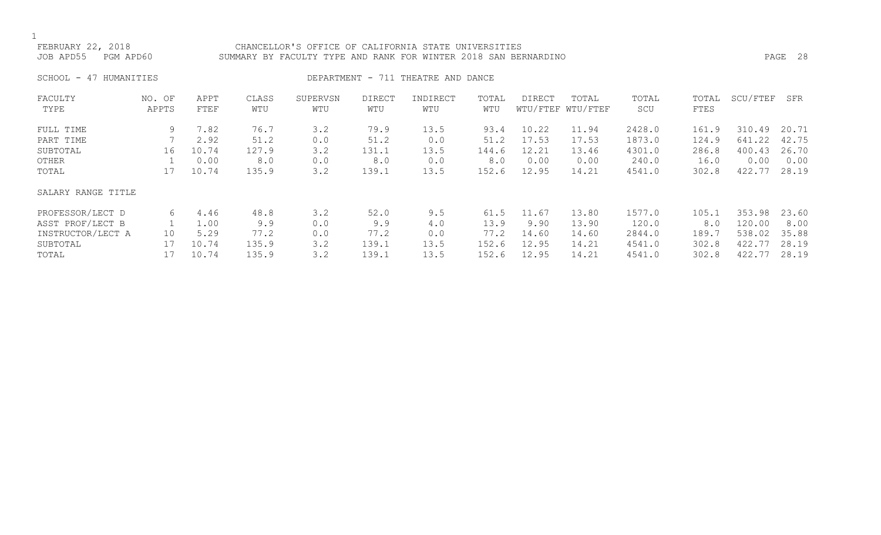### FEBRUARY 22, 2018 CHANCELLOR'S OFFICE OF CALIFORNIA STATE UNIVERSITIES JOB APD55 PGM APD60 SUMMARY BY FACULTY TYPE AND RANK FOR WINTER 2018 SAN BERNARDINO PAGE 28

SCHOOL - 47 HUMANITIES SERVICES DEPARTMENT - 711 THEATRE AND DANCE

| FACULTY            | NO. OF | APPT  | CLASS | SUPERVSN | DIRECT | INDIRECT | TOTAL | DIRECT | TOTAL             | TOTAL  | TOTAL | SCU/FTEF | SFR   |
|--------------------|--------|-------|-------|----------|--------|----------|-------|--------|-------------------|--------|-------|----------|-------|
| TYPE               | APPTS  | FTEF  | WTU   | WTU      | WTU    | WTU      | WTU   |        | WTU/FTEF WTU/FTEF | SCU    | FTES  |          |       |
| FULL TIME          | 9      | 7.82  | 76.7  | 3.2      | 79.9   | 13.5     | 93.4  | 10.22  | 11.94             | 2428.0 | 161.9 | 310.49   | 20.71 |
| PART TIME          |        | 2.92  | 51.2  | 0.0      | 51.2   | 0.0      | 51.2  | 17.53  | 17.53             | 1873.0 | 124.9 | 641.22   | 42.75 |
| SUBTOTAL           | 16     | 10.74 | 127.9 | 3.2      | 131.1  | 13.5     | 144.6 | 12.21  | 13.46             | 4301.0 | 286.8 | 400.43   | 26.70 |
| OTHER              |        | 0.00  | 8.0   | 0.0      | 8.0    | 0.0      | 8.0   | 0.00   | 0.00              | 240.0  | 16.0  | 0.00     | 0.00  |
| TOTAL              | 17     | 10.74 | 135.9 | 3.2      | 139.1  | 13.5     | 152.6 | 12.95  | 14.21             | 4541.0 | 302.8 | 422.77   | 28.19 |
| SALARY RANGE TITLE |        |       |       |          |        |          |       |        |                   |        |       |          |       |
| PROFESSOR/LECT D   | 6      | 4.46  | 48.8  | 3.2      | 52.0   | 9.5      | 61.5  | 11.67  | 13.80             | 1577.0 | 105.1 | 353.98   | 23.60 |
| ASST PROF/LECT B   |        | 1.00  | 9.9   | 0.0      | 9.9    | 4.0      | 13.9  | 9.90   | 13.90             | 120.0  | 8.0   | 120.00   | 8.00  |
| INSTRUCTOR/LECT A  | 10     | 5.29  | 77.2  | 0.0      | 77.2   | 0.0      | 77.2  | 14.60  | 14.60             | 2844.0 | 189.7 | 538.02   | 35.88 |
| SUBTOTAL           | 17     | 10.74 | 135.9 | 3.2      | 139.1  | 13.5     | 152.6 | 12.95  | 14.21             | 4541.0 | 302.8 | 422.77   | 28.19 |
| TOTAL              | 17     | 10.74 | 135.9 | 3.2      | 139.1  | 13.5     | 152.6 | 12.95  | 14.21             | 4541.0 | 302.8 | 422.77   | 28.19 |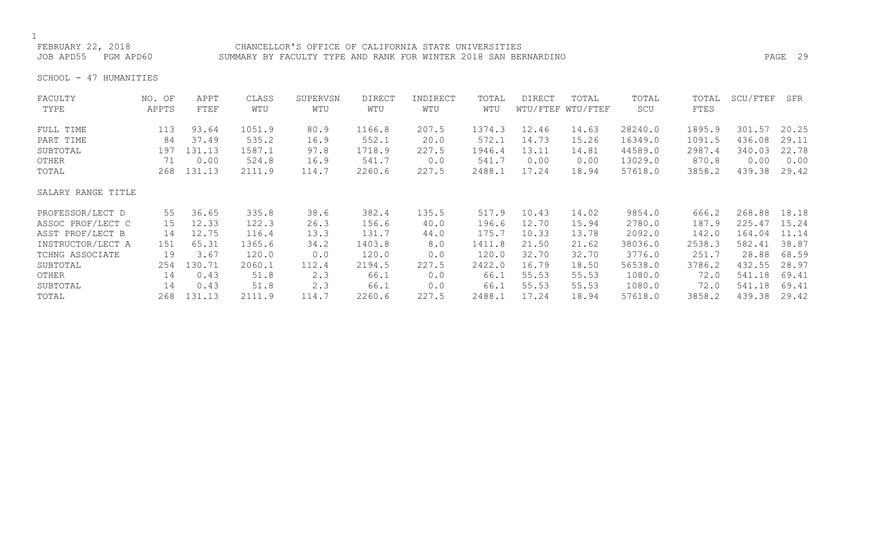FEBRUARY 22, 2018 CHANCELLOR'S OFFICE OF CALIFORNIA STATE UNIVERSITIES JOB APD55 PGM APD60 SUMMARY BY FACULTY TYPE AND RANK FOR WINTER 2018 SAN BERNARDINO PAGE 29

SCHOOL - 47 HUMANITIES

| FACULTY            | NO. OF | APPT   | CLASS  | SUPERVSN | <b>DIRECT</b> | INDIRECT | TOTAL  | <b>DIRECT</b> | TOTAL             | TOTAL   | TOTAL  | SCU/FTEF | SFR   |
|--------------------|--------|--------|--------|----------|---------------|----------|--------|---------------|-------------------|---------|--------|----------|-------|
| TYPE               | APPTS  | FTEF   | WTU    | WTU      | WTU           | WTU      | WTU    |               | WTU/FTEF WTU/FTEF | SCU     | FTES   |          |       |
| FULL TIME          | 113    | 93.64  | 1051.9 | 80.9     | 1166.8        | 207.5    | 1374.3 | 12.46         | 14.63             | 28240.0 | 1895.9 | 301.57   | 20.25 |
| PART TIME          | 84     | 37.49  | 535.2  | 16.9     | 552.1         | 20.0     | 572.1  | 14.73         | 15.26             | 16349.0 | 1091.5 | 436.08   | 29.11 |
| SUBTOTAL           | 197    | 131.13 | 1587.1 | 97.8     | 1718.9        | 227.5    | 1946.4 | 13.11         | 14.81             | 44589.0 | 2987.4 | 340.03   | 22.78 |
| OTHER              | 71     | 0.00   | 524.8  | 16.9     | 541.7         | 0.0      | 541.7  | 0.00          | 0.00              | 13029.0 | 870.8  | 0.00     | 0.00  |
| TOTAL              | 268    | 131.13 | 2111.9 | 114.7    | 2260.6        | 227.5    | 2488.1 | 17.24         | 18.94             | 57618.0 | 3858.2 | 439.38   | 29.42 |
| SALARY RANGE TITLE |        |        |        |          |               |          |        |               |                   |         |        |          |       |
| PROFESSOR/LECT D   | 55     | 36.65  | 335.8  | 38.6     | 382.4         | 135.5    | 517.9  | 10.43         | 14.02             | 9854.0  | 666.2  | 268.88   | 18.18 |
| ASSOC PROF/LECT C  | 15     | 12.33  | 122.3  | 26.3     | 156.6         | 40.0     | 196.6  | 12.70         | 15.94             | 2780.0  | 187.9  | 225.47   | 15.24 |
| ASST PROF/LECT B   | 14     | 12.75  | 116.4  | 13.3     | 131.7         | 44.0     | 175.7  | 10.33         | 13.78             | 2092.0  | 142.0  | 164.04   | 11.14 |
| INSTRUCTOR/LECT A  | 151    | 65.31  | 1365.6 | 34.2     | 1403.8        | 8.0      | 1411.8 | 21.50         | 21.62             | 38036.0 | 2538.3 | 582.41   | 38.87 |
| TCHNG ASSOCIATE    | 19     | 3.67   | 120.0  | 0.0      | 120.0         | 0.0      | 120.0  | 32.70         | 32.70             | 3776.0  | 251.7  | 28.88    | 68.59 |
| SUBTOTAL           | 254    | 130.71 | 2060.1 | 112.4    | 2194.5        | 227.5    | 2422.0 | 16.79         | 18.50             | 56538.0 | 3786.2 | 432.55   | 28.97 |
| OTHER              | 14     | 0.43   | 51.8   | 2.3      | 66.1          | 0.0      | 66.1   | 55.53         | 55.53             | 1080.0  | 72.0   | 541.18   | 69.41 |
| SUBTOTAL           | 14     | 0.43   | 51.8   | 2.3      | 66.1          | 0.0      | 66.1   | 55.53         | 55.53             | 1080.0  | 72.0   | 541.18   | 69.41 |
| TOTAL              | 268    | 131.13 | 2111.9 | 114.7    | 2260.6        | 227.5    | 2488.1 | 17.24         | 18.94             | 57618.0 | 3858.2 | 439.38   | 29.42 |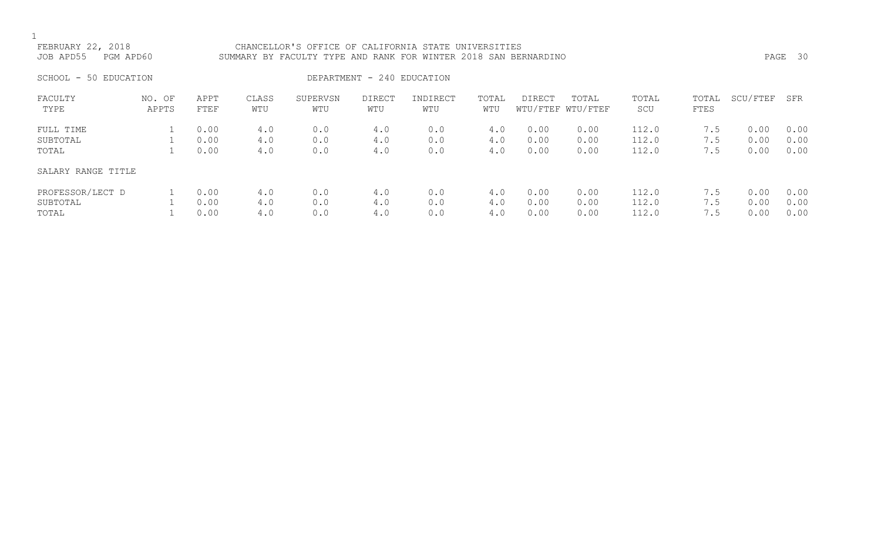FEBRUARY 22, 2018 CHANCELLOR'S OFFICE OF CALIFORNIA STATE UNIVERSITIES JOB APD55 PGM APD60 SUMMARY BY FACULTY TYPE AND RANK FOR WINTER 2018 SAN BERNARDINO PAGE 30

SCHOOL - 50 EDUCATION  $\overline{D}$ 

| FACULTY<br>TYPE    | NO. OF<br>APPTS | APPT<br>FTEF | CLASS<br>WTU | SUPERVSN<br>WTU | DIRECT<br>WTU | INDIRECT<br>WTU | TOTAL<br>WTU | DIRECT | TOTAL<br>WTU/FTEF WTU/FTEF | TOTAL<br>SCU | TOTAL<br>FTES | SCU/FTEF | SFR  |
|--------------------|-----------------|--------------|--------------|-----------------|---------------|-----------------|--------------|--------|----------------------------|--------------|---------------|----------|------|
| FULL TIME          |                 | 0.00         | 4.0          | 0.0             | 4.0           | 0.0             | 4.0          | 0.00   | 0.00                       | 112.0        | 7.5           | 0.00     | 0.00 |
| SUBTOTAL           |                 | 0.00         | 4.0          | 0.0             | 4.0           | 0.0             | 4.0          | 0.00   | 0.00                       | 112.0        | 7.5           | 0.00     | 0.00 |
| TOTAL              |                 | 0.00         | 4.0          | 0.0             | 4.0           | 0.0             | 4.0          | 0.00   | 0.00                       | 112.0        | 7.5           | 0.00     | 0.00 |
| SALARY RANGE TITLE |                 |              |              |                 |               |                 |              |        |                            |              |               |          |      |
| PROFESSOR/LECT D   |                 | 0.00         | 4.0          | 0.0             | 4.0           | 0.0             | 4.0          | 0.00   | 0.00                       | 112.0        | 7.5           | 0.00     | 0.00 |
| SUBTOTAL           |                 | 0.00         | 4.0          | 0.0             | 4.0           | 0.0             | 4.0          | 0.00   | 0.00                       | 112.0        | 7.5           | 0.00     | 0.00 |
| TOTAL              |                 | 0.00         | 4.0          | 0.0             | 4.0           | 0.0             | 4.0          | 0.00   | 0.00                       | 112.0        | 7.5           | 0.00     | 0.00 |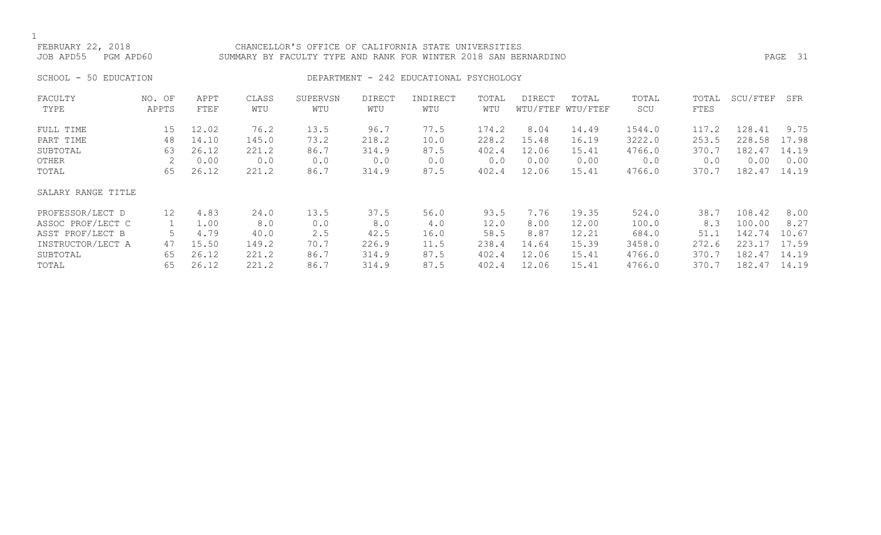### FEBRUARY 22, 2018 CHANCELLOR'S OFFICE OF CALIFORNIA STATE UNIVERSITIES JOB APD55 PGM APD60 SUMMARY BY FACULTY TYPE AND RANK FOR WINTER 2018 SAN BERNARDINO PAGE 31

# SCHOOL - 50 EDUCATION **DEPARTMENT - 242 EDUCATIONAL PSYCHOLOGY**

| FACULTY            | NO. OF          | APPT  | CLASS | SUPERVSN | DIRECT | INDIRECT | TOTAL | DIRECT | TOTAL             | TOTAL  | TOTAL | SCU/FTEF | SFR   |
|--------------------|-----------------|-------|-------|----------|--------|----------|-------|--------|-------------------|--------|-------|----------|-------|
| TYPE               | APPTS           | FTEF  | WTU   | WTU      | WTU    | WTU      | WTU   |        | WTU/FTEF WTU/FTEF | SCU    | FTES  |          |       |
| FULL TIME          | 15              | 12.02 | 76.2  | 13.5     | 96.7   | 77.5     | 174.2 | 8.04   | 14.49             | 1544.0 | 117.2 | 128.41   | 9.75  |
| PART TIME          | 48              | 14.10 | 145.0 | 73.2     | 218.2  | 10.0     | 228.2 | 15.48  | 16.19             | 3222.0 | 253.5 | 228.58   | 17.98 |
| SUBTOTAL           | 63              | 26.12 | 221.2 | 86.7     | 314.9  | 87.5     | 402.4 | 12.06  | 15.41             | 4766.0 | 370.7 | 182.47   | 14.19 |
| OTHER              | 2               | 0.00  | 0.0   | 0.0      | 0.0    | 0.0      | 0.0   | 0.00   | 0.00              | 0.0    | 0.0   | 0.00     | 0.00  |
| TOTAL              | 65              | 26.12 | 221.2 | 86.7     | 314.9  | 87.5     | 402.4 | 12.06  | 15.41             | 4766.0 | 370.7 | 182.47   | 14.19 |
| SALARY RANGE TITLE |                 |       |       |          |        |          |       |        |                   |        |       |          |       |
| PROFESSOR/LECT D   | 12 <sup>°</sup> | 4.83  | 24.0  | 13.5     | 37.5   | 56.0     | 93.5  | 7.76   | 19.35             | 524.0  | 38.7  | 108.42   | 8.00  |
| ASSOC PROF/LECT C  |                 | 1.00  | 8.0   | 0.0      | 8.0    | 4.0      | 12.0  | 8.00   | 12.00             | 100.0  | 8.3   | 100.00   | 8.27  |
| ASST PROF/LECT B   |                 | 4.79  | 40.0  | 2.5      | 42.5   | 16.0     | 58.5  | 8.87   | 12.21             | 684.0  | 51.1  | 142.74   | 10.67 |
| INSTRUCTOR/LECT A  | 47              | 15.50 | 149.2 | 70.7     | 226.9  | 11.5     | 238.4 | 14.64  | 15.39             | 3458.0 | 272.6 | 223.17   | 17.59 |
| SUBTOTAL           | 65              | 26.12 | 221.2 | 86.7     | 314.9  | 87.5     | 402.4 | 12.06  | 15.41             | 4766.0 | 370.7 | 182.47   | 14.19 |
| TOTAL              | 65              | 26.12 | 221.2 | 86.7     | 314.9  | 87.5     | 402.4 | 12.06  | 15.41             | 4766.0 | 370.7 | 182.47   | 14.19 |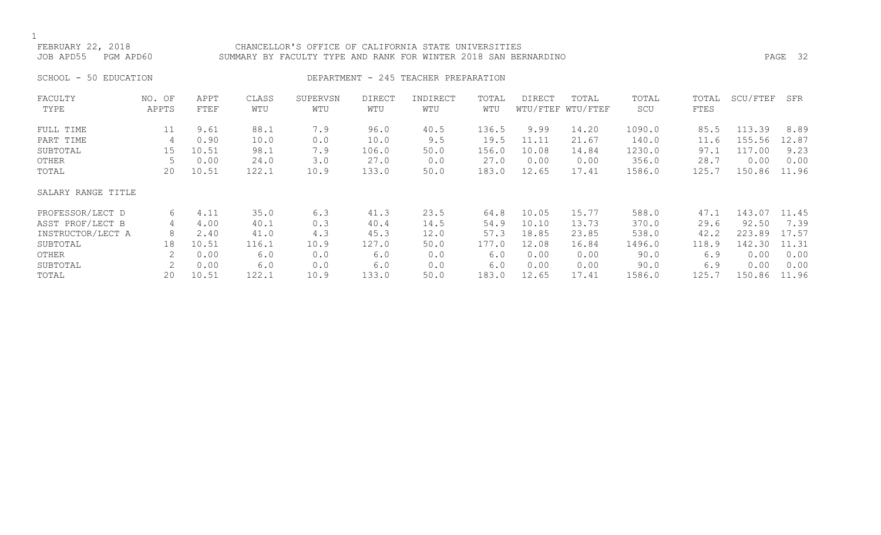### FEBRUARY 22, 2018 CHANCELLOR'S OFFICE OF CALIFORNIA STATE UNIVERSITIES JOB APD55 PGM APD60 SUMMARY BY FACULTY TYPE AND RANK FOR WINTER 2018 SAN BERNARDINO PAGE 32

# SCHOOL - 50 EDUCATION **DEPARTMENT - 245 TEACHER PREPARATION**

| FACULTY<br>TYPE    | NO. OF<br>APPTS | APPT<br>FTEF | CLASS<br>WTU | SUPERVSN<br>WTU | <b>DIRECT</b><br>WTU | INDIRECT<br>WTU | TOTAL<br>WTU | <b>DIRECT</b> | TOTAL<br>WTU/FTEF WTU/FTEF | TOTAL<br>SCU | TOTAL<br>FTES | SCU/FTEF | SFR   |
|--------------------|-----------------|--------------|--------------|-----------------|----------------------|-----------------|--------------|---------------|----------------------------|--------------|---------------|----------|-------|
| FULL TIME          | 11              | 9.61         | 88.1         | 7.9             | 96.0                 | 40.5            | 136.5        | 9.99          | 14.20                      | 1090.0       | 85.5          | 113.39   | 8.89  |
| PART TIME          | 4               | 0.90         | 10.0         | 0.0             | 10.0                 | 9.5             | 19.5         | 11.11         | 21.67                      | 140.0        | 11.6          | 155.56   | 12.87 |
| SUBTOTAL           | 15              | 10.51        | 98.1         | 7.9             | 106.0                | 50.0            | 156.0        | 10.08         | 14.84                      | 1230.0       | 97.1          | 117.00   | 9.23  |
| OTHER              |                 | 0.00         | 24.0         | 3.0             | 27.0                 | 0.0             | 27.0         | 0.00          | 0.00                       | 356.0        | 28.7          | 0.00     | 0.00  |
| TOTAL              | 20              | 10.51        | 122.1        | 10.9            | 133.0                | 50.0            | 183.0        | 12.65         | 17.41                      | 1586.0       | 125.7         | 150.86   | 11.96 |
| SALARY RANGE TITLE |                 |              |              |                 |                      |                 |              |               |                            |              |               |          |       |
| PROFESSOR/LECT D   | 6               | 4.11         | 35.0         | 6.3             | 41.3                 | 23.5            | 64.8         | 10.05         | 15.77                      | 588.0        | 47.1          | 143.07   | 11.45 |
| ASST PROF/LECT B   | 4               | 4.00         | 40.1         | 0.3             | 40.4                 | 14.5            | 54.9         | 10.10         | 13.73                      | 370.0        | 29.6          | 92.50    | 7.39  |
| INSTRUCTOR/LECT A  | 8               | 2.40         | 41.0         | 4.3             | 45.3                 | 12.0            | 57.3         | 18.85         | 23.85                      | 538.0        | 42.2          | 223.89   | 17.57 |
| SUBTOTAL           | 18              | 10.51        | 116.1        | 10.9            | 127.0                | 50.0            | 177.0        | 12.08         | 16.84                      | 1496.0       | 118.9         | 142.30   | 11.31 |
| OTHER              |                 | 0.00         | 6.0          | 0.0             | 6.0                  | 0.0             | 6.0          | 0.00          | 0.00                       | 90.0         | 6.9           | 0.00     | 0.00  |
| SUBTOTAL           | 2               | 0.00         | 6.0          | 0.0             | 6.0                  | 0.0             | 6.0          | 0.00          | 0.00                       | 90.0         | 6.9           | 0.00     | 0.00  |
| TOTAL              | 20              | 10.51        | 122.1        | 10.9            | 133.0                | 50.0            | 183.0        | 12.65         | 17.41                      | 1586.0       | 125.7         | 150.86   | 11.96 |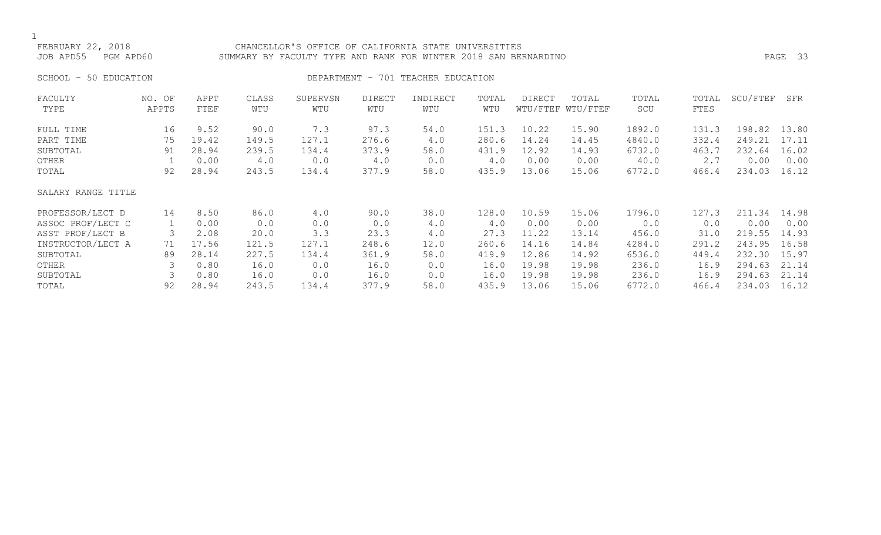### FEBRUARY 22, 2018 CHANCELLOR'S OFFICE OF CALIFORNIA STATE UNIVERSITIES JOB APD55 PGM APD60 SUMMARY BY FACULTY TYPE AND RANK FOR WINTER 2018 SAN BERNARDINO PAGE 33

SCHOOL - 50 EDUCATION **DEPARTMENT** - 701 TEACHER EDUCATION

| FACULTY            | NO. OF | APPT  | CLASS | SUPERVSN | <b>DIRECT</b> | INDIRECT | TOTAL | DIRECT | TOTAL             | TOTAL  | TOTAL | SCU/FTEF | SFR   |
|--------------------|--------|-------|-------|----------|---------------|----------|-------|--------|-------------------|--------|-------|----------|-------|
| TYPE               | APPTS  | FTEF  | WTU   | WTU      | WTU           | WTU      | WTU   |        | WTU/FTEF WTU/FTEF | SCU    | FTES  |          |       |
| FULL TIME          | 16     | 9.52  | 90.0  | 7.3      | 97.3          | 54.0     | 151.3 | 10.22  | 15.90             | 1892.0 | 131.3 | 198.82   | 13.80 |
| PART TIME          | 75     | 19.42 | 149.5 | 127.1    | 276.6         | 4.0      | 280.6 | 14.24  | 14.45             | 4840.0 | 332.4 | 249.21   | 17.11 |
| SUBTOTAL           | 91     | 28.94 | 239.5 | 134.4    | 373.9         | 58.0     | 431.9 | 12.92  | 14.93             | 6732.0 | 463.7 | 232.64   | 16.02 |
| OTHER              |        | 0.00  | 4.0   | 0.0      | 4.0           | 0.0      | 4.0   | 0.00   | 0.00              | 40.0   | 2.7   | 0.00     | 0.00  |
| TOTAL              | 92     | 28.94 | 243.5 | 134.4    | 377.9         | 58.0     | 435.9 | 13.06  | 15.06             | 6772.0 | 466.4 | 234.03   | 16.12 |
| SALARY RANGE TITLE |        |       |       |          |               |          |       |        |                   |        |       |          |       |
| PROFESSOR/LECT D   | 14     | 8.50  | 86.0  | 4.0      | 90.0          | 38.0     | 128.0 | 10.59  | 15.06             | 1796.0 | 127.3 | 211.34   | 14.98 |
| ASSOC PROF/LECT C  |        | 0.00  | 0.0   | 0.0      | 0.0           | 4.0      | 4.0   | 0.00   | 0.00              | 0.0    | 0.0   | 0.00     | 0.00  |
| ASST PROF/LECT B   | 3      | 2.08  | 20.0  | 3.3      | 23.3          | 4.0      | 27.3  | 11.22  | 13.14             | 456.0  | 31.0  | 219.55   | 14.93 |
| INSTRUCTOR/LECT A  | 71     | 17.56 | 121.5 | 127.1    | 248.6         | 12.0     | 260.6 | 14.16  | 14.84             | 4284.0 | 291.2 | 243.95   | 16.58 |
| SUBTOTAL           | 89     | 28.14 | 227.5 | 134.4    | 361.9         | 58.0     | 419.9 | 12.86  | 14.92             | 6536.0 | 449.4 | 232.30   | 15.97 |
| OTHER              |        | 0.80  | 16.0  | 0.0      | 16.0          | 0.0      | 16.0  | 19.98  | 19.98             | 236.0  | 16.9  | 294.63   | 21.14 |
| SUBTOTAL           |        | 0.80  | 16.0  | 0.0      | 16.0          | 0.0      | 16.0  | 19.98  | 19.98             | 236.0  | 16.9  | 294.63   | 21.14 |
| TOTAL              | 92     | 28.94 | 243.5 | 134.4    | 377.9         | 58.0     | 435.9 | 13.06  | 15.06             | 6772.0 | 466.4 | 234.03   | 16.12 |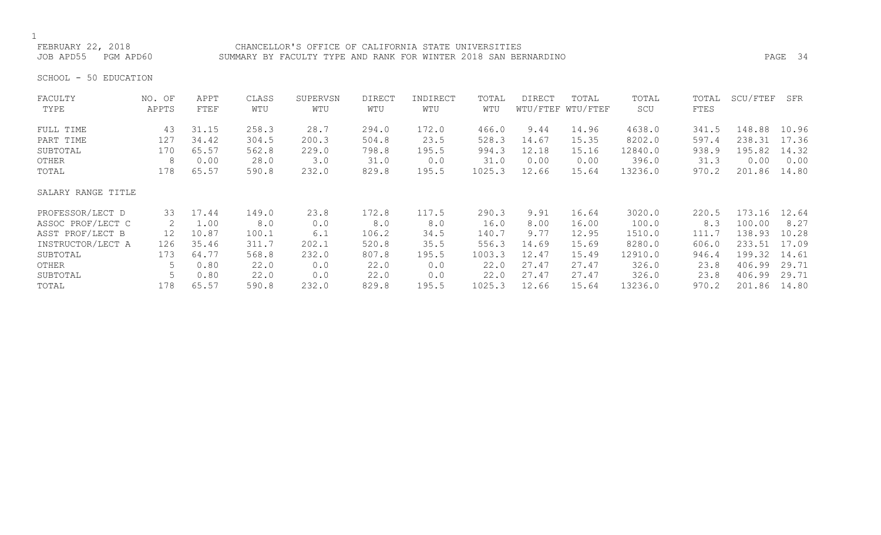FEBRUARY 22, 2018 CHANCELLOR'S OFFICE OF CALIFORNIA STATE UNIVERSITIES JOB APD55 PGM APD60 SUMMARY BY FACULTY TYPE AND RANK FOR WINTER 2018 SAN BERNARDINO PAGE 34

SCHOOL - 50 EDUCATION

| FACULTY            | NO. OF | APPT  | CLASS | SUPERVSN | <b>DIRECT</b> | INDIRECT | TOTAL  | <b>DIRECT</b> | TOTAL             | TOTAL   | TOTAL | SCU/FTEF | SFR   |
|--------------------|--------|-------|-------|----------|---------------|----------|--------|---------------|-------------------|---------|-------|----------|-------|
| TYPE               | APPTS  | FTEF  | WTU   | WTU      | WTU           | WTU      | WTU    |               | WTU/FTEF WTU/FTEF | SCU     | FTES  |          |       |
| FULL TIME          | 43     | 31.15 | 258.3 | 28.7     | 294.0         | 172.0    | 466.0  | 9.44          | 14.96             | 4638.0  | 341.5 | 148.88   | 10.96 |
| PART TIME          | 127    | 34.42 | 304.5 | 200.3    | 504.8         | 23.5     | 528.3  | 14.67         | 15.35             | 8202.0  | 597.4 | 238.31   | 17.36 |
| SUBTOTAL           | 170    | 65.57 | 562.8 | 229.0    | 798.8         | 195.5    | 994.3  | 12.18         | 15.16             | 12840.0 | 938.9 | 195.82   | 14.32 |
| OTHER              | 8      | 0.00  | 28.0  | 3.0      | 31.0          | 0.0      | 31.0   | 0.00          | 0.00              | 396.0   | 31.3  | 0.00     | 0.00  |
| TOTAL              | 178    | 65.57 | 590.8 | 232.0    | 829.8         | 195.5    | 1025.3 | 12.66         | 15.64             | 13236.0 | 970.2 | 201.86   | 14.80 |
| SALARY RANGE TITLE |        |       |       |          |               |          |        |               |                   |         |       |          |       |
| PROFESSOR/LECT D   | 33     | 17.44 | 149.0 | 23.8     | 172.8         | 117.5    | 290.3  | 9.91          | 16.64             | 3020.0  | 220.5 | 173.16   | 12.64 |
| ASSOC PROF/LECT C  | 2      | 1.00  | 8.0   | 0.0      | 8.0           | 8.0      | 16.0   | 8.00          | 16.00             | 100.0   | 8.3   | 100.00   | 8.27  |
| ASST PROF/LECT B   | 12     | 10.87 | 100.1 | 6.1      | 106.2         | 34.5     | 140.7  | 9.77          | 12.95             | 1510.0  | 111.7 | 138.93   | 10.28 |
| INSTRUCTOR/LECT A  | 126    | 35.46 | 311.7 | 202.1    | 520.8         | 35.5     | 556.3  | 14.69         | 15.69             | 8280.0  | 606.0 | 233.51   | 17.09 |
| SUBTOTAL           | 173    | 64.77 | 568.8 | 232.0    | 807.8         | 195.5    | 1003.3 | 12.47         | 15.49             | 12910.0 | 946.4 | 199.32   | 14.61 |
| OTHER              |        | 0.80  | 22.0  | 0.0      | 22.0          | 0.0      | 22.0   | 27.47         | 27.47             | 326.0   | 23.8  | 406.99   | 29.71 |
| SUBTOTAL           |        | 0.80  | 22.0  | 0.0      | 22.0          | 0.0      | 22.0   | 27.47         | 27.47             | 326.0   | 23.8  | 406.99   | 29.71 |
| TOTAL              | 178    | 65.57 | 590.8 | 232.0    | 829.8         | 195.5    | 1025.3 | 12.66         | 15.64             | 13236.0 | 970.2 | 201.86   | 14.80 |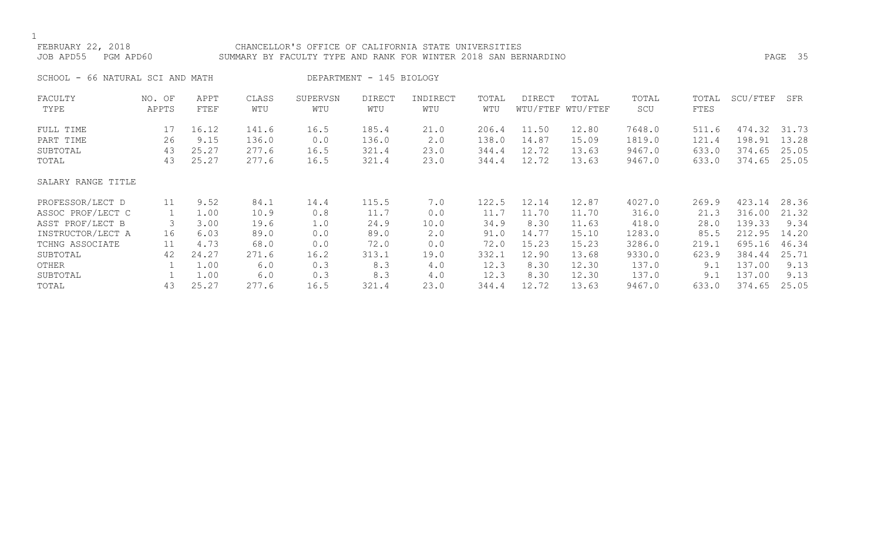# FEBRUARY 22, 2018 CHANCELLOR'S OFFICE OF CALIFORNIA STATE UNIVERSITIES JOB APD55 PGM APD60 SUMMARY BY FACULTY TYPE AND RANK FOR WINTER 2018 SAN BERNARDINO PAGE 35

SCHOOL - 66 NATURAL SCI AND MATH DEPARTMENT - 145 BIOLOGY

| FACULTY            | NO. OF | APPT  | CLASS | SUPERVSN | DIRECT | INDIRECT | TOTAL | DIRECT | TOTAL             | TOTAL  | TOTAL | SCU/FTEF | SFR   |
|--------------------|--------|-------|-------|----------|--------|----------|-------|--------|-------------------|--------|-------|----------|-------|
| TYPE               | APPTS  | FTEF  | WTU   | WTU      | WTU    | WTU      | WTU   |        | WTU/FTEF WTU/FTEF | SCU    | FTES  |          |       |
| FULL TIME          | 17     | 16.12 | 141.6 | 16.5     | 185.4  | 21.0     | 206.4 | 11.50  | 12.80             | 7648.0 | 511.6 | 474.32   | 31.73 |
| PART TIME          | 26     | 9.15  | 136.0 | 0.0      | 136.0  | 2.0      | 138.0 | 14.87  | 15.09             | 1819.0 | 121.4 | 198.91   | 13.28 |
| SUBTOTAL           | 43     | 25.27 | 277.6 | 16.5     | 321.4  | 23.0     | 344.4 | 12.72  | 13.63             | 9467.0 | 633.0 | 374.65   | 25.05 |
| TOTAL              | 43     | 25.27 | 277.6 | 16.5     | 321.4  | 23.0     | 344.4 | 12.72  | 13.63             | 9467.0 | 633.0 | 374.65   | 25.05 |
| SALARY RANGE TITLE |        |       |       |          |        |          |       |        |                   |        |       |          |       |
| PROFESSOR/LECT D   | 11     | 9.52  | 84.1  | 14.4     | 115.5  | 7.0      | 122.5 | 12.14  | 12.87             | 4027.0 | 269.9 | 423.14   | 28.36 |
| ASSOC PROF/LECT C  |        | 1.00  | 10.9  | 0.8      | 11.7   | 0.0      | 11.7  | 11.70  | 11.70             | 316.0  | 21.3  | 316.00   | 21.32 |
| ASST PROF/LECT B   | 3      | 3.00  | 19.6  | 1.0      | 24.9   | 10.0     | 34.9  | 8.30   | 11.63             | 418.0  | 28.0  | 139.33   | 9.34  |
| INSTRUCTOR/LECT A  | 16     | 6.03  | 89.0  | 0.0      | 89.0   | 2.0      | 91.0  | 14.77  | 15.10             | 1283.0 | 85.5  | 212.95   | 14.20 |
| TCHNG ASSOCIATE    | 11     | 4.73  | 68.0  | 0.0      | 72.0   | 0.0      | 72.0  | 15.23  | 15.23             | 3286.0 | 219.1 | 695.16   | 46.34 |
| SUBTOTAL           | 42     | 24.27 | 271.6 | 16.2     | 313.1  | 19.0     | 332.1 | 12.90  | 13.68             | 9330.0 | 623.9 | 384.44   | 25.71 |
| OTHER              |        | 1.00  | 6.0   | 0.3      | 8.3    | 4.0      | 12.3  | 8.30   | 12.30             | 137.0  | 9.1   | 137.00   | 9.13  |
| SUBTOTAL           |        | 1.00  | 6.0   | 0.3      | 8.3    | 4.0      | 12.3  | 8.30   | 12.30             | 137.0  | 9.1   | 137.00   | 9.13  |
| TOTAL              | 43     | 25.27 | 277.6 | 16.5     | 321.4  | 23.0     | 344.4 | 12.72  | 13.63             | 9467.0 | 633.0 | 374.65   | 25.05 |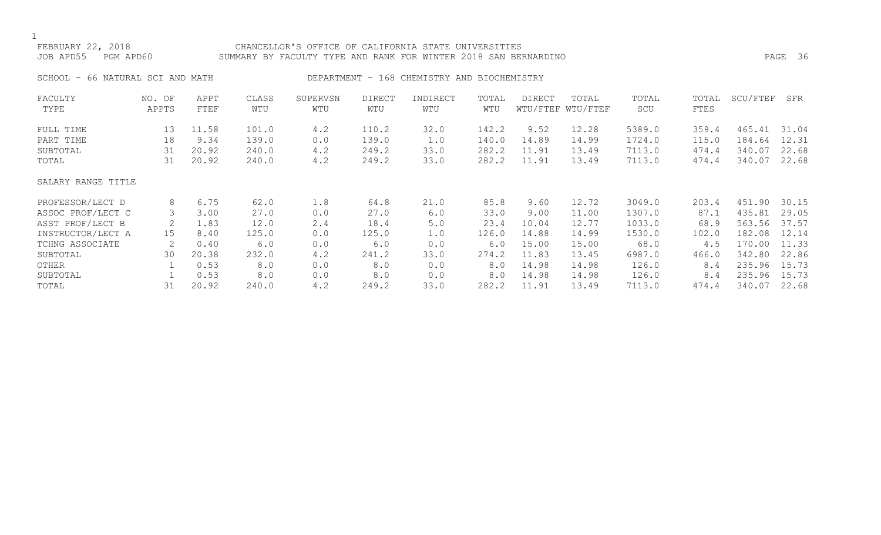# FEBRUARY 22, 2018 CHANCELLOR'S OFFICE OF CALIFORNIA STATE UNIVERSITIES JOB APD55 PGM APD60 SUMMARY BY FACULTY TYPE AND RANK FOR WINTER 2018 SAN BERNARDINO PAGE 36

SCHOOL - 66 NATURAL SCI AND MATH DEPARTMENT - 168 CHEMISTRY AND BIOCHEMISTRY

| FACULTY            | NO. OF | APPT  | CLASS | SUPERVSN | <b>DIRECT</b> | INDIRECT | TOTAL | <b>DIRECT</b> | TOTAL             | TOTAL  | TOTAL | SCU/FTEF | SFR   |
|--------------------|--------|-------|-------|----------|---------------|----------|-------|---------------|-------------------|--------|-------|----------|-------|
| TYPE               | APPTS  | FTEF  | WTU   | WTU      | WTU           | WTU      | WTU   |               | WTU/FTEF WTU/FTEF | SCU    | FTES  |          |       |
| FULL TIME          | 13     | 11.58 | 101.0 | 4.2      | 110.2         | 32.0     | 142.2 | 9.52          | 12.28             | 5389.0 | 359.4 | 465.41   | 31.04 |
| PART TIME          | 18     | 9.34  | 139.0 | 0.0      | 139.0         | 1.0      | 140.0 | 14.89         | 14.99             | 1724.0 | 115.0 | 184.64   | 12.31 |
| SUBTOTAL           | 31     | 20.92 | 240.0 | 4.2      | 249.2         | 33.0     | 282.2 | 11.91         | 13.49             | 7113.0 | 474.4 | 340.07   | 22.68 |
| TOTAL              | 31     | 20.92 | 240.0 | 4.2      | 249.2         | 33.0     | 282.2 | 11.91         | 13.49             | 7113.0 | 474.4 | 340.07   | 22.68 |
| SALARY RANGE TITLE |        |       |       |          |               |          |       |               |                   |        |       |          |       |
| PROFESSOR/LECT D   | 8      | 6.75  | 62.0  | 1.8      | 64.8          | 21.0     | 85.8  | 9.60          | 12.72             | 3049.0 | 203.4 | 451.90   | 30.15 |
| ASSOC PROF/LECT C  |        | 3.00  | 27.0  | 0.0      | 27.0          | 6.0      | 33.0  | 9.00          | 11.00             | 1307.0 | 87.1  | 435.81   | 29.05 |
| ASST PROF/LECT B   |        | 1.83  | 12.0  | 2.4      | 18.4          | 5.0      | 23.4  | 10.04         | 12.77             | 1033.0 | 68.9  | 563.56   | 37.57 |
| INSTRUCTOR/LECT A  | 15     | 8.40  | 125.0 | 0.0      | 125.0         | 1.0      | 126.0 | 14.88         | 14.99             | 1530.0 | 102.0 | 182.08   | 12.14 |
| TCHNG ASSOCIATE    |        | 0.40  | 6.0   | 0.0      | 6.0           | 0.0      | 6.0   | 15.00         | 15.00             | 68.0   | 4.5   | 170.00   | 11.33 |
| SUBTOTAL           | 30     | 20.38 | 232.0 | 4.2      | 241.2         | 33.0     | 274.2 | 11.83         | 13.45             | 6987.0 | 466.0 | 342.80   | 22.86 |
| OTHER              |        | 0.53  | 8.0   | 0.0      | 8.0           | 0.0      | 8.0   | 14.98         | 14.98             | 126.0  | 8.4   | 235.96   | 15.73 |
| SUBTOTAL           |        | 0.53  | 8.0   | 0.0      | 8.0           | 0.0      | 8.0   | 14.98         | 14.98             | 126.0  | 8.4   | 235.96   | 15.73 |
| TOTAL              | 31     | 20.92 | 240.0 | 4.2      | 249.2         | 33.0     | 282.2 | 11.91         | 13.49             | 7113.0 | 474.4 | 340.07   | 22.68 |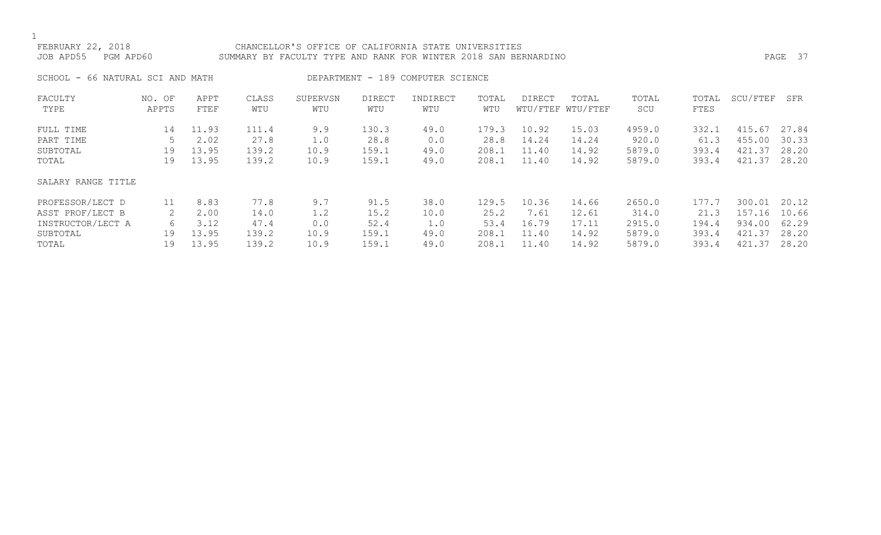# FEBRUARY 22, 2018 CHANCELLOR'S OFFICE OF CALIFORNIA STATE UNIVERSITIES JOB APD55 PGM APD60 SUMMARY BY FACULTY TYPE AND RANK FOR WINTER 2018 SAN BERNARDINO PAGE 37

SCHOOL - 66 NATURAL SCI AND MATH DEPARTMENT - 189 COMPUTER SCIENCE

| FACULTY<br>TYPE    | NO. OF<br>APPTS | APPT<br>FTEF | CLASS<br>WTU | SUPERVSN<br>WTU | <b>DIRECT</b><br>WTU | INDIRECT<br>WTU | TOTAL<br>WTU | <b>DIRECT</b> | TOTAL<br>WTU/FTEF WTU/FTEF | TOTAL<br>SCU | TOTAL<br>FTES | SCU/FTEF | SFR   |
|--------------------|-----------------|--------------|--------------|-----------------|----------------------|-----------------|--------------|---------------|----------------------------|--------------|---------------|----------|-------|
| FULL TIME          | 14              | 11.93        | 111.4        | 9.9             | 130.3                | 49.0            | 179.3        | 10.92         | 15.03                      | 4959.0       | 332.1         | 415.67   | 27.84 |
| PART TIME          |                 | 2.02         | 27.8         | 1.0             | 28.8                 | 0.0             | 28.8         | 14.24         | 14.24                      | 920.0        | 61.3          | 455.00   | 30.33 |
| SUBTOTAL           | 19              | 13.95        | 139.2        | 10.9            | 159.1                | 49.0            | 208.1        | 11.40         | 14.92                      | 5879.0       | 393.4         | 421.37   | 28.20 |
| TOTAL              | 19              | 13.95        | 139.2        | 10.9            | 159.1                | 49.0            | 208.1        | 11.40         | 14.92                      | 5879.0       | 393.4         | 421.37   | 28.20 |
| SALARY RANGE TITLE |                 |              |              |                 |                      |                 |              |               |                            |              |               |          |       |
| PROFESSOR/LECT D   | 11              | 8.83         | 77.8         | 9.7             | 91.5                 | 38.0            | 129.5        | 10.36         | 14.66                      | 2650.0       | 177.7         | 300.01   | 20.12 |
| ASST PROF/LECT B   |                 | 2.00         | 14.0         | 1.2             | 15.2                 | 10.0            | 25.2         | 7.61          | 12.61                      | 314.0        | 21.3          | 157.16   | 10.66 |
| INSTRUCTOR/LECT A  | 6               | 3.12         | 47.4         | 0.0             | 52.4                 | 1.0             | 53.4         | 16.79         | 17.11                      | 2915.0       | 194.4         | 934.00   | 62.29 |
| SUBTOTAL           | 19              | 13.95        | 139.2        | 10.9            | 159.1                | 49.0            | 208.1        | 11.40         | 14.92                      | 5879.0       | 393.4         | 421.37   | 28.20 |
| TOTAL              | 19              | 13.95        | 139.2        | 10.9            | 159.1                | 49.0            | 208.1        | 11.40         | 14.92                      | 5879.0       | 393.4         | 421.37   | 28.20 |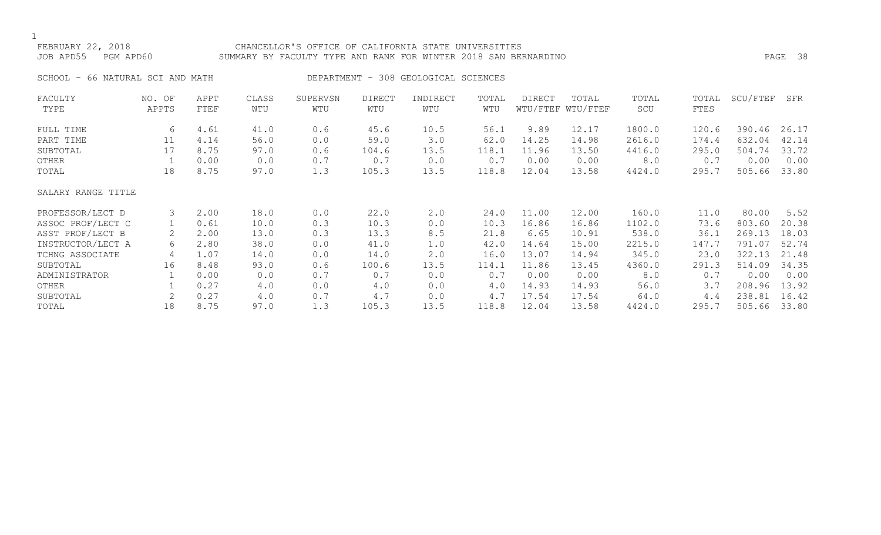# FEBRUARY 22, 2018 CHANCELLOR'S OFFICE OF CALIFORNIA STATE UNIVERSITIES JOB APD55 PGM APD60 SUMMARY BY FACULTY TYPE AND RANK FOR WINTER 2018 SAN BERNARDINO PAGE 38

SCHOOL - 66 NATURAL SCI AND MATH DEPARTMENT - 308 GEOLOGICAL SCIENCES

| FACULTY            | NO. OF | APPT | CLASS | SUPERVSN | <b>DIRECT</b> | INDIRECT | TOTAL | <b>DIRECT</b> | TOTAL             | TOTAL  | TOTAL | SCU/FTEF | SFR   |
|--------------------|--------|------|-------|----------|---------------|----------|-------|---------------|-------------------|--------|-------|----------|-------|
| TYPE               | APPTS  | FTEF | WTU   | WTU      | WTU           | WTU      | WTU   |               | WTU/FTEF WTU/FTEF | SCU    | FTES  |          |       |
| FULL TIME          | 6      | 4.61 | 41.0  | 0.6      | 45.6          | 10.5     | 56.1  | 9.89          | 12.17             | 1800.0 | 120.6 | 390.46   | 26.17 |
| PART TIME          | 11     | 4.14 | 56.0  | 0.0      | 59.0          | 3.0      | 62.0  | 14.25         | 14.98             | 2616.0 | 174.4 | 632.04   | 42.14 |
| SUBTOTAL           | 17     | 8.75 | 97.0  | 0.6      | 104.6         | 13.5     | 118.1 | 11.96         | 13.50             | 4416.0 | 295.0 | 504.74   | 33.72 |
| OTHER              |        | 0.00 | 0.0   | 0.7      | 0.7           | 0.0      | 0.7   | 0.00          | 0.00              | 8.0    | 0.7   | 0.00     | 0.00  |
| TOTAL              | 18     | 8.75 | 97.0  | 1.3      | 105.3         | 13.5     | 118.8 | 12.04         | 13.58             | 4424.0 | 295.7 | 505.66   | 33.80 |
| SALARY RANGE TITLE |        |      |       |          |               |          |       |               |                   |        |       |          |       |
| PROFESSOR/LECT D   | 3      | 2.00 | 18.0  | 0.0      | 22.0          | 2.0      | 24.0  | 11.00         | 12.00             | 160.0  | 11.0  | 80.00    | 5.52  |
| ASSOC PROF/LECT C  |        | 0.61 | 10.0  | 0.3      | 10.3          | 0.0      | 10.3  | 16.86         | 16.86             | 1102.0 | 73.6  | 803.60   | 20.38 |
| ASST PROF/LECT B   |        | 2.00 | 13.0  | 0.3      | 13.3          | 8.5      | 21.8  | 6.65          | 10.91             | 538.0  | 36.1  | 269.13   | 18.03 |
| INSTRUCTOR/LECT A  | 6      | 2.80 | 38.0  | 0.0      | 41.0          | 1.0      | 42.0  | 14.64         | 15.00             | 2215.0 | 147.7 | 791.07   | 52.74 |
| TCHNG ASSOCIATE    | 4      | 1.07 | 14.0  | 0.0      | 14.0          | 2.0      | 16.0  | 13.07         | 14.94             | 345.0  | 23.0  | 322.13   | 21.48 |
| SUBTOTAL           | 16     | 8.48 | 93.0  | 0.6      | 100.6         | 13.5     | 114.1 | 11.86         | 13.45             | 4360.0 | 291.3 | 514.09   | 34.35 |
| ADMINISTRATOR      |        | 0.00 | 0.0   | 0.7      | 0.7           | 0.0      | 0.7   | 0.00          | 0.00              | 8.0    | 0.7   | 0.00     | 0.00  |
| OTHER              |        | 0.27 | 4.0   | 0.0      | 4.0           | 0.0      | 4.0   | 14.93         | 14.93             | 56.0   | 3.7   | 208.96   | 13.92 |
| SUBTOTAL           | 2      | 0.27 | 4.0   | 0.7      | 4.7           | 0.0      | 4.7   | 17.54         | 17.54             | 64.0   | 4.4   | 238.81   | 16.42 |
| TOTAL              | 18     | 8.75 | 97.0  | 1.3      | 105.3         | 13.5     | 118.8 | 12.04         | 13.58             | 4424.0 | 295.7 | 505.66   | 33.80 |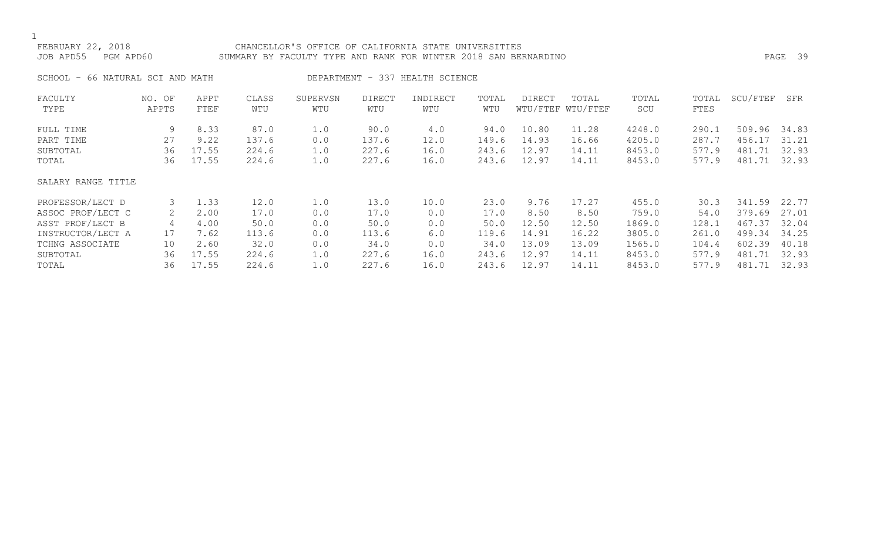### FEBRUARY 22, 2018 CHANCELLOR'S OFFICE OF CALIFORNIA STATE UNIVERSITIES JOB APD55 PGM APD60 SUMMARY BY FACULTY TYPE AND RANK FOR WINTER 2018 SAN BERNARDINO PAGE 39

SCHOOL - 66 NATURAL SCI AND MATH DEPARTMENT - 337 HEALTH SCIENCE

| FACULTY            | NO. OF | APPT  | CLASS | SUPERVSN | <b>DIRECT</b> | INDIRECT | TOTAL | DIRECT | TOTAL             | TOTAL  | TOTAL | SCU/FTEF | SFR   |
|--------------------|--------|-------|-------|----------|---------------|----------|-------|--------|-------------------|--------|-------|----------|-------|
| TYPE               | APPTS  | FTEF  | WTU   | WTU      | WTU           | WTU      | WTU   |        | WTU/FTEF WTU/FTEF | SCU    | FTES  |          |       |
| FULL TIME          | 9      | 8.33  | 87.0  | 1.0      | 90.0          | 4.0      | 94.0  | 10.80  | 11.28             | 4248.0 | 290.1 | 509.96   | 34.83 |
| PART TIME          | 27     | 9.22  | 137.6 | 0.0      | 137.6         | 12.0     | 149.6 | 14.93  | 16.66             | 4205.0 | 287.7 | 456.17   | 31.21 |
| SUBTOTAL           | 36     | 17.55 | 224.6 | 1.0      | 227.6         | 16.0     | 243.6 | 12.97  | 14.11             | 8453.0 | 577.9 | 481.71   | 32.93 |
| TOTAL              | 36     | 17.55 | 224.6 | 1.0      | 227.6         | 16.0     | 243.6 | 12.97  | 14.11             | 8453.0 | 577.9 | 481.71   | 32.93 |
| SALARY RANGE TITLE |        |       |       |          |               |          |       |        |                   |        |       |          |       |
| PROFESSOR/LECT D   | 3      | 1.33  | 12.0  | 1.0      | 13.0          | 10.0     | 23.0  | 9.76   | 17.27             | 455.0  | 30.3  | 341.59   | 22.77 |
| ASSOC PROF/LECT C  | 2      | 2.00  | 17.0  | 0.0      | 17.0          | 0.0      | 17.0  | 8.50   | 8.50              | 759.0  | 54.0  | 379.69   | 27.01 |
| ASST PROF/LECT B   | 4      | 4.00  | 50.0  | 0.0      | 50.0          | 0.0      | 50.0  | 12.50  | 12.50             | 1869.0 | 128.1 | 467.37   | 32.04 |
| INSTRUCTOR/LECT A  | 17     | 7.62  | 113.6 | 0.0      | 113.6         | 6.0      | 119.6 | 14.91  | 16.22             | 3805.0 | 261.0 | 499.34   | 34.25 |
| TCHNG ASSOCIATE    | 10     | 2.60  | 32.0  | 0.0      | 34.0          | 0.0      | 34.0  | 13.09  | 13.09             | 1565.0 | 104.4 | 602.39   | 40.18 |
| SUBTOTAL           | 36     | 17.55 | 224.6 | 1.0      | 227.6         | 16.0     | 243.6 | 12.97  | 14.11             | 8453.0 | 577.9 | 481.71   | 32.93 |
| TOTAL              | 36     | 17.55 | 224.6 | 1.0      | 227.6         | 16.0     | 243.6 | 12.97  | 14.11             | 8453.0 | 577.9 | 481.71   | 32.93 |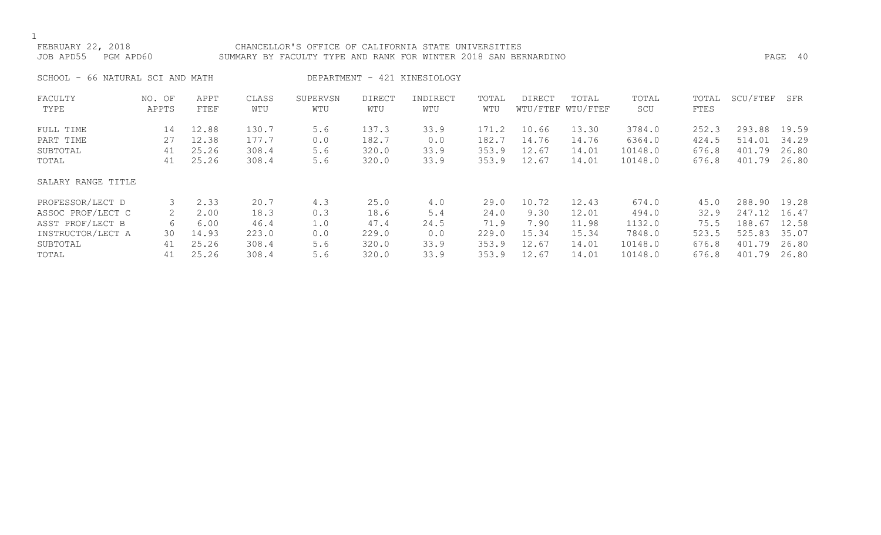### FEBRUARY 22, 2018 CHANCELLOR'S OFFICE OF CALIFORNIA STATE UNIVERSITIES JOB APD55 PGM APD60 SUMMARY BY FACULTY TYPE AND RANK FOR WINTER 2018 SAN BERNARDINO PAGE 40

SCHOOL - 66 NATURAL SCI AND MATH DEPARTMENT - 421 KINESIOLOGY

| FACULTY            | NO. OF | APPT  | CLASS | SUPERVSN | <b>DIRECT</b> | INDIRECT | TOTAL | <b>DIRECT</b> | TOTAL             | TOTAL   | TOTAL | SCU/FTEF | SFR   |
|--------------------|--------|-------|-------|----------|---------------|----------|-------|---------------|-------------------|---------|-------|----------|-------|
| TYPE               | APPTS  | FTEF  | WTU   | WTU      | WTU           | WTU      | WTU   |               | WTU/FTEF WTU/FTEF | SCU     | FTES  |          |       |
| FULL TIME          | 14     | 12.88 | 130.7 | 5.6      | 137.3         | 33.9     | 171.2 | 10.66         | 13.30             | 3784.0  | 252.3 | 293.88   | 19.59 |
| PART TIME          | 27     | 12.38 | 177.7 | 0.0      | 182.7         | 0.0      | 182.7 | 14.76         | 14.76             | 6364.0  | 424.5 | 514.01   | 34.29 |
| SUBTOTAL           | 41     | 25.26 | 308.4 | 5.6      | 320.0         | 33.9     | 353.9 | 12.67         | 14.01             | 10148.0 | 676.8 | 401.79   | 26.80 |
| TOTAL              | 41     | 25.26 | 308.4 | 5.6      | 320.0         | 33.9     | 353.9 | 12.67         | 14.01             | 10148.0 | 676.8 | 401.79   | 26.80 |
| SALARY RANGE TITLE |        |       |       |          |               |          |       |               |                   |         |       |          |       |
| PROFESSOR/LECT D   |        | 2.33  | 20.7  | 4.3      | 25.0          | 4.0      | 29.0  | 10.72         | 12.43             | 674.0   | 45.0  | 288.90   | 19.28 |
| ASSOC PROF/LECT C  |        | 2.00  | 18.3  | 0.3      | 18.6          | 5.4      | 24.0  | 9.30          | 12.01             | 494.0   | 32.9  | 247.12   | 16.47 |
| ASST PROF/LECT B   | 6      | 6.00  | 46.4  | 1.0      | 47.4          | 24.5     | 71.9  | 7.90          | 11.98             | 1132.0  | 75.5  | 188.67   | 12.58 |
| INSTRUCTOR/LECT A  | 30     | 14.93 | 223.0 | 0.0      | 229.0         | 0.0      | 229.0 | 15.34         | 15.34             | 7848.0  | 523.5 | 525.83   | 35.07 |
| SUBTOTAL           | 41     | 25.26 | 308.4 | 5.6      | 320.0         | 33.9     | 353.9 | 12.67         | 14.01             | 10148.0 | 676.8 | 401.79   | 26.80 |
| TOTAL              | 41     | 25.26 | 308.4 | 5.6      | 320.0         | 33.9     | 353.9 | 12.67         | 14.01             | 10148.0 | 676.8 | 401.79   | 26.80 |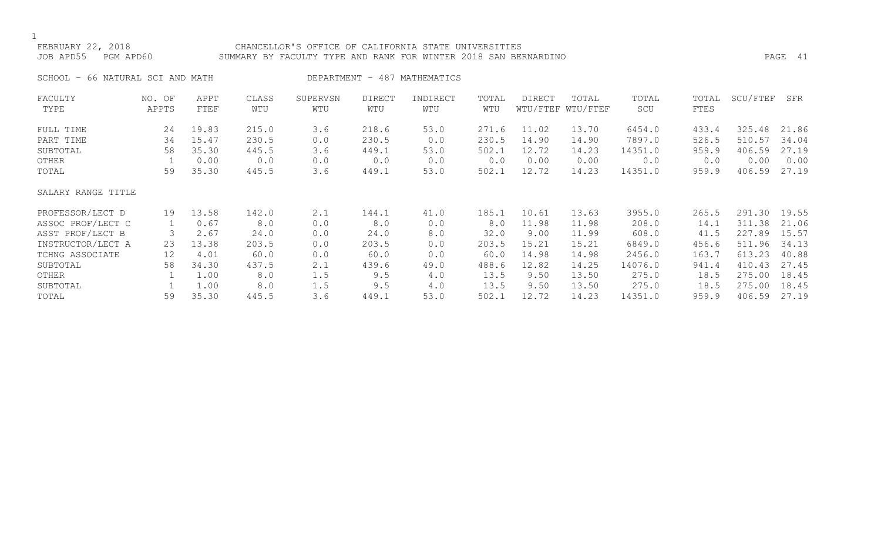### FEBRUARY 22, 2018 CHANCELLOR'S OFFICE OF CALIFORNIA STATE UNIVERSITIES JOB APD55 PGM APD60 SUMMARY BY FACULTY TYPE AND RANK FOR WINTER 2018 SAN BERNARDINO PAGE 41

SCHOOL - 66 NATURAL SCI AND MATH DEPARTMENT - 487 MATHEMATICS

| FACULTY            | NO. OF | APPT  | CLASS | SUPERVSN | <b>DIRECT</b> | INDIRECT | TOTAL | DIRECT | TOTAL             | TOTAL   | TOTAL | SCU/FTEF | SFR   |
|--------------------|--------|-------|-------|----------|---------------|----------|-------|--------|-------------------|---------|-------|----------|-------|
| TYPE               | APPTS  | FTEF  | WTU   | WTU      | WTU           | WTU      | WTU   |        | WTU/FTEF WTU/FTEF | SCU     | FTES  |          |       |
| FULL TIME          | 24     | 19.83 | 215.0 | 3.6      | 218.6         | 53.0     | 271.6 | 11.02  | 13.70             | 6454.0  | 433.4 | 325.48   | 21.86 |
| PART TIME          | 34     | 15.47 | 230.5 | 0.0      | 230.5         | 0.0      | 230.5 | 14.90  | 14.90             | 7897.0  | 526.5 | 510.57   | 34.04 |
| SUBTOTAL           | 58     | 35.30 | 445.5 | 3.6      | 449.1         | 53.0     | 502.1 | 12.72  | 14.23             | 14351.0 | 959.9 | 406.59   | 27.19 |
| OTHER              |        | 0.00  | 0.0   | 0.0      | 0.0           | 0.0      | 0.0   | 0.00   | 0.00              | 0.0     | 0.0   | 0.00     | 0.00  |
| TOTAL              | 59     | 35.30 | 445.5 | 3.6      | 449.1         | 53.0     | 502.1 | 12.72  | 14.23             | 14351.0 | 959.9 | 406.59   | 27.19 |
| SALARY RANGE TITLE |        |       |       |          |               |          |       |        |                   |         |       |          |       |
| PROFESSOR/LECT D   | 19     | 13.58 | 142.0 | 2.1      | 144.1         | 41.0     | 185.1 | 10.61  | 13.63             | 3955.0  | 265.5 | 291.30   | 19.55 |
| ASSOC PROF/LECT C  |        | 0.67  | 8.0   | 0.0      | 8.0           | 0.0      | 8.0   | 11.98  | 11.98             | 208.0   | 14.1  | 311.38   | 21.06 |
| ASST PROF/LECT B   | 3      | 2.67  | 24.0  | 0.0      | 24.0          | 8.0      | 32.0  | 9.00   | 11.99             | 608.0   | 41.5  | 227.89   | 15.57 |
| INSTRUCTOR/LECT A  | 23     | 13.38 | 203.5 | 0.0      | 203.5         | 0.0      | 203.5 | 15.21  | 15.21             | 6849.0  | 456.6 | 511.96   | 34.13 |
| TCHNG ASSOCIATE    | 12     | 4.01  | 60.0  | 0.0      | 60.0          | 0.0      | 60.0  | 14.98  | 14.98             | 2456.0  | 163.7 | 613.23   | 40.88 |
| SUBTOTAL           | 58     | 34.30 | 437.5 | 2.1      | 439.6         | 49.0     | 488.6 | 12.82  | 14.25             | 14076.0 | 941.4 | 410.43   | 27.45 |
| OTHER              |        | 1.00  | 8.0   | 1.5      | 9.5           | 4.0      | 13.5  | 9.50   | 13.50             | 275.0   | 18.5  | 275.00   | 18.45 |
| SUBTOTAL           |        | 1.00  | 8.0   | 1.5      | 9.5           | 4.0      | 13.5  | 9.50   | 13.50             | 275.0   | 18.5  | 275.00   | 18.45 |
| TOTAL              | 59     | 35.30 | 445.5 | 3.6      | 449.1         | 53.0     | 502.1 | 12.72  | 14.23             | 14351.0 | 959.9 | 406.59   | 27.19 |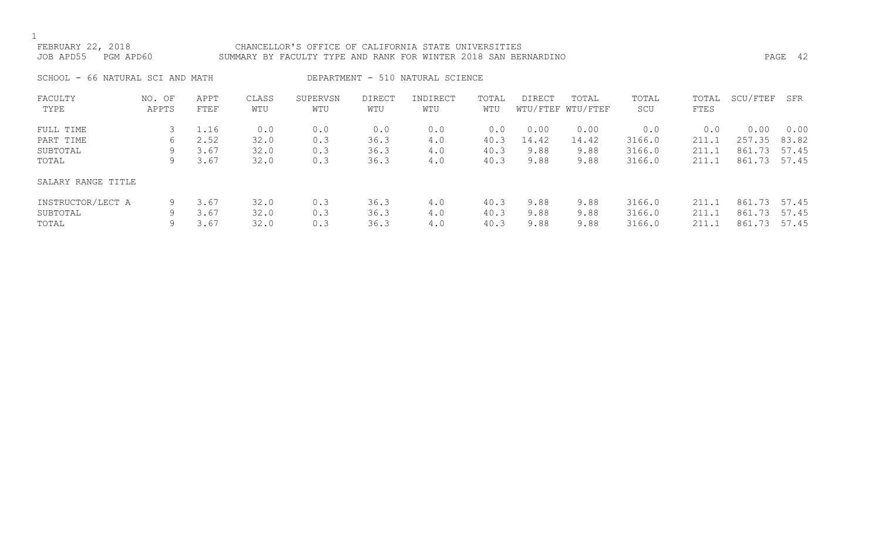# FEBRUARY 22, 2018 CHANCELLOR'S OFFICE OF CALIFORNIA STATE UNIVERSITIES JOB APD55 PGM APD60 SUMMARY BY FACULTY TYPE AND RANK FOR WINTER 2018 SAN BERNARDINO PAGE 42

SCHOOL - 66 NATURAL SCI AND MATH DEPARTMENT - 510 NATURAL SCIENCE

| FACULTY            | OF<br>NO. | APPT | CLASS | SUPERVSN | <b>DIRECT</b> | INDIRECT | TOTAL | <b>DIRECT</b> | TOTAL             | TOTAL  | TOTAL | SCU/FTEF | SFR   |
|--------------------|-----------|------|-------|----------|---------------|----------|-------|---------------|-------------------|--------|-------|----------|-------|
| TYPE               | APPTS     | FTEF | WTU   | WTU      | WTU           | WTU      | WTU   |               | WTU/FTEF WTU/FTEF | SCU    | FTES  |          |       |
|                    |           |      |       |          |               |          |       |               |                   |        |       |          |       |
| FULL TIME          |           | 1.16 | 0.0   | 0.0      | 0.0           | 0.0      | 0.0   | 0.00          | 0.00              | 0.0    | 0.0   | 0.00     | 0.00  |
| PART TIME          | 6         | 2.52 | 32.0  | 0.3      | 36.3          | 4.0      | 40.3  | 14.42         | 14.42             | 3166.0 | 211.1 | 257.35   | 83.82 |
| SUBTOTAL           | 9.        | 3.67 | 32.0  | 0.3      | 36.3          | 4.0      | 40.3  | 9.88          | 9.88              | 3166.0 | 211.1 | 861.73   | 57.45 |
| TOTAL              | 9         | 3.67 | 32.0  | 0.3      | 36.3          | 4.0      | 40.3  | 9.88          | 9.88              | 3166.0 | 211.1 | 861.73   | 57.45 |
| SALARY RANGE TITLE |           |      |       |          |               |          |       |               |                   |        |       |          |       |
| INSTRUCTOR/LECT A  | 9         | 3.67 | 32.0  | 0.3      | 36.3          | 4.0      | 40.3  | 9.88          | 9.88              | 3166.0 | 211.1 | 861.73   | 57.45 |
| SUBTOTAL           | 9         | 3.67 | 32.0  | 0.3      | 36.3          | 4.0      | 40.3  | 9.88          | 9.88              | 3166.0 | 211.1 | 861.73   | 57.45 |
| TOTAL              | 9         | 3.67 | 32.0  | 0.3      | 36.3          | 4.0      | 40.3  | 9.88          | 9.88              | 3166.0 | 211.1 | 861.73   | 57.45 |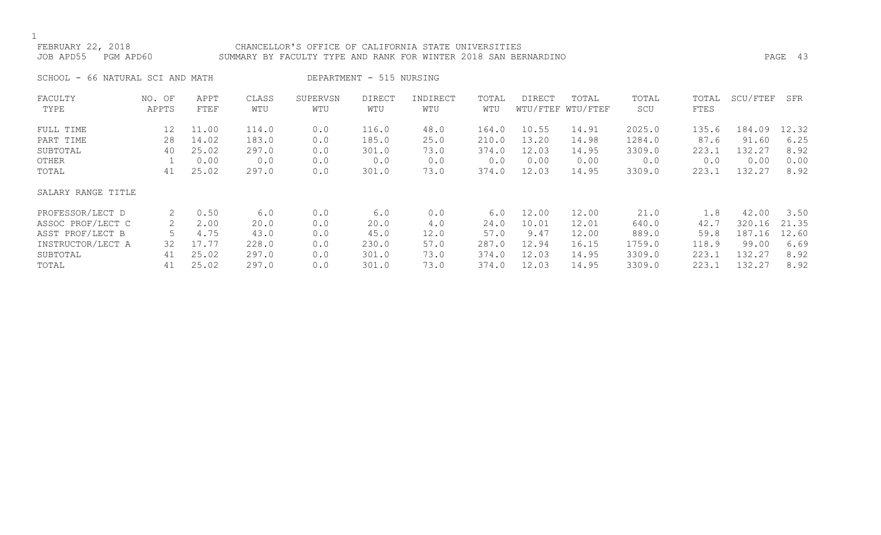### FEBRUARY 22, 2018 CHANCELLOR'S OFFICE OF CALIFORNIA STATE UNIVERSITIES JOB APD55 PGM APD60 SUMMARY BY FACULTY TYPE AND RANK FOR WINTER 2018 SAN BERNARDINO PAGE 43

SCHOOL - 66 NATURAL SCI AND MATH DEPARTMENT - 515 NURSING

| FACULTY            | NO. OF | APPT  | CLASS | SUPERVSN | <b>DIRECT</b> | INDIRECT | TOTAL | <b>DIRECT</b> | TOTAL             | TOTAL  | TOTAL | SCU/FTEF | SFR   |
|--------------------|--------|-------|-------|----------|---------------|----------|-------|---------------|-------------------|--------|-------|----------|-------|
| TYPE               | APPTS  | FTEF  | WTU   | WTU      | WTU           | WTU      | WTU   |               | WTU/FTEF WTU/FTEF | SCU    | FTES  |          |       |
| FULL TIME          | 12     | 11.00 | 114.0 | 0.0      | 116.0         | 48.0     | 164.0 | 10.55         | 14.91             | 2025.0 | 135.6 | 184.09   | 12.32 |
| PART TIME          | 28     | 14.02 | 183.0 | 0.0      | 185.0         | 25.0     | 210.0 | 13.20         | 14.98             | 1284.0 | 87.6  | 91.60    | 6.25  |
| SUBTOTAL           | 40     | 25.02 | 297.0 | 0.0      | 301.0         | 73.0     | 374.0 | 12.03         | 14.95             | 3309.0 | 223.1 | 132.27   | 8.92  |
| OTHER              |        | 0.00  | 0.0   | 0.0      | 0.0           | 0.0      | 0.0   | 0.00          | 0.00              | 0.0    | 0.0   | 0.00     | 0.00  |
| TOTAL              | 41     | 25.02 | 297.0 | 0.0      | 301.0         | 73.0     | 374.0 | 12.03         | 14.95             | 3309.0 | 223.1 | 132.27   | 8.92  |
| SALARY RANGE TITLE |        |       |       |          |               |          |       |               |                   |        |       |          |       |
| PROFESSOR/LECT D   | 2      | 0.50  | 6.0   | 0.0      | 6.0           | 0.0      | 6.0   | 12.00         | 12.00             | 21.0   | 1.8   | 42.00    | 3.50  |
| ASSOC PROF/LECT C  |        | 2.00  | 20.0  | 0.0      | 20.0          | 4.0      | 24.0  | 10.01         | 12.01             | 640.0  | 42.7  | 320.16   | 21.35 |
| ASST PROF/LECT B   |        | 4.75  | 43.0  | 0.0      | 45.0          | 12.0     | 57.0  | 9.47          | 12.00             | 889.0  | 59.8  | 187.16   | 12.60 |
| INSTRUCTOR/LECT A  | 32     | 17.77 | 228.0 | 0.0      | 230.0         | 57.0     | 287.0 | 12.94         | 16.15             | 1759.0 | 118.9 | 99.00    | 6.69  |
| SUBTOTAL           | 41     | 25.02 | 297.0 | 0.0      | 301.0         | 73.0     | 374.0 | 12.03         | 14.95             | 3309.0 | 223.1 | 132.27   | 8.92  |
| TOTAL              | 41     | 25.02 | 297.0 | 0.0      | 301.0         | 73.0     | 374.0 | 12.03         | 14.95             | 3309.0 | 223.1 | 132.27   | 8.92  |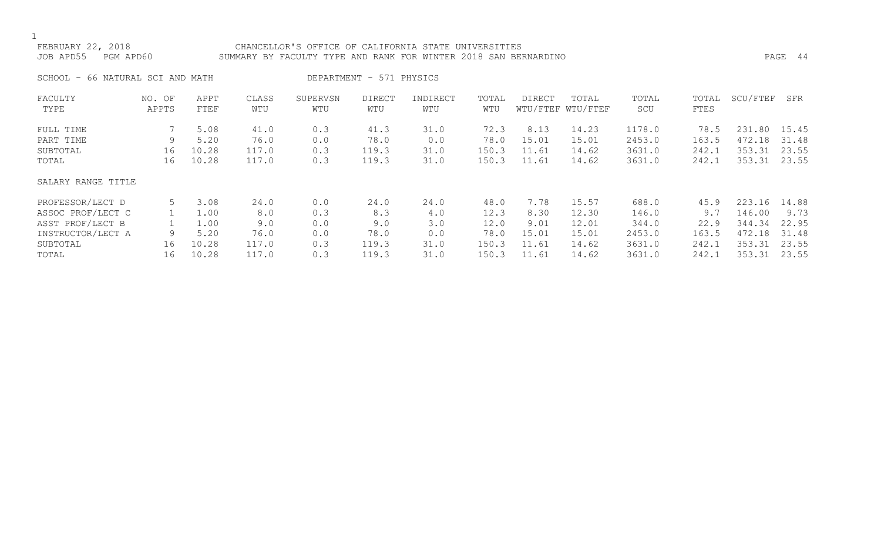# FEBRUARY 22, 2018 CHANCELLOR'S OFFICE OF CALIFORNIA STATE UNIVERSITIES SUMMARY BY FACULTY TYPE AND RANK FOR WINTER 2018 SAN BERNARDINO **PAGE 44**

| SCHOOL - 66 NATURAL SCI AND MATH |  |  |  |  |  |  |
|----------------------------------|--|--|--|--|--|--|
|----------------------------------|--|--|--|--|--|--|

ATH DEPARTMENT - 571 PHYSICS

| FACULTY            | NO. OF | APPT  | CLASS | SUPERVSN | <b>DIRECT</b> | INDIRECT | TOTAL | DIRECT | TOTAL             | TOTAL  | TOTAL | SCU/FTEF | SFR   |
|--------------------|--------|-------|-------|----------|---------------|----------|-------|--------|-------------------|--------|-------|----------|-------|
| TYPE               | APPTS  | FTEF  | WTU   | WTU      | WTU           | WTU      | WTU   |        | WTU/FTEF WTU/FTEF | SCU    | FTES  |          |       |
| FULL TIME          |        | 5.08  | 41.0  | 0.3      | 41.3          | 31.0     | 72.3  | 8.13   | 14.23             | 1178.0 | 78.5  | 231.80   | 15.45 |
| PART TIME          | 9      | 5.20  | 76.0  | 0.0      | 78.0          | 0.0      | 78.0  | 15.01  | 15.01             | 2453.0 | 163.5 | 472.18   | 31.48 |
| SUBTOTAL           | 16     | 10.28 | 117.0 | 0.3      | 119.3         | 31.0     | 150.3 | 11.61  | 14.62             | 3631.0 | 242.1 | 353.31   | 23.55 |
| TOTAL              | 16     | 10.28 | 117.0 | 0.3      | 119.3         | 31.0     | 150.3 | 11.61  | 14.62             | 3631.0 | 242.1 | 353.31   | 23.55 |
| SALARY RANGE TITLE |        |       |       |          |               |          |       |        |                   |        |       |          |       |
| PROFESSOR/LECT D   |        | 3.08  | 24.0  | 0.0      | 24.0          | 24.0     | 48.0  | 7.78   | 15.57             | 688.0  | 45.9  | 223.16   | 14.88 |
| ASSOC PROF/LECT C  |        | 1.00  | 8.0   | 0.3      | 8.3           | 4.0      | 12.3  | 8.30   | 12.30             | 146.0  | 9.7   | 146.00   | 9.73  |
| ASST PROF/LECT B   |        | 1.00  | 9.0   | 0.0      | 9.0           | 3.0      | 12.0  | 9.01   | 12.01             | 344.0  | 22.9  | 344.34   | 22.95 |
| INSTRUCTOR/LECT A  | 9      | 5.20  | 76.0  | 0.0      | 78.0          | 0.0      | 78.0  | 15.01  | 15.01             | 2453.0 | 163.5 | 472.18   | 31.48 |
| SUBTOTAL           | 16     | 10.28 | 117.0 | 0.3      | 119.3         | 31.0     | 150.3 | 11.61  | 14.62             | 3631.0 | 242.1 | 353.31   | 23.55 |
| TOTAL              | 16     | 10.28 | 117.0 | 0.3      | 119.3         | 31.0     | 150.3 | 11.61  | 14.62             | 3631.0 | 242.1 | 353.31   | 23.55 |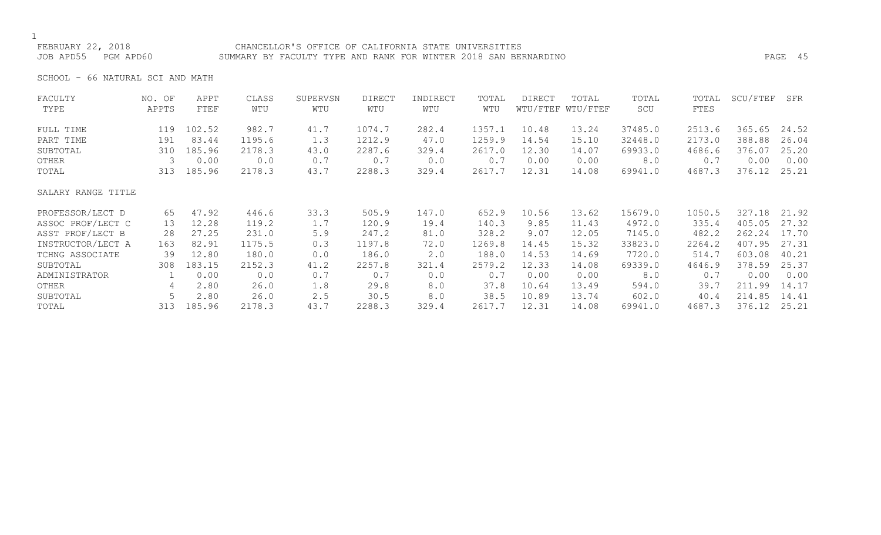### FEBRUARY 22, 2018 CHANCELLOR'S OFFICE OF CALIFORNIA STATE UNIVERSITIES JOB APD55 PGM APD60 SUMMARY BY FACULTY TYPE AND RANK FOR WINTER 2018 SAN BERNARDINO PAGE 45

SCHOOL - 66 NATURAL SCI AND MATH

| FACULTY            | NO. OF | APPT   | CLASS  | SUPERVSN | <b>DIRECT</b> | INDIRECT | TOTAL  | DIRECT | TOTAL             | TOTAL   | TOTAL  | SCU/FTEF | SFR   |
|--------------------|--------|--------|--------|----------|---------------|----------|--------|--------|-------------------|---------|--------|----------|-------|
| TYPE               | APPTS  | FTEF   | WTU    | WTU      | WTU           | WTU      | WTU    |        | WTU/FTEF WTU/FTEF | SCU     | FTES   |          |       |
| FULL TIME          | 119    | 102.52 | 982.7  | 41.7     | 1074.7        | 282.4    | 1357.1 | 10.48  | 13.24             | 37485.0 | 2513.6 | 365.65   | 24.52 |
| PART TIME          | 191    | 83.44  | 1195.6 | 1.3      | 1212.9        | 47.0     | 1259.9 | 14.54  | 15.10             | 32448.0 | 2173.0 | 388.88   | 26.04 |
| SUBTOTAL           | 310    | 185.96 | 2178.3 | 43.0     | 2287.6        | 329.4    | 2617.0 | 12.30  | 14.07             | 69933.0 | 4686.6 | 376.07   | 25.20 |
| OTHER              | 3      | 0.00   | 0.0    | 0.7      | 0.7           | 0.0      | 0.7    | 0.00   | 0.00              | 8.0     | 0.7    | 0.00     | 0.00  |
| TOTAL              | 313    | 185.96 | 2178.3 | 43.7     | 2288.3        | 329.4    | 2617.7 | 12.31  | 14.08             | 69941.0 | 4687.3 | 376.12   | 25.21 |
| SALARY RANGE TITLE |        |        |        |          |               |          |        |        |                   |         |        |          |       |
| PROFESSOR/LECT D   | 65     | 47.92  | 446.6  | 33.3     | 505.9         | 147.0    | 652.9  | 10.56  | 13.62             | 15679.0 | 1050.5 | 327.18   | 21.92 |
| ASSOC PROF/LECT C  | 13     | 12.28  | 119.2  | 1.7      | 120.9         | 19.4     | 140.3  | 9.85   | 11.43             | 4972.0  | 335.4  | 405.05   | 27.32 |
| ASST PROF/LECT B   | 28     | 27.25  | 231.0  | 5.9      | 247.2         | 81.0     | 328.2  | 9.07   | 12.05             | 7145.0  | 482.2  | 262.24   | 17.70 |
| INSTRUCTOR/LECT A  | 163    | 82.91  | 1175.5 | 0.3      | 1197.8        | 72.0     | 1269.8 | 14.45  | 15.32             | 33823.0 | 2264.2 | 407.95   | 27.31 |
| TCHNG ASSOCIATE    | 39     | 12.80  | 180.0  | 0.0      | 186.0         | 2.0      | 188.0  | 14.53  | 14.69             | 7720.0  | 514.7  | 603.08   | 40.21 |
| SUBTOTAL           | 308    | 183.15 | 2152.3 | 41.2     | 2257.8        | 321.4    | 2579.2 | 12.33  | 14.08             | 69339.0 | 4646.9 | 378.59   | 25.37 |
| ADMINISTRATOR      |        | 0.00   | 0.0    | 0.7      | 0.7           | 0.0      | 0.7    | 0.00   | 0.00              | 8.0     | 0.7    | 0.00     | 0.00  |
| OTHER              | 4      | 2.80   | 26.0   | 1.8      | 29.8          | 8.0      | 37.8   | 10.64  | 13.49             | 594.0   | 39.7   | 211.99   | 14.17 |
| SUBTOTAL           |        | 2.80   | 26.0   | 2.5      | 30.5          | 8.0      | 38.5   | 10.89  | 13.74             | 602.0   | 40.4   | 214.85   | 14.41 |
| TOTAL              | 313    | 185.96 | 2178.3 | 43.7     | 2288.3        | 329.4    | 2617.7 | 12.31  | 14.08             | 69941.0 | 4687.3 | 376.12   | 25.21 |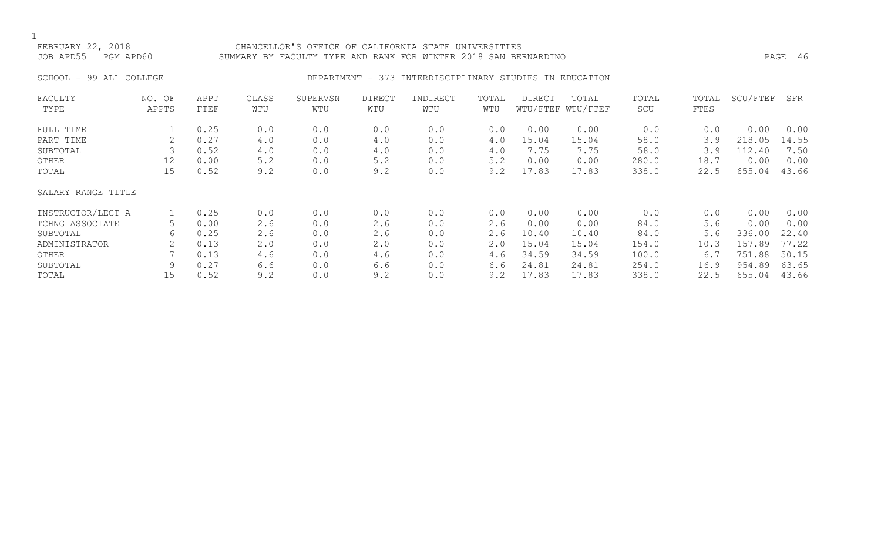# FEBRUARY 22, 2018 CHANCELLOR'S OFFICE OF CALIFORNIA STATE UNIVERSITIES JOB APD55 PGM APD60 SUMMARY BY FACULTY TYPE AND RANK FOR WINTER 2018 SAN BERNARDINO PAGE 46

# SCHOOL - 99 ALL COLLEGE CONSERVERSE DEPARTMENT - 373 INTERDISCIPLINARY STUDIES IN EDUCATION

| FACULTY            | NO. OF | APPT | CLASS       | SUPERVSN | <b>DIRECT</b> | INDIRECT | TOTAL | DIRECT | TOTAL             | TOTAL | TOTAL | SCU/FTEF | SFR   |
|--------------------|--------|------|-------------|----------|---------------|----------|-------|--------|-------------------|-------|-------|----------|-------|
| TYPE               | APPTS  | FTEF | WTU         | WTU      | WTU           | WTU      | WTU   |        | WTU/FTEF WTU/FTEF | SCU   | FTES  |          |       |
| FULL TIME          |        | 0.25 | 0.0         | 0.0      | 0.0           | 0.0      | 0.0   | 0.00   | 0.00              | 0.0   | 0.0   | 0.00     | 0.00  |
| PART TIME          | 2      | 0.27 | 4.0         | 0.0      | 4.0           | 0.0      | 4.0   | 15.04  | 15.04             | 58.0  | 3.9   | 218.05   | 14.55 |
| SUBTOTAL           |        | 0.52 | 4.0         | 0.0      | 4.0           | 0.0      | 4.0   | 7.75   | 7.75              | 58.0  | 3.9   | 112.40   | 7.50  |
| OTHER              | 12     | 0.00 | 5.2         | 0.0      | 5.2           | 0.0      | 5.2   | 0.00   | 0.00              | 280.0 | 18.7  | 0.00     | 0.00  |
| TOTAL              | 15     | 0.52 | 9.2         | 0.0      | 9.2           | 0.0      | 9.2   | 17.83  | 17.83             | 338.0 | 22.5  | 655.04   | 43.66 |
| SALARY RANGE TITLE |        |      |             |          |               |          |       |        |                   |       |       |          |       |
| INSTRUCTOR/LECT A  |        | 0.25 | 0.0         | 0.0      | 0.0           | 0.0      | 0.0   | 0.00   | 0.00              | 0.0   | 0.0   | 0.00     | 0.00  |
| TCHNG ASSOCIATE    | 5      | 0.00 | 2.6         | 0.0      | 2.6           | 0.0      | 2.6   | 0.00   | 0.00              | 84.0  | 5.6   | 0.00     | 0.00  |
| SUBTOTAL           | 6      | 0.25 | 2.6         | 0.0      | 2.6           | 0.0      | 2.6   | 10.40  | 10.40             | 84.0  | 5.6   | 336.00   | 22.40 |
| ADMINISTRATOR      | 2      | 0.13 | $2 \cdot 0$ | 0.0      | 2.0           | 0.0      | 2.0   | 15.04  | 15.04             | 154.0 | 10.3  | 157.89   | 77.22 |
| OTHER              |        | 0.13 | 4.6         | 0.0      | 4.6           | 0.0      | 4.6   | 34.59  | 34.59             | 100.0 | 6.7   | 751.88   | 50.15 |
| SUBTOTAL           | 9      | 0.27 | 6.6         | 0.0      | 6.6           | 0.0      | 6.6   | 24.81  | 24.81             | 254.0 | 16.9  | 954.89   | 63.65 |
| TOTAL              | 15     | 0.52 | 9.2         | 0.0      | 9.2           | 0.0      | 9.2   | 17.83  | 17.83             | 338.0 | 22.5  | 655.04   | 43.66 |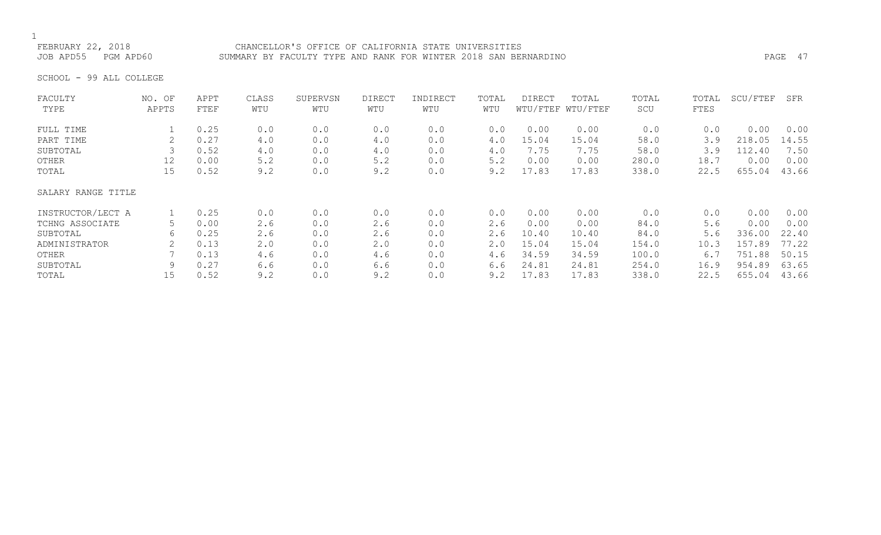FEBRUARY 22, 2018 CHANCELLOR'S OFFICE OF CALIFORNIA STATE UNIVERSITIES JOB APD55 PGM APD60 SUMMARY BY FACULTY TYPE AND RANK FOR WINTER 2018 SAN BERNARDINO PAGE 47

SCHOOL - 99 ALL COLLEGE

| FACULTY            | NO. OF | APPT | CLASS | SUPERVSN | <b>DIRECT</b> | INDIRECT | TOTAL | <b>DIRECT</b> | TOTAL             | TOTAL | TOTAL | SCU/FTEF | SFR   |
|--------------------|--------|------|-------|----------|---------------|----------|-------|---------------|-------------------|-------|-------|----------|-------|
| TYPE               | APPTS  | FTEF | WTU   | WTU      | WTU           | WTU      | WTU   |               | WTU/FTEF WTU/FTEF | SCU   | FTES  |          |       |
| FULL TIME          |        | 0.25 | 0.0   | 0.0      | 0.0           | 0.0      | 0.0   | 0.00          | 0.00              | 0.0   | 0.0   | 0.00     | 0.00  |
| PART TIME          |        | 0.27 | 4.0   | 0.0      | 4.0           | 0.0      | 4.0   | 15.04         | 15.04             | 58.0  | 3.9   | 218.05   | 14.55 |
| SUBTOTAL           |        | 0.52 | 4.0   | 0.0      | 4.0           | 0.0      | 4.0   | 7.75          | 7.75              | 58.0  | 3.9   | 112.40   | 7.50  |
| OTHER              | 12     | 0.00 | 5.2   | 0.0      | 5.2           | 0.0      | 5.2   | 0.00          | 0.00              | 280.0 | 18.7  | 0.00     | 0.00  |
| TOTAL              | 15     | 0.52 | 9.2   | 0.0      | 9.2           | 0.0      | 9.2   | 17.83         | 17.83             | 338.0 | 22.5  | 655.04   | 43.66 |
| SALARY RANGE TITLE |        |      |       |          |               |          |       |               |                   |       |       |          |       |
| INSTRUCTOR/LECT A  |        | 0.25 | 0.0   | 0.0      | 0.0           | 0.0      | 0.0   | 0.00          | 0.00              | 0.0   | 0.0   | 0.00     | 0.00  |
| TCHNG ASSOCIATE    | 5.     | 0.00 | 2.6   | 0.0      | 2.6           | 0.0      | 2.6   | 0.00          | 0.00              | 84.0  | 5.6   | 0.00     | 0.00  |
| SUBTOTAL           | 6      | 0.25 | 2.6   | 0.0      | 2.6           | 0.0      | 2.6   | 10.40         | 10.40             | 84.0  | 5.6   | 336.00   | 22.40 |
| ADMINISTRATOR      |        | 0.13 | 2.0   | 0.0      | 2.0           | 0.0      | 2.0   | 15.04         | 15.04             | 154.0 | 10.3  | 157.89   | 77.22 |
| OTHER              |        | 0.13 | 4.6   | 0.0      | 4.6           | 0.0      | 4.6   | 34.59         | 34.59             | 100.0 | 6.7   | 751.88   | 50.15 |
| SUBTOTAL           |        | 0.27 | 6.6   | 0.0      | 6.6           | 0.0      | 6.6   | 24.81         | 24.81             | 254.0 | 16.9  | 954.89   | 63.65 |
| TOTAL              | 15     | 0.52 | 9.2   | 0.0      | 9.2           | 0.0      | 9.2   | 17.83         | 17.83             | 338.0 | 22.5  | 655.04   | 43.66 |